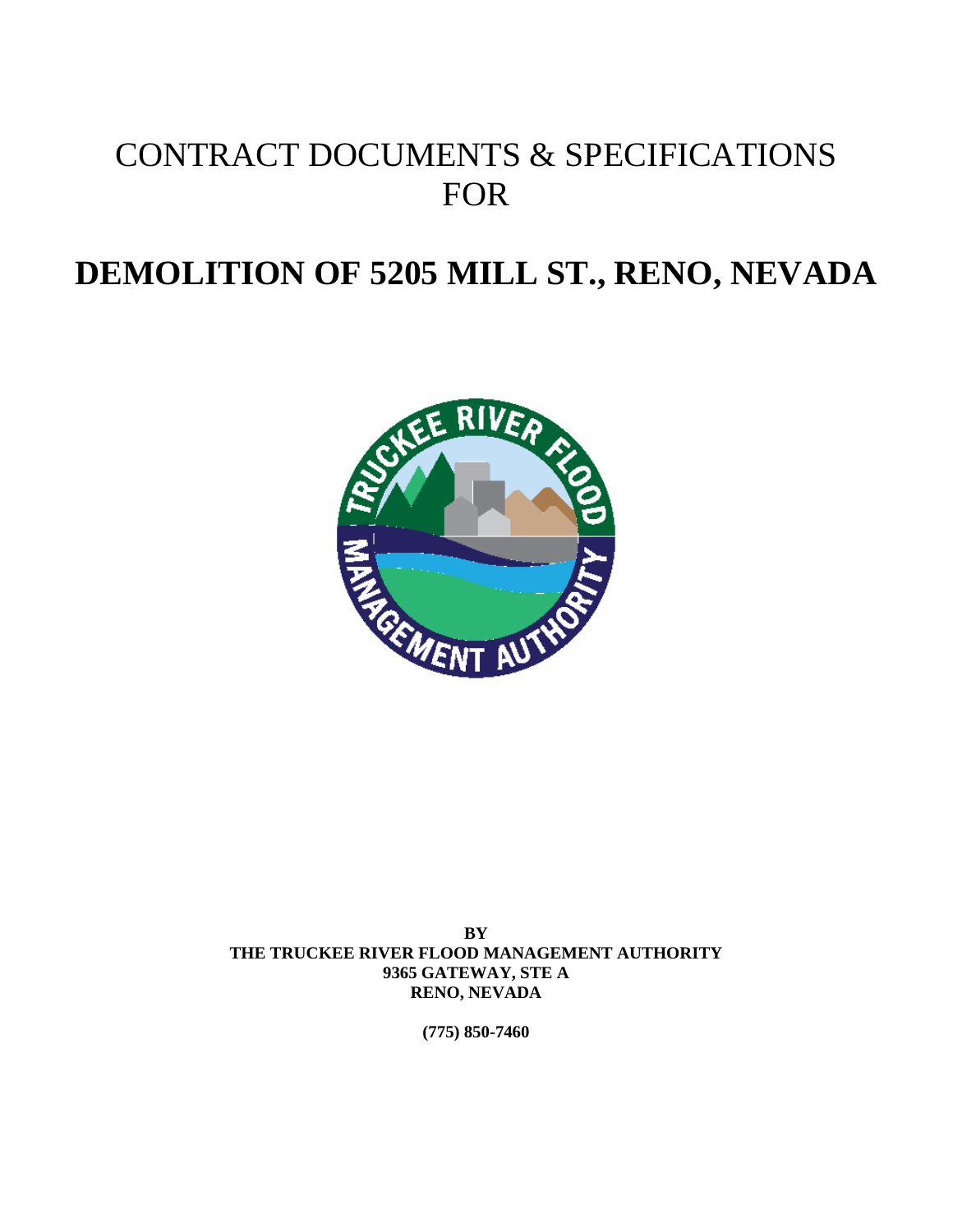# CONTRACT DOCUMENTS & SPECIFICATIONS FOR

# **DEMOLITION OF 5205 MILL ST., RENO, NEVADA**



**BY THE TRUCKEE RIVER FLOOD MANAGEMENT AUTHORITY 9365 GATEWAY, STE A RENO, NEVADA** 

**(775) 850-7460**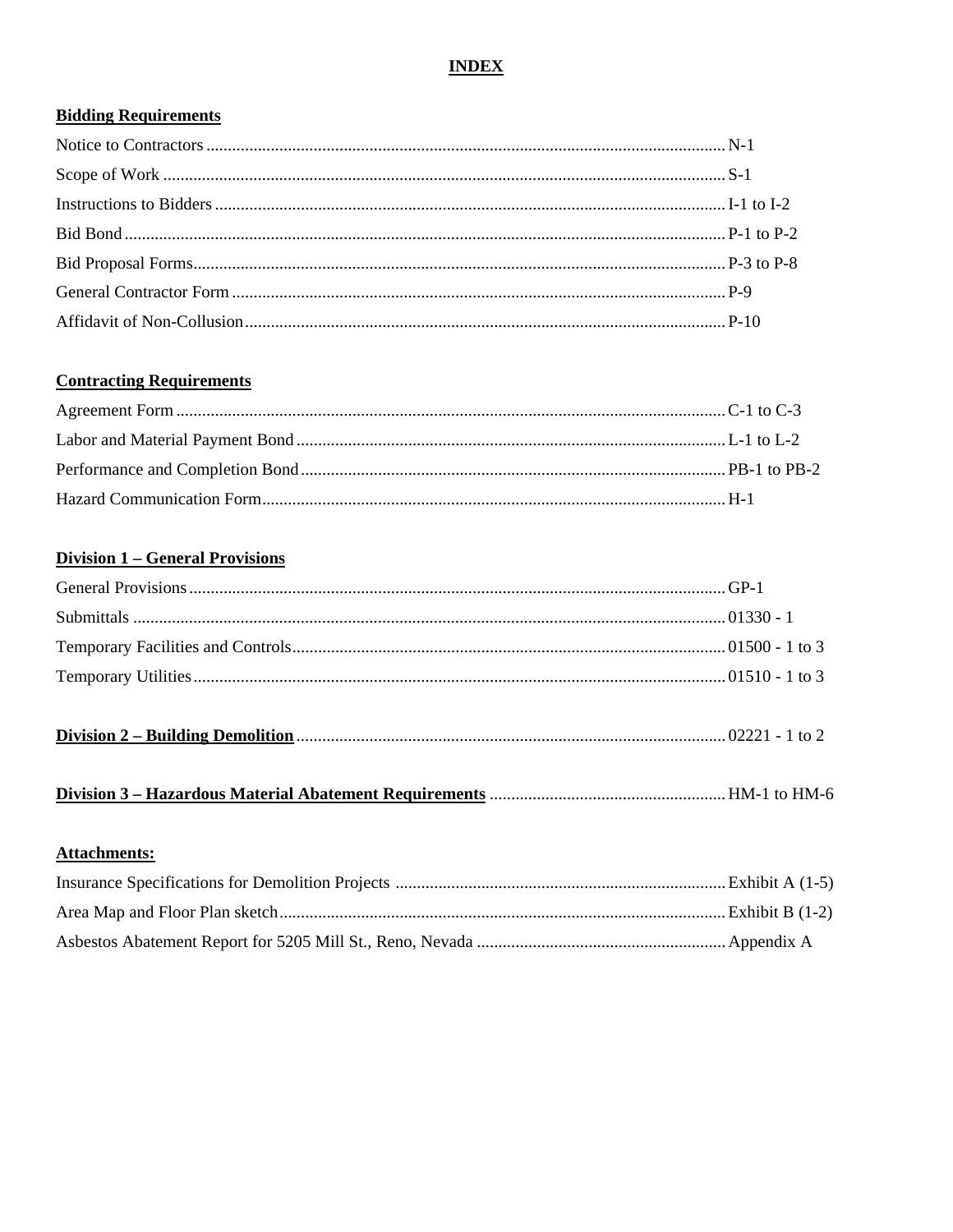# **INDEX**

# **Bidding Requirements**

# **Contracting Requirements**

# **Division 1 - General Provisions**

| <b>Attachments:</b> |  |
|---------------------|--|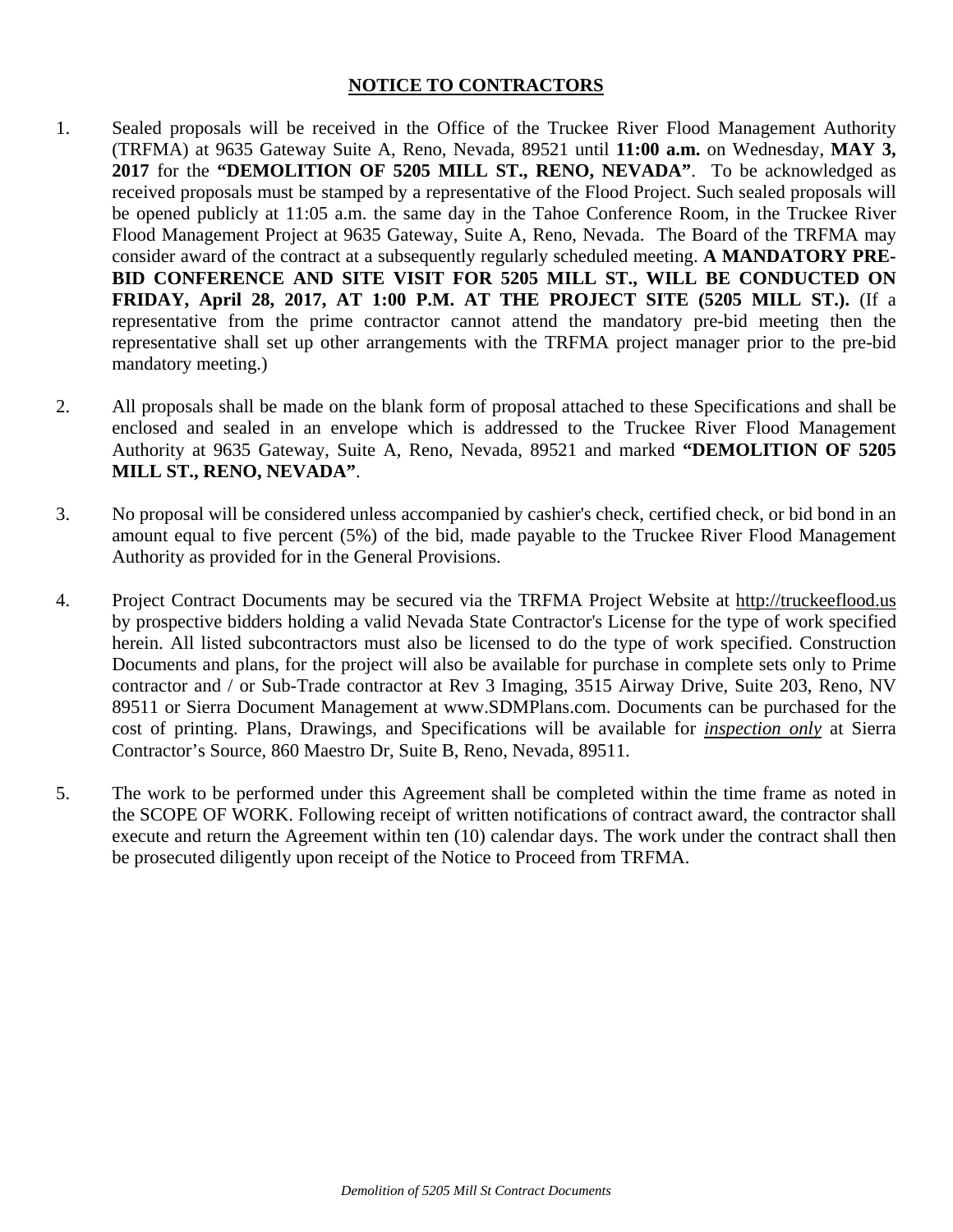# **NOTICE TO CONTRACTORS**

- 1. Sealed proposals will be received in the Office of the Truckee River Flood Management Authority (TRFMA) at 9635 Gateway Suite A, Reno, Nevada, 89521 until **11:00 a.m.** on Wednesday, **MAY 3, 2017** for the **"DEMOLITION OF 5205 MILL ST., RENO, NEVADA"**. To be acknowledged as received proposals must be stamped by a representative of the Flood Project. Such sealed proposals will be opened publicly at 11:05 a.m. the same day in the Tahoe Conference Room, in the Truckee River Flood Management Project at 9635 Gateway, Suite A, Reno, Nevada. The Board of the TRFMA may consider award of the contract at a subsequently regularly scheduled meeting. **A MANDATORY PRE-BID CONFERENCE AND SITE VISIT FOR 5205 MILL ST., WILL BE CONDUCTED ON FRIDAY, April 28, 2017, AT 1:00 P.M. AT THE PROJECT SITE (5205 MILL ST.).** (If a representative from the prime contractor cannot attend the mandatory pre-bid meeting then the representative shall set up other arrangements with the TRFMA project manager prior to the pre-bid mandatory meeting.)
- 2. All proposals shall be made on the blank form of proposal attached to these Specifications and shall be enclosed and sealed in an envelope which is addressed to the Truckee River Flood Management Authority at 9635 Gateway, Suite A, Reno, Nevada, 89521 and marked **"DEMOLITION OF 5205 MILL ST., RENO, NEVADA"**.
- 3. No proposal will be considered unless accompanied by cashier's check, certified check, or bid bond in an amount equal to five percent (5%) of the bid, made payable to the Truckee River Flood Management Authority as provided for in the General Provisions.
- 4. Project Contract Documents may be secured via the TRFMA Project Website at http://truckeeflood.us by prospective bidders holding a valid Nevada State Contractor's License for the type of work specified herein. All listed subcontractors must also be licensed to do the type of work specified. Construction Documents and plans, for the project will also be available for purchase in complete sets only to Prime contractor and / or Sub-Trade contractor at Rev 3 Imaging, 3515 Airway Drive, Suite 203, Reno, NV 89511 or Sierra Document Management at www.SDMPlans.com. Documents can be purchased for the cost of printing. Plans, Drawings, and Specifications will be available for *inspection only* at Sierra Contractor's Source, 860 Maestro Dr, Suite B, Reno, Nevada, 89511.
- 5. The work to be performed under this Agreement shall be completed within the time frame as noted in the SCOPE OF WORK. Following receipt of written notifications of contract award, the contractor shall execute and return the Agreement within ten (10) calendar days. The work under the contract shall then be prosecuted diligently upon receipt of the Notice to Proceed from TRFMA.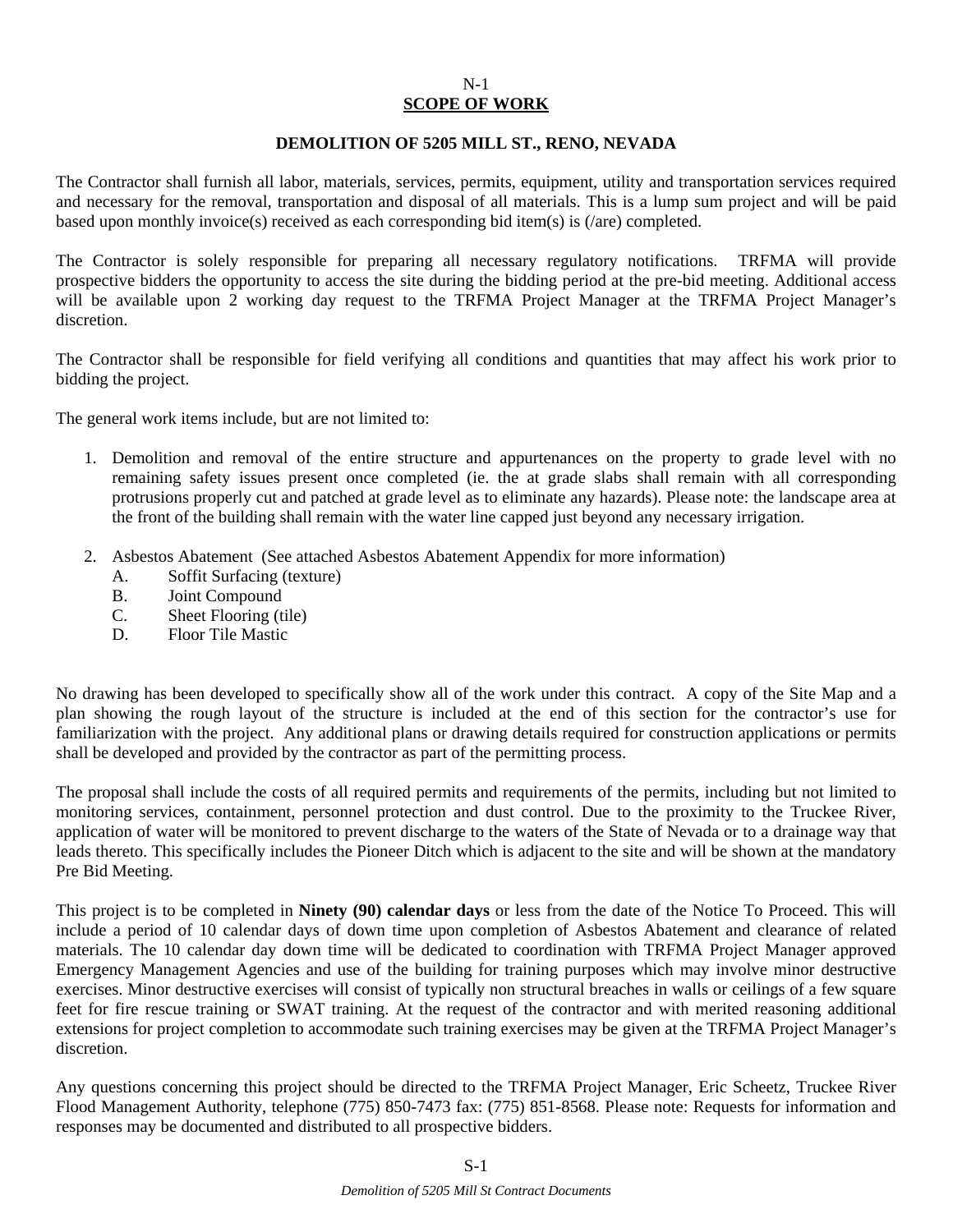#### N-1 **SCOPE OF WORK**

#### **DEMOLITION OF 5205 MILL ST., RENO, NEVADA**

The Contractor shall furnish all labor, materials, services, permits, equipment, utility and transportation services required and necessary for the removal, transportation and disposal of all materials. This is a lump sum project and will be paid based upon monthly invoice(s) received as each corresponding bid item(s) is (/are) completed.

The Contractor is solely responsible for preparing all necessary regulatory notifications. TRFMA will provide prospective bidders the opportunity to access the site during the bidding period at the pre-bid meeting. Additional access will be available upon 2 working day request to the TRFMA Project Manager at the TRFMA Project Manager's discretion.

The Contractor shall be responsible for field verifying all conditions and quantities that may affect his work prior to bidding the project.

The general work items include, but are not limited to:

- 1. Demolition and removal of the entire structure and appurtenances on the property to grade level with no remaining safety issues present once completed (ie. the at grade slabs shall remain with all corresponding protrusions properly cut and patched at grade level as to eliminate any hazards). Please note: the landscape area at the front of the building shall remain with the water line capped just beyond any necessary irrigation.
- 2. Asbestos Abatement (See attached Asbestos Abatement Appendix for more information)
	- A. Soffit Surfacing (texture)
	- B. Joint Compound
	- C. Sheet Flooring (tile)
	- D. Floor Tile Mastic

No drawing has been developed to specifically show all of the work under this contract. A copy of the Site Map and a plan showing the rough layout of the structure is included at the end of this section for the contractor's use for familiarization with the project. Any additional plans or drawing details required for construction applications or permits shall be developed and provided by the contractor as part of the permitting process.

The proposal shall include the costs of all required permits and requirements of the permits, including but not limited to monitoring services, containment, personnel protection and dust control. Due to the proximity to the Truckee River, application of water will be monitored to prevent discharge to the waters of the State of Nevada or to a drainage way that leads thereto. This specifically includes the Pioneer Ditch which is adjacent to the site and will be shown at the mandatory Pre Bid Meeting.

This project is to be completed in **Ninety (90) calendar days** or less from the date of the Notice To Proceed. This will include a period of 10 calendar days of down time upon completion of Asbestos Abatement and clearance of related materials. The 10 calendar day down time will be dedicated to coordination with TRFMA Project Manager approved Emergency Management Agencies and use of the building for training purposes which may involve minor destructive exercises. Minor destructive exercises will consist of typically non structural breaches in walls or ceilings of a few square feet for fire rescue training or SWAT training. At the request of the contractor and with merited reasoning additional extensions for project completion to accommodate such training exercises may be given at the TRFMA Project Manager's discretion.

Any questions concerning this project should be directed to the TRFMA Project Manager, Eric Scheetz, Truckee River Flood Management Authority, telephone (775) 850-7473 fax: (775) 851-8568. Please note: Requests for information and responses may be documented and distributed to all prospective bidders.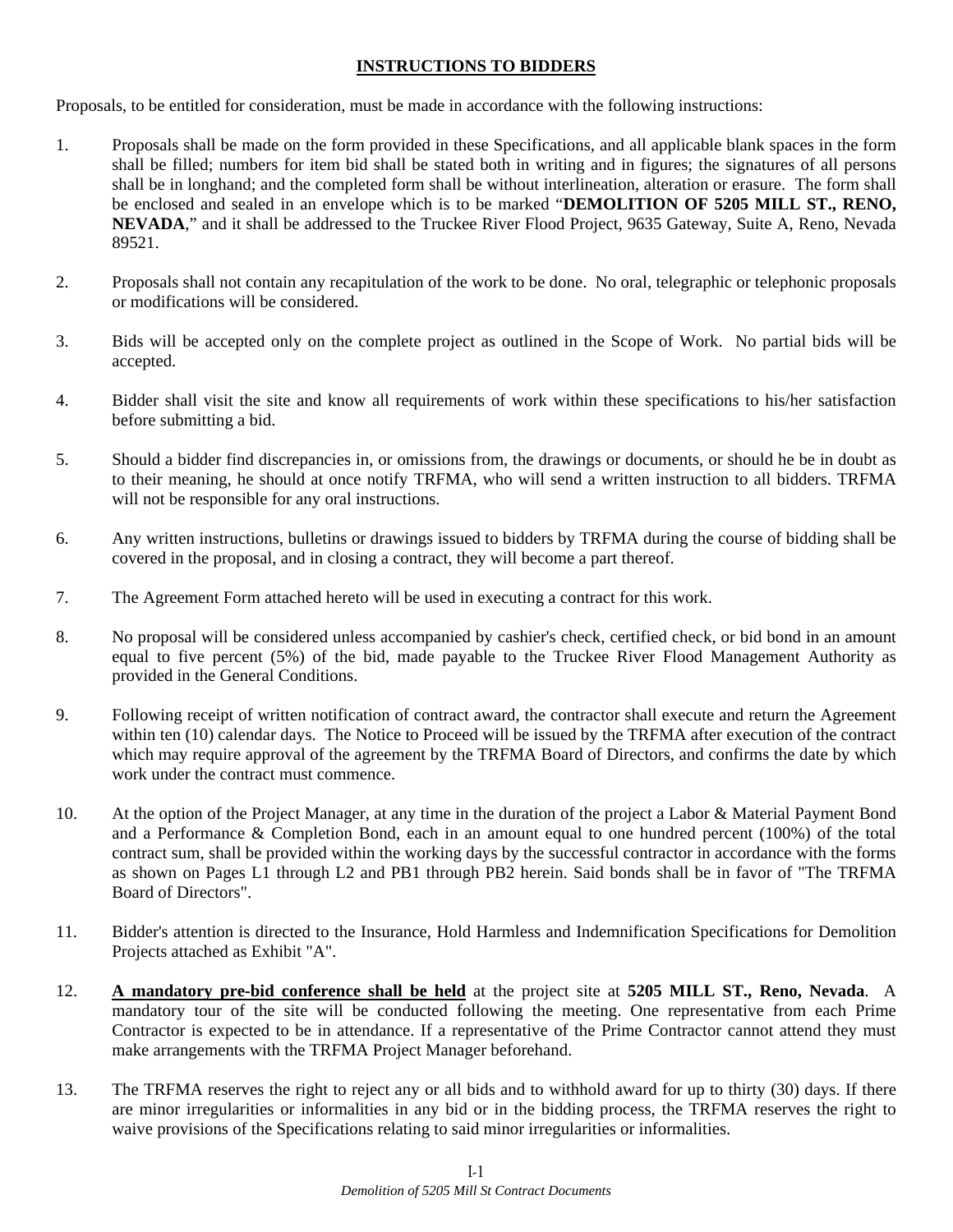## **INSTRUCTIONS TO BIDDERS**

Proposals, to be entitled for consideration, must be made in accordance with the following instructions:

- 1. Proposals shall be made on the form provided in these Specifications, and all applicable blank spaces in the form shall be filled; numbers for item bid shall be stated both in writing and in figures; the signatures of all persons shall be in longhand; and the completed form shall be without interlineation, alteration or erasure. The form shall be enclosed and sealed in an envelope which is to be marked "**DEMOLITION OF 5205 MILL ST., RENO, NEVADA**," and it shall be addressed to the Truckee River Flood Project, 9635 Gateway, Suite A, Reno, Nevada 89521.
- 2. Proposals shall not contain any recapitulation of the work to be done. No oral, telegraphic or telephonic proposals or modifications will be considered.
- 3. Bids will be accepted only on the complete project as outlined in the Scope of Work. No partial bids will be accepted.
- 4. Bidder shall visit the site and know all requirements of work within these specifications to his/her satisfaction before submitting a bid.
- 5. Should a bidder find discrepancies in, or omissions from, the drawings or documents, or should he be in doubt as to their meaning, he should at once notify TRFMA, who will send a written instruction to all bidders. TRFMA will not be responsible for any oral instructions.
- 6. Any written instructions, bulletins or drawings issued to bidders by TRFMA during the course of bidding shall be covered in the proposal, and in closing a contract, they will become a part thereof.
- 7. The Agreement Form attached hereto will be used in executing a contract for this work.
- 8. No proposal will be considered unless accompanied by cashier's check, certified check, or bid bond in an amount equal to five percent (5%) of the bid, made payable to the Truckee River Flood Management Authority as provided in the General Conditions.
- 9. Following receipt of written notification of contract award, the contractor shall execute and return the Agreement within ten (10) calendar days. The Notice to Proceed will be issued by the TRFMA after execution of the contract which may require approval of the agreement by the TRFMA Board of Directors, and confirms the date by which work under the contract must commence.
- 10. At the option of the Project Manager, at any time in the duration of the project a Labor & Material Payment Bond and a Performance & Completion Bond, each in an amount equal to one hundred percent (100%) of the total contract sum, shall be provided within the working days by the successful contractor in accordance with the forms as shown on Pages L1 through L2 and PB1 through PB2 herein. Said bonds shall be in favor of "The TRFMA Board of Directors".
- 11. Bidder's attention is directed to the Insurance, Hold Harmless and Indemnification Specifications for Demolition Projects attached as Exhibit "A".
- 12. **A mandatory pre-bid conference shall be held** at the project site at **5205 MILL ST., Reno, Nevada**. A mandatory tour of the site will be conducted following the meeting. One representative from each Prime Contractor is expected to be in attendance. If a representative of the Prime Contractor cannot attend they must make arrangements with the TRFMA Project Manager beforehand.
- 13. The TRFMA reserves the right to reject any or all bids and to withhold award for up to thirty (30) days. If there are minor irregularities or informalities in any bid or in the bidding process, the TRFMA reserves the right to waive provisions of the Specifications relating to said minor irregularities or informalities.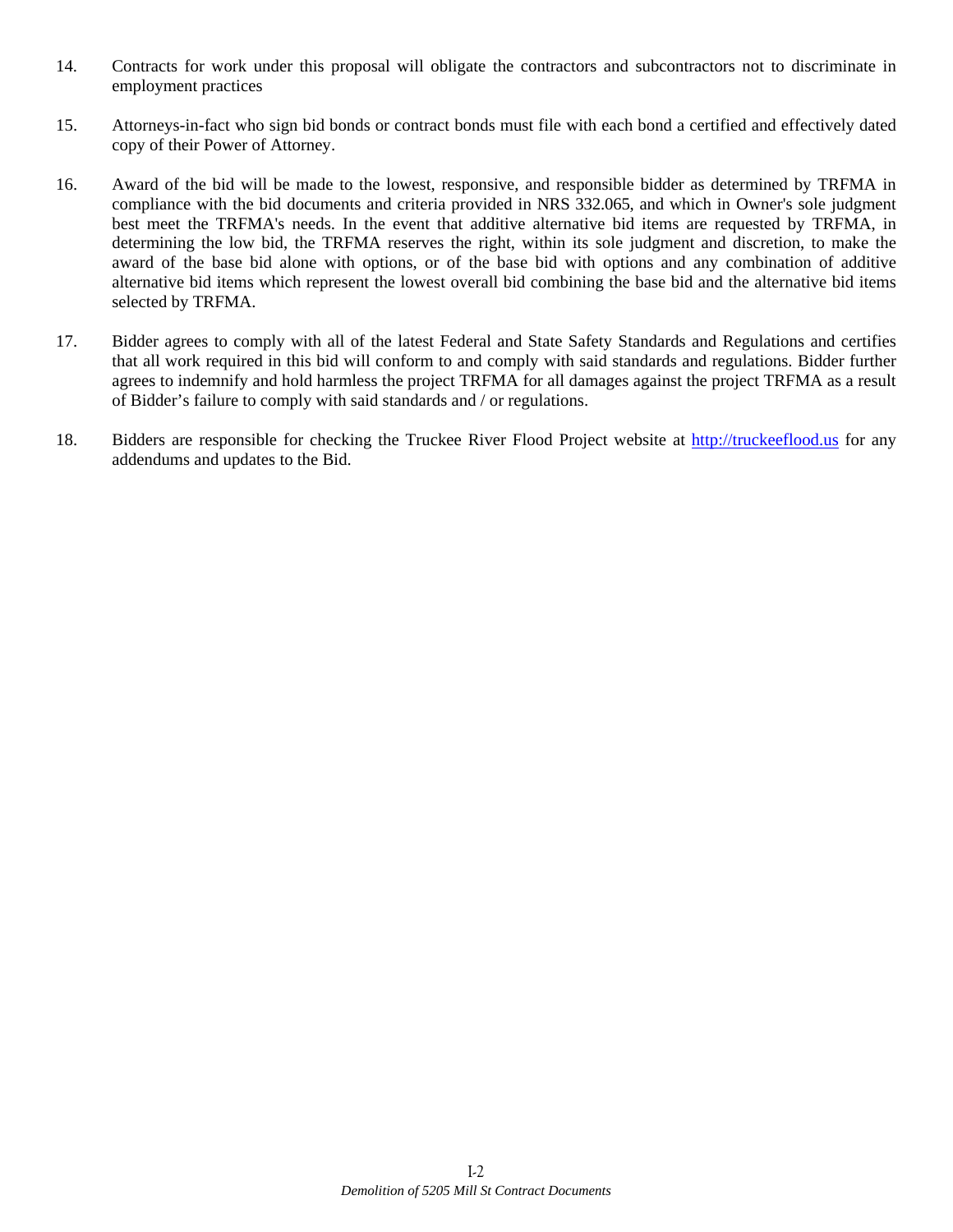- 14. Contracts for work under this proposal will obligate the contractors and subcontractors not to discriminate in employment practices
- 15. Attorneys-in-fact who sign bid bonds or contract bonds must file with each bond a certified and effectively dated copy of their Power of Attorney.
- 16. Award of the bid will be made to the lowest, responsive, and responsible bidder as determined by TRFMA in compliance with the bid documents and criteria provided in NRS 332.065, and which in Owner's sole judgment best meet the TRFMA's needs. In the event that additive alternative bid items are requested by TRFMA, in determining the low bid, the TRFMA reserves the right, within its sole judgment and discretion, to make the award of the base bid alone with options, or of the base bid with options and any combination of additive alternative bid items which represent the lowest overall bid combining the base bid and the alternative bid items selected by TRFMA.
- 17. Bidder agrees to comply with all of the latest Federal and State Safety Standards and Regulations and certifies that all work required in this bid will conform to and comply with said standards and regulations. Bidder further agrees to indemnify and hold harmless the project TRFMA for all damages against the project TRFMA as a result of Bidder's failure to comply with said standards and / or regulations.
- 18. Bidders are responsible for checking the Truckee River Flood Project website at http://truckeeflood.us for any addendums and updates to the Bid.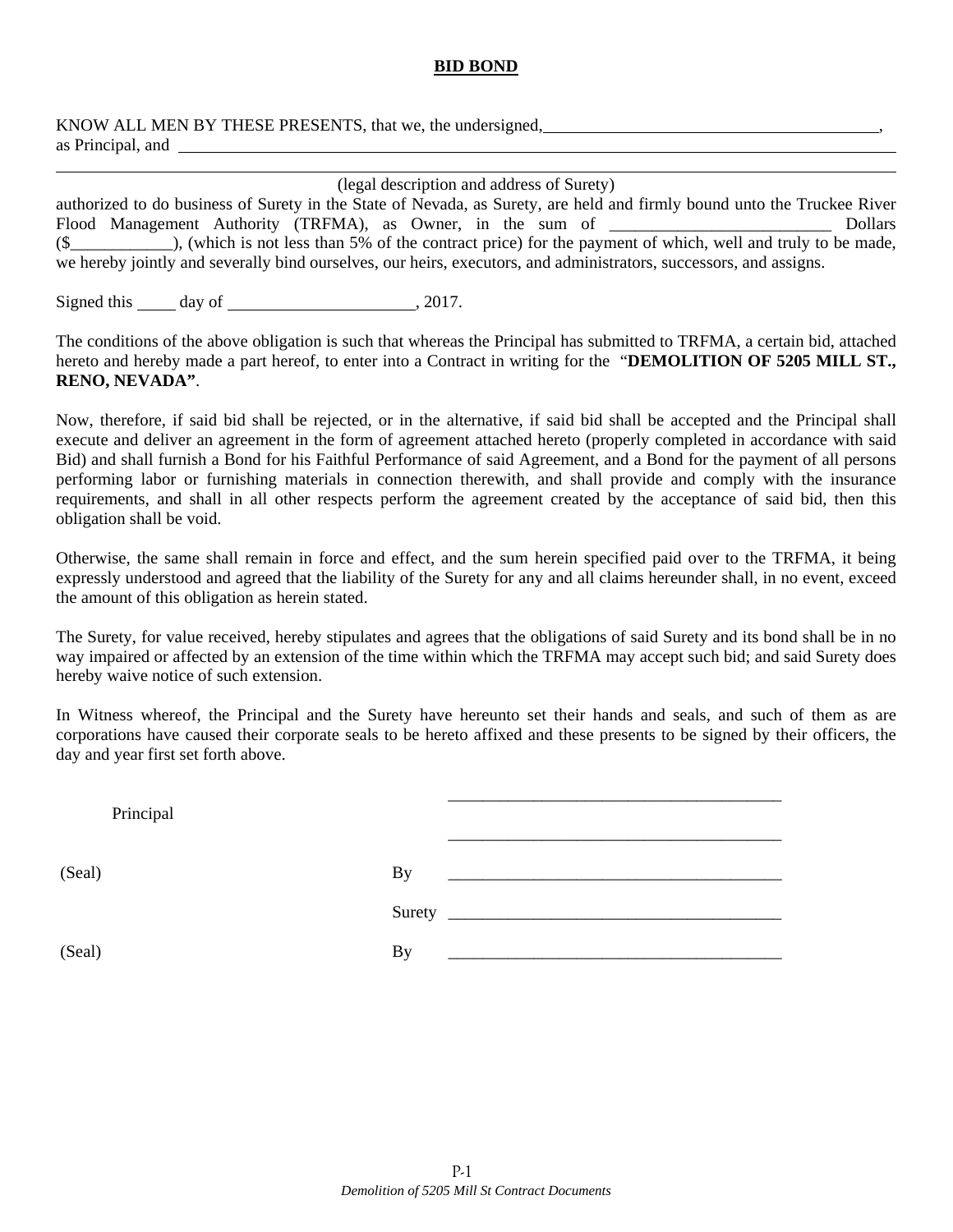## **BID BOND**

KNOW ALL MEN BY THESE PRESENTS, that we, the undersigned, as Principal, and

| (legal description and address of Surety)                                                                               |                              |  |  |       |  |                                                                                                              |
|-------------------------------------------------------------------------------------------------------------------------|------------------------------|--|--|-------|--|--------------------------------------------------------------------------------------------------------------|
| authorized to do business of Surety in the State of Nevada, as Surety, are held and firmly bound unto the Truckee River |                              |  |  |       |  |                                                                                                              |
|                                                                                                                         |                              |  |  |       |  | Flood Management Authority (TRFMA), as Owner, in the sum of ____________________<br>Dollars                  |
|                                                                                                                         |                              |  |  |       |  | $(\$$ (which is not less than 5% of the contract price) for the payment of which, well and truly to be made, |
| we hereby jointly and severally bind ourselves, our heirs, executors, and administrators, successors, and assigns.      |                              |  |  |       |  |                                                                                                              |
|                                                                                                                         |                              |  |  |       |  |                                                                                                              |
|                                                                                                                         | Signed this ______<br>day of |  |  | 2017. |  |                                                                                                              |

The conditions of the above obligation is such that whereas the Principal has submitted to TRFMA, a certain bid, attached hereto and hereby made a part hereof, to enter into a Contract in writing for the "**DEMOLITION OF 5205 MILL ST., RENO, NEVADA"**.

Now, therefore, if said bid shall be rejected, or in the alternative, if said bid shall be accepted and the Principal shall execute and deliver an agreement in the form of agreement attached hereto (properly completed in accordance with said Bid) and shall furnish a Bond for his Faithful Performance of said Agreement, and a Bond for the payment of all persons performing labor or furnishing materials in connection therewith, and shall provide and comply with the insurance requirements, and shall in all other respects perform the agreement created by the acceptance of said bid, then this obligation shall be void.

Otherwise, the same shall remain in force and effect, and the sum herein specified paid over to the TRFMA, it being expressly understood and agreed that the liability of the Surety for any and all claims hereunder shall, in no event, exceed the amount of this obligation as herein stated.

The Surety, for value received, hereby stipulates and agrees that the obligations of said Surety and its bond shall be in no way impaired or affected by an extension of the time within which the TRFMA may accept such bid; and said Surety does hereby waive notice of such extension.

In Witness whereof, the Principal and the Surety have hereunto set their hands and seals, and such of them as are corporations have caused their corporate seals to be hereto affixed and these presents to be signed by their officers, the day and year first set forth above.

| Principal |                                                                  |
|-----------|------------------------------------------------------------------|
| (Seal)    | <b>By</b><br><u> 1980 - Johann Stein, mars eta biztanleria (</u> |
|           |                                                                  |
| (Seal)    | By                                                               |

l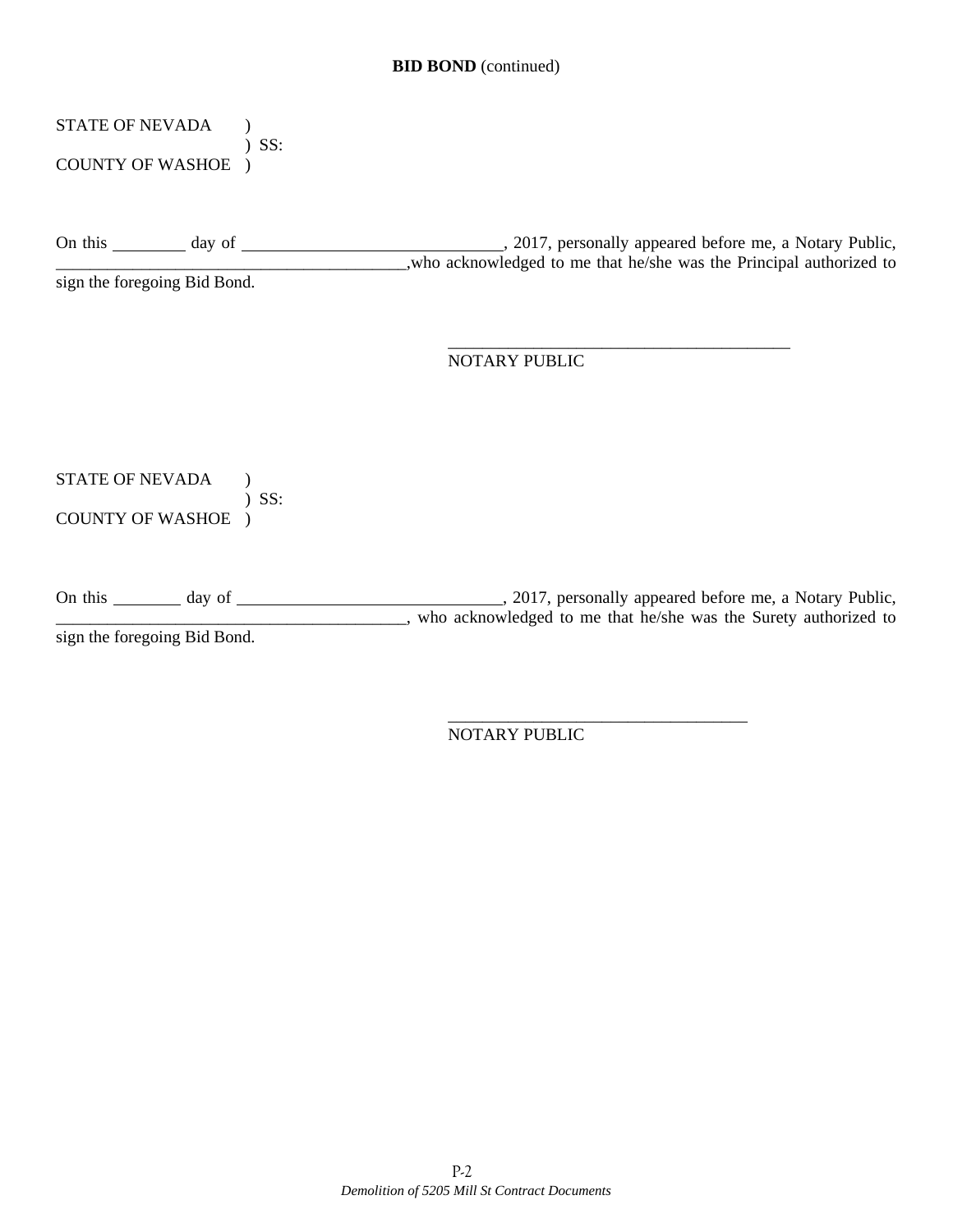# STATE OF NEVADA ( ) SS:

COUNTY OF WASHOE )

On this day of , 2017, personally appeared before me, a Notary Public, who acknowledged to me that he/she was the Principal authorized to

sign the foregoing Bid Bond.

 $\overline{\phantom{a}}$  , which is a set of the contract of the contract of the contract of the contract of the contract of the contract of the contract of the contract of the contract of the contract of the contract of the contract NOTARY PUBLIC

# STATE OF NEVADA )

 ) SS: COUNTY OF WASHOE )

On this day of day of  $\frac{1}{2017}$ , personally appeared before me, a Notary Public, who acknowledged to me that he/she was the Surety authorized to sign the foregoing Bid Bond.

 $\overline{\phantom{a}}$  , which is a set of the set of the set of the set of the set of the set of the set of the set of the set of the set of the set of the set of the set of the set of the set of the set of the set of the set of th NOTARY PUBLIC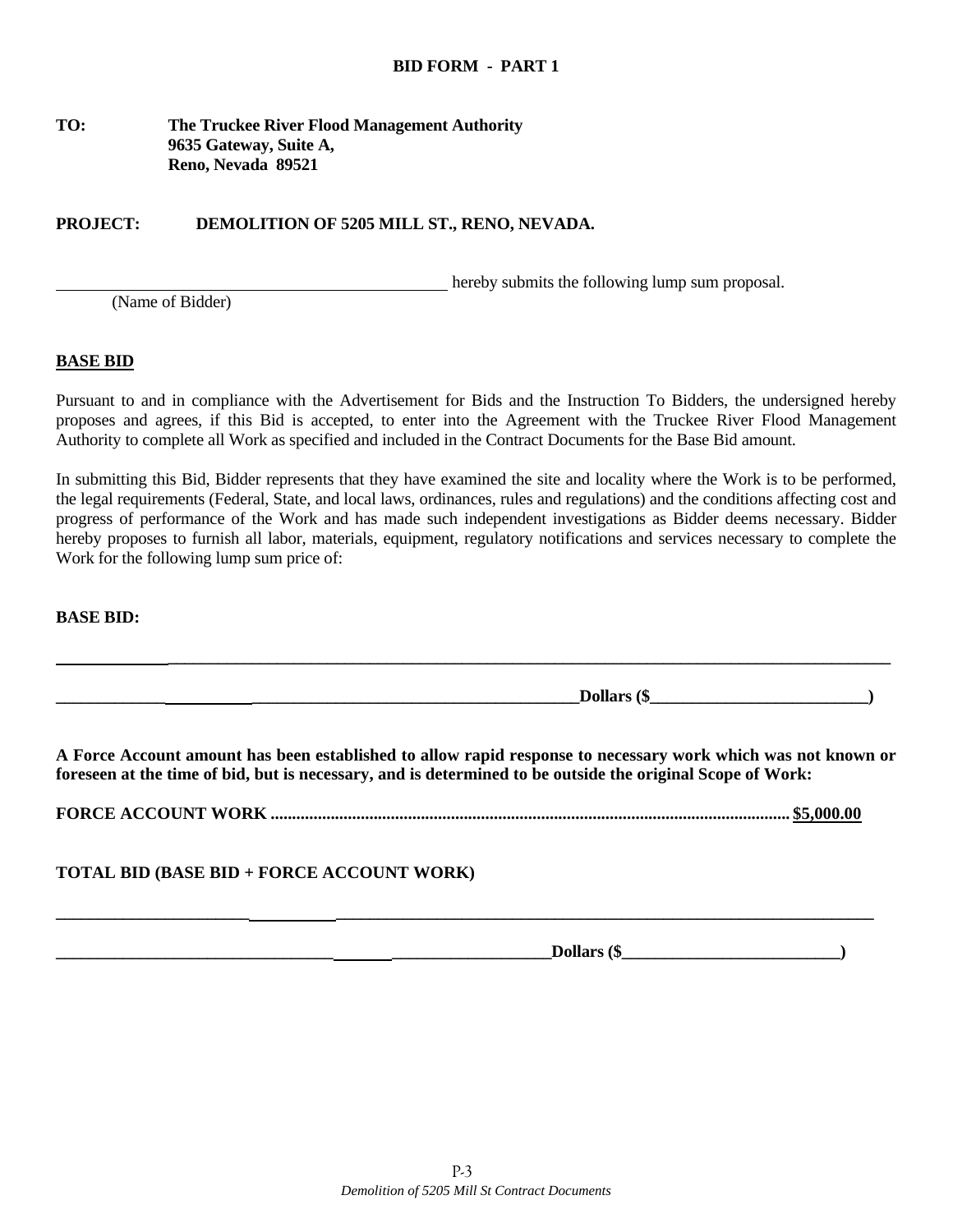## **TO: The Truckee River Flood Management Authority 9635 Gateway, Suite A, Reno, Nevada 89521**

## **PROJECT: DEMOLITION OF 5205 MILL ST., RENO, NEVADA.**

hereby submits the following lump sum proposal.

(Name of Bidder)

#### **BASE BID**

Pursuant to and in compliance with the Advertisement for Bids and the Instruction To Bidders, the undersigned hereby proposes and agrees, if this Bid is accepted, to enter into the Agreement with the Truckee River Flood Management Authority to complete all Work as specified and included in the Contract Documents for the Base Bid amount.

In submitting this Bid, Bidder represents that they have examined the site and locality where the Work is to be performed, the legal requirements (Federal, State, and local laws, ordinances, rules and regulations) and the conditions affecting cost and progress of performance of the Work and has made such independent investigations as Bidder deems necessary. Bidder hereby proposes to furnish all labor, materials, equipment, regulatory notifications and services necessary to complete the Work for the following lump sum price of:

**BASE BID:** 

**A Force Account amount has been established to allow rapid response to necessary work which was not known or foreseen at the time of bid, but is necessary, and is determined to be outside the original Scope of Work:** 

 **\_\_\_\_\_\_\_\_\_\_\_\_\_\_\_\_\_\_\_\_\_\_\_\_\_\_\_\_\_\_\_\_\_\_\_\_\_\_\_\_\_\_\_\_\_\_\_\_\_\_\_\_\_\_\_\_\_\_\_\_\_\_\_\_\_\_\_\_\_\_\_\_\_\_\_\_\_\_\_\_\_\_\_\_\_\_** 

**\_\_\_\_\_\_\_\_\_\_\_\_\_ \_\_\_\_\_\_\_\_\_\_\_\_\_\_\_\_\_\_\_\_\_\_\_\_\_\_\_\_\_\_\_\_\_\_\_\_\_\_\_Dollars (\$\_\_\_\_\_\_\_\_\_\_\_\_\_\_\_\_\_\_\_\_\_\_\_\_\_\_)** 

**FORCE ACCOUNT WORK ......................................................................................................................... \$5,000.00** 

**\_\_\_\_\_\_\_\_\_\_\_\_\_\_\_\_\_\_\_\_\_\_\_ \_\_\_\_\_\_\_\_\_\_\_\_\_\_\_\_\_\_\_\_\_\_\_\_\_\_\_\_\_\_\_\_\_\_\_\_\_\_\_\_\_\_\_\_\_\_\_\_\_\_\_\_\_\_\_\_\_\_\_\_\_\_\_\_** 

**TOTAL BID (BASE BID + FORCE ACCOUNT WORK)** 

**\_\_\_\_\_\_\_\_\_\_\_\_\_\_\_\_\_\_\_\_\_\_\_\_\_\_\_\_\_\_\_\_\_ \_\_\_\_\_\_\_\_\_\_\_\_\_\_\_\_\_\_\_Dollars (\$\_\_\_\_\_\_\_\_\_\_\_\_\_\_\_\_\_\_\_\_\_\_\_\_\_\_)**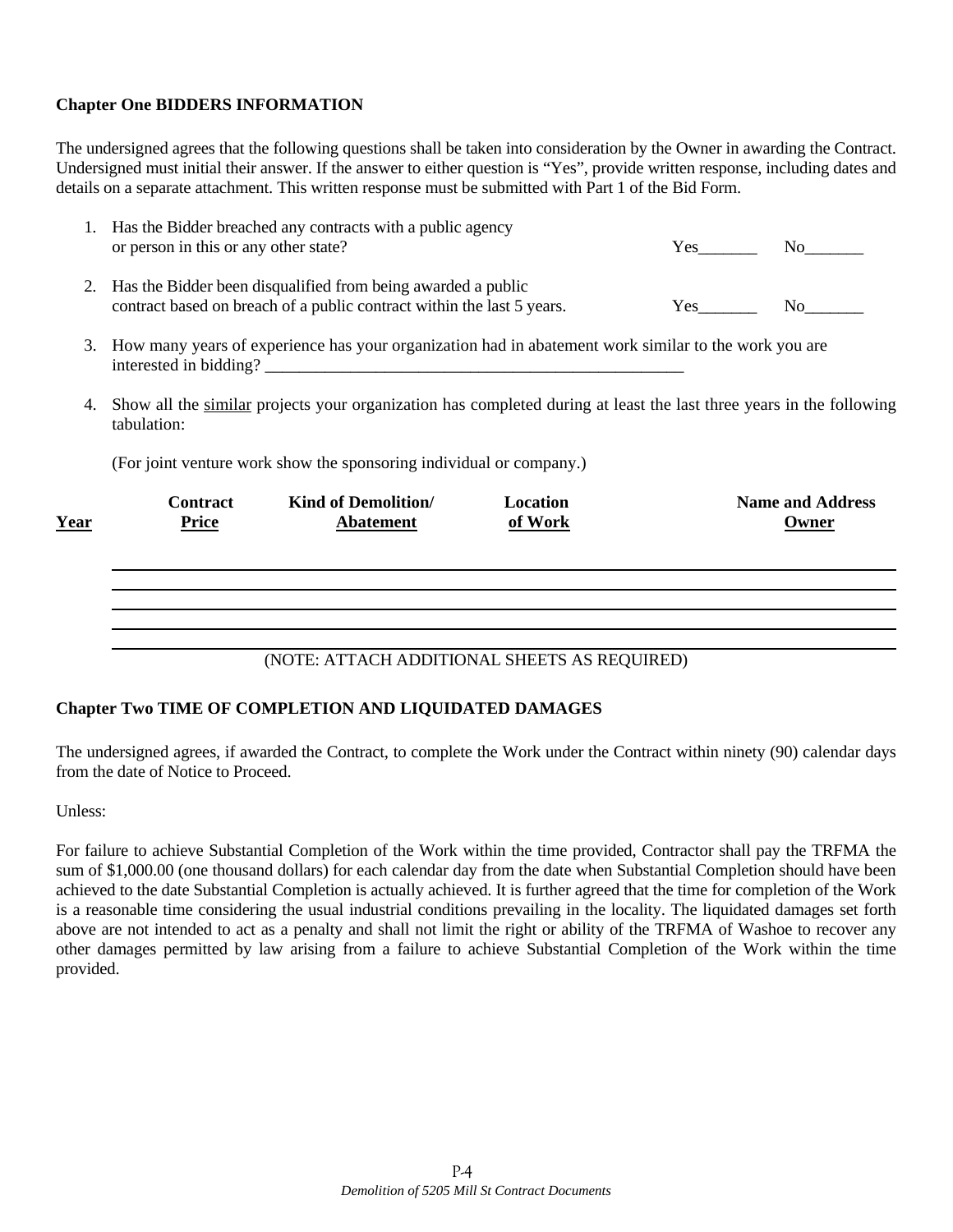## **Chapter One BIDDERS INFORMATION**

The undersigned agrees that the following questions shall be taken into consideration by the Owner in awarding the Contract. Undersigned must initial their answer. If the answer to either question is "Yes", provide written response, including dates and details on a separate attachment. This written response must be submitted with Part 1 of the Bid Form.

|    | <b>Contract</b> | <b>Kind of Demolition/</b>                                                                                                             | Location |     | <b>Name and Address</b>                                                                                                                                                                                                       |
|----|-----------------|----------------------------------------------------------------------------------------------------------------------------------------|----------|-----|-------------------------------------------------------------------------------------------------------------------------------------------------------------------------------------------------------------------------------|
|    |                 | (For joint venture work show the sponsoring individual or company.)                                                                    |          |     |                                                                                                                                                                                                                               |
| 4. | tabulation:     | Show all the similar projects your organization has completed during at least the last three years in the following                    |          |     |                                                                                                                                                                                                                               |
| 3. |                 | How many years of experience has your organization had in abatement work similar to the work you are                                   |          |     |                                                                                                                                                                                                                               |
| 2. |                 | Has the Bidder been disqualified from being awarded a public<br>contract based on breach of a public contract within the last 5 years. |          | Yes | No note that the set of the set of the set of the set of the set of the set of the set of the set of the set of the set of the set of the set of the set of the set of the set of the set of the set of the set of the set of |
|    |                 | or person in this or any other state?                                                                                                  |          |     | Yes No                                                                                                                                                                                                                        |

## (NOTE: ATTACH ADDITIONAL SHEETS AS REQUIRED)

## **Chapter Two TIME OF COMPLETION AND LIQUIDATED DAMAGES**

The undersigned agrees, if awarded the Contract, to complete the Work under the Contract within ninety (90) calendar days from the date of Notice to Proceed.

Unless:

For failure to achieve Substantial Completion of the Work within the time provided, Contractor shall pay the TRFMA the sum of \$1,000.00 (one thousand dollars) for each calendar day from the date when Substantial Completion should have been achieved to the date Substantial Completion is actually achieved. It is further agreed that the time for completion of the Work is a reasonable time considering the usual industrial conditions prevailing in the locality. The liquidated damages set forth above are not intended to act as a penalty and shall not limit the right or ability of the TRFMA of Washoe to recover any other damages permitted by law arising from a failure to achieve Substantial Completion of the Work within the time provided.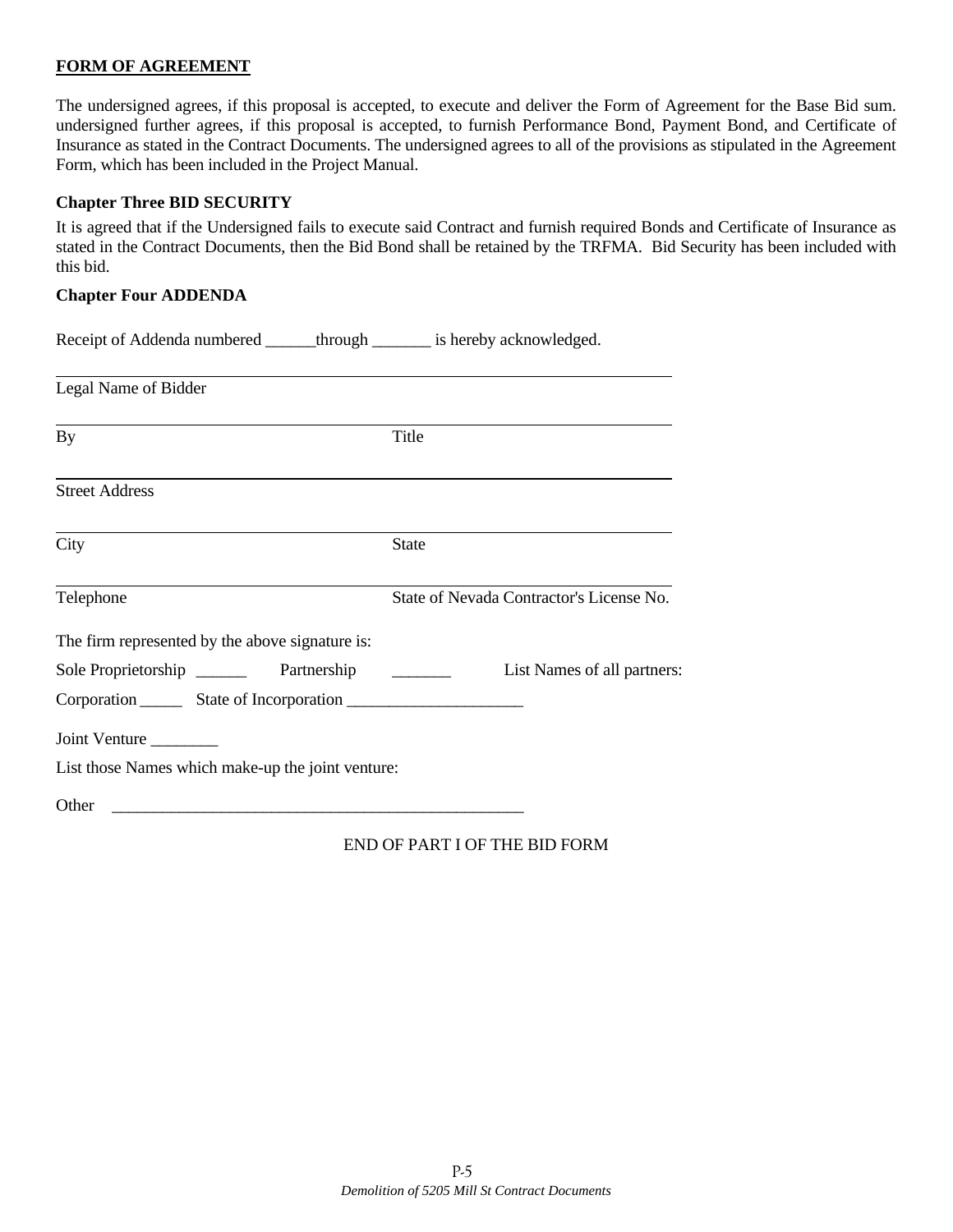## **FORM OF AGREEMENT**

The undersigned agrees, if this proposal is accepted, to execute and deliver the Form of Agreement for the Base Bid sum. undersigned further agrees, if this proposal is accepted, to furnish Performance Bond, Payment Bond, and Certificate of Insurance as stated in the Contract Documents. The undersigned agrees to all of the provisions as stipulated in the Agreement Form, which has been included in the Project Manual.

## **Chapter Three BID SECURITY**

It is agreed that if the Undersigned fails to execute said Contract and furnish required Bonds and Certificate of Insurance as stated in the Contract Documents, then the Bid Bond shall be retained by the TRFMA. Bid Security has been included with this bid.

#### **Chapter Four ADDENDA**

| Receipt of Addenda numbered ______ through _______ is hereby acknowledged. |                                          |
|----------------------------------------------------------------------------|------------------------------------------|
| Legal Name of Bidder                                                       |                                          |
| By                                                                         | Title                                    |
| <b>Street Address</b>                                                      |                                          |
| City                                                                       | <b>State</b>                             |
| Telephone                                                                  | State of Nevada Contractor's License No. |
| The firm represented by the above signature is:                            |                                          |
| Sole Proprietorship _________ Partnership                                  | List Names of all partners:              |
|                                                                            |                                          |
| Joint Venture                                                              |                                          |
| List those Names which make-up the joint venture:                          |                                          |
| Other                                                                      |                                          |

END OF PART I OF THE BID FORM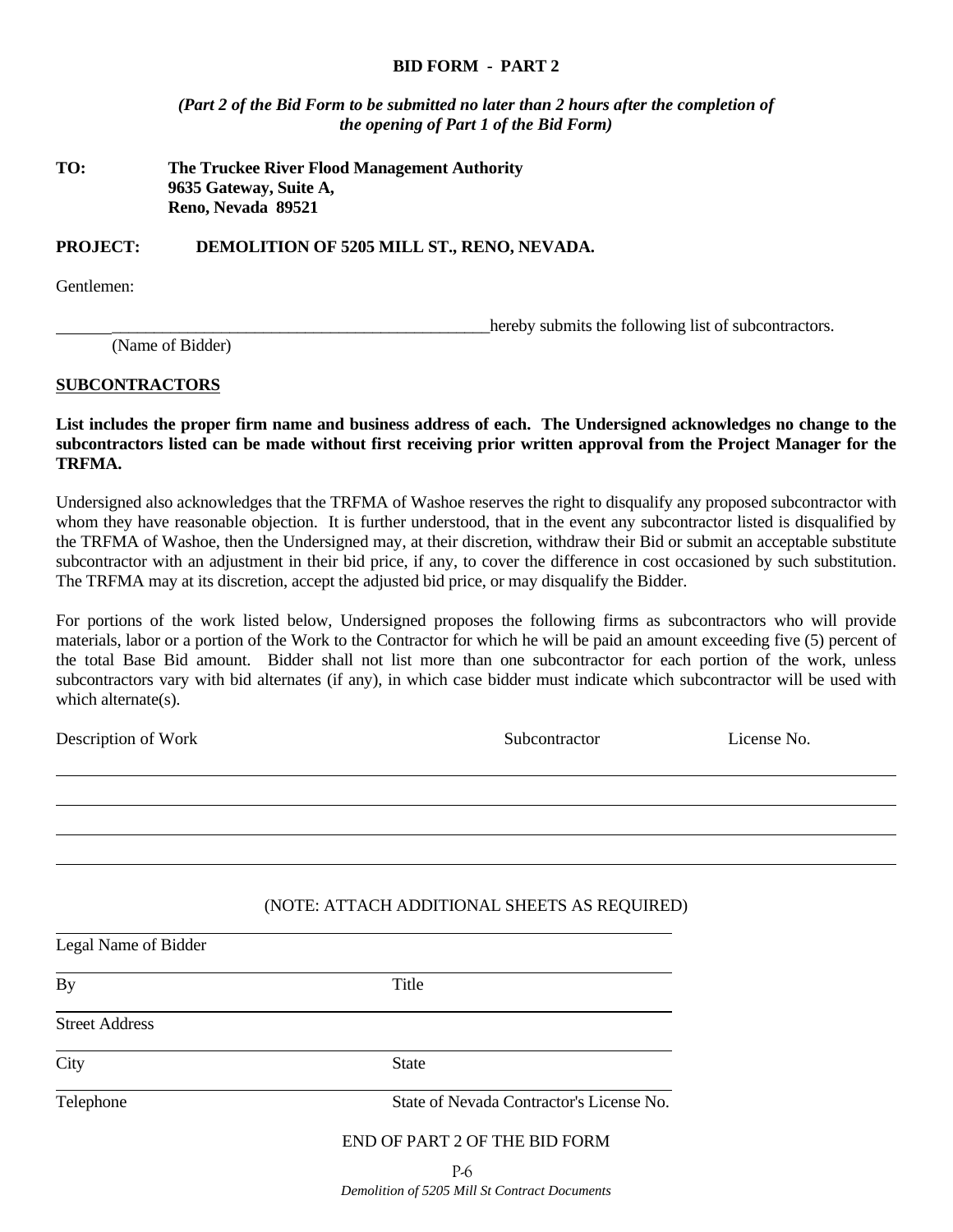#### **BID FORM - PART 2**

*(Part 2 of the Bid Form to be submitted no later than 2 hours after the completion of the opening of Part 1 of the Bid Form)* 

## **TO: The Truckee River Flood Management Authority 9635 Gateway, Suite A, Reno, Nevada 89521**

**PROJECT: DEMOLITION OF 5205 MILL ST., RENO, NEVADA.** 

Gentlemen:

hereby submits the following list of subcontractors.

(Name of Bidder)

#### **SUBCONTRACTORS**

**List includes the proper firm name and business address of each. The Undersigned acknowledges no change to the subcontractors listed can be made without first receiving prior written approval from the Project Manager for the TRFMA.** 

Undersigned also acknowledges that the TRFMA of Washoe reserves the right to disqualify any proposed subcontractor with whom they have reasonable objection. It is further understood, that in the event any subcontractor listed is disqualified by the TRFMA of Washoe, then the Undersigned may, at their discretion, withdraw their Bid or submit an acceptable substitute subcontractor with an adjustment in their bid price, if any, to cover the difference in cost occasioned by such substitution. The TRFMA may at its discretion, accept the adjusted bid price, or may disqualify the Bidder.

For portions of the work listed below, Undersigned proposes the following firms as subcontractors who will provide materials, labor or a portion of the Work to the Contractor for which he will be paid an amount exceeding five (5) percent of the total Base Bid amount. Bidder shall not list more than one subcontractor for each portion of the work, unless subcontractors vary with bid alternates (if any), in which case bidder must indicate which subcontractor will be used with which alternate(s).

Description of Work Subcontractor Cicense No.

P-6 l (NOTE: ATTACH ADDITIONAL SHEETS AS REQUIRED) l Legal Name of Bidder By Title Street Address City State Telephone State of Nevada Contractor's License No. END OF PART 2 OF THE BID FORM

*Demolition of 5205 Mill St Contract Documents*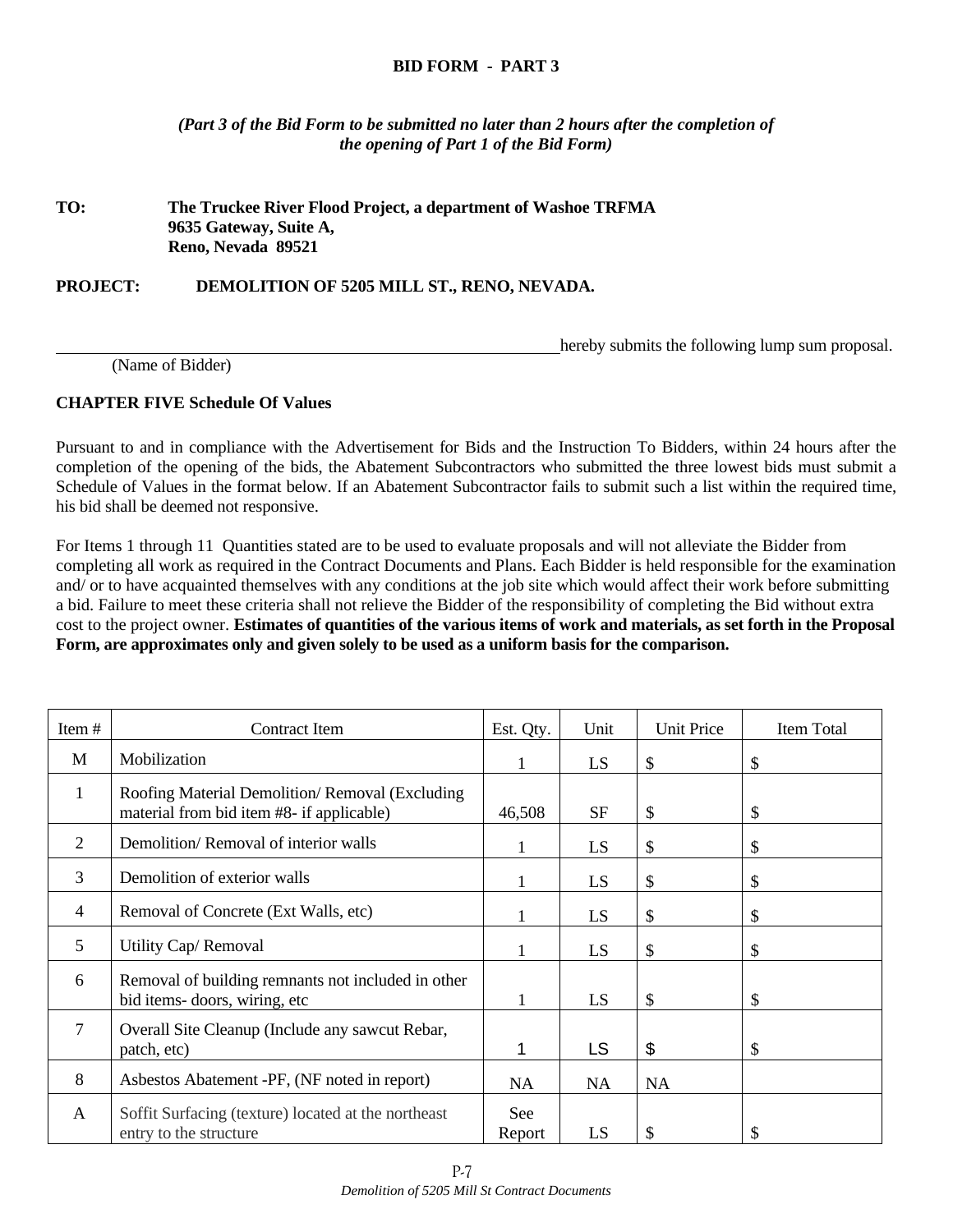## **BID FORM - PART 3**

*(Part 3 of the Bid Form to be submitted no later than 2 hours after the completion of the opening of Part 1 of the Bid Form)* 

## **TO: The Truckee River Flood Project, a department of Washoe TRFMA 9635 Gateway, Suite A, Reno, Nevada 89521**

**PROJECT: DEMOLITION OF 5205 MILL ST., RENO, NEVADA.** 

hereby submits the following lump sum proposal.

(Name of Bidder)

## **CHAPTER FIVE Schedule Of Values**

Pursuant to and in compliance with the Advertisement for Bids and the Instruction To Bidders, within 24 hours after the completion of the opening of the bids, the Abatement Subcontractors who submitted the three lowest bids must submit a Schedule of Values in the format below. If an Abatement Subcontractor fails to submit such a list within the required time, his bid shall be deemed not responsive.

For Items 1 through 11 Quantities stated are to be used to evaluate proposals and will not alleviate the Bidder from completing all work as required in the Contract Documents and Plans. Each Bidder is held responsible for the examination and/ or to have acquainted themselves with any conditions at the job site which would affect their work before submitting a bid. Failure to meet these criteria shall not relieve the Bidder of the responsibility of completing the Bid without extra cost to the project owner. **Estimates of quantities of the various items of work and materials, as set forth in the Proposal Form, are approximates only and given solely to be used as a uniform basis for the comparison.** 

| Item#          | Contract Item                                                                               | Est. Qty.     | Unit      | <b>Unit Price</b> | Item Total |
|----------------|---------------------------------------------------------------------------------------------|---------------|-----------|-------------------|------------|
| M              | Mobilization                                                                                |               | LS        | \$                | \$         |
| 1              | Roofing Material Demolition/Removal (Excluding<br>material from bid item #8- if applicable) | 46,508        | <b>SF</b> | \$                | \$         |
| 2              | Demolition/Removal of interior walls                                                        |               | LS        | \$                | \$         |
| 3              | Demolition of exterior walls                                                                |               | LS        | \$                | \$         |
| $\overline{4}$ | Removal of Concrete (Ext Walls, etc)                                                        |               | LS        | \$                | \$         |
| 5              | Utility Cap/Removal                                                                         |               | LS        | \$                | \$         |
| 6              | Removal of building remnants not included in other<br>bid items-doors, wiring, etc          |               | LS        | \$                | \$         |
| 7              | Overall Site Cleanup (Include any sawcut Rebar,<br>patch, etc)                              |               | LS        | \$                | \$         |
| 8              | Asbestos Abatement -PF, (NF noted in report)                                                | <b>NA</b>     | <b>NA</b> | <b>NA</b>         |            |
| A              | Soffit Surfacing (texture) located at the northeast<br>entry to the structure               | See<br>Report | LS        | \$                | \$         |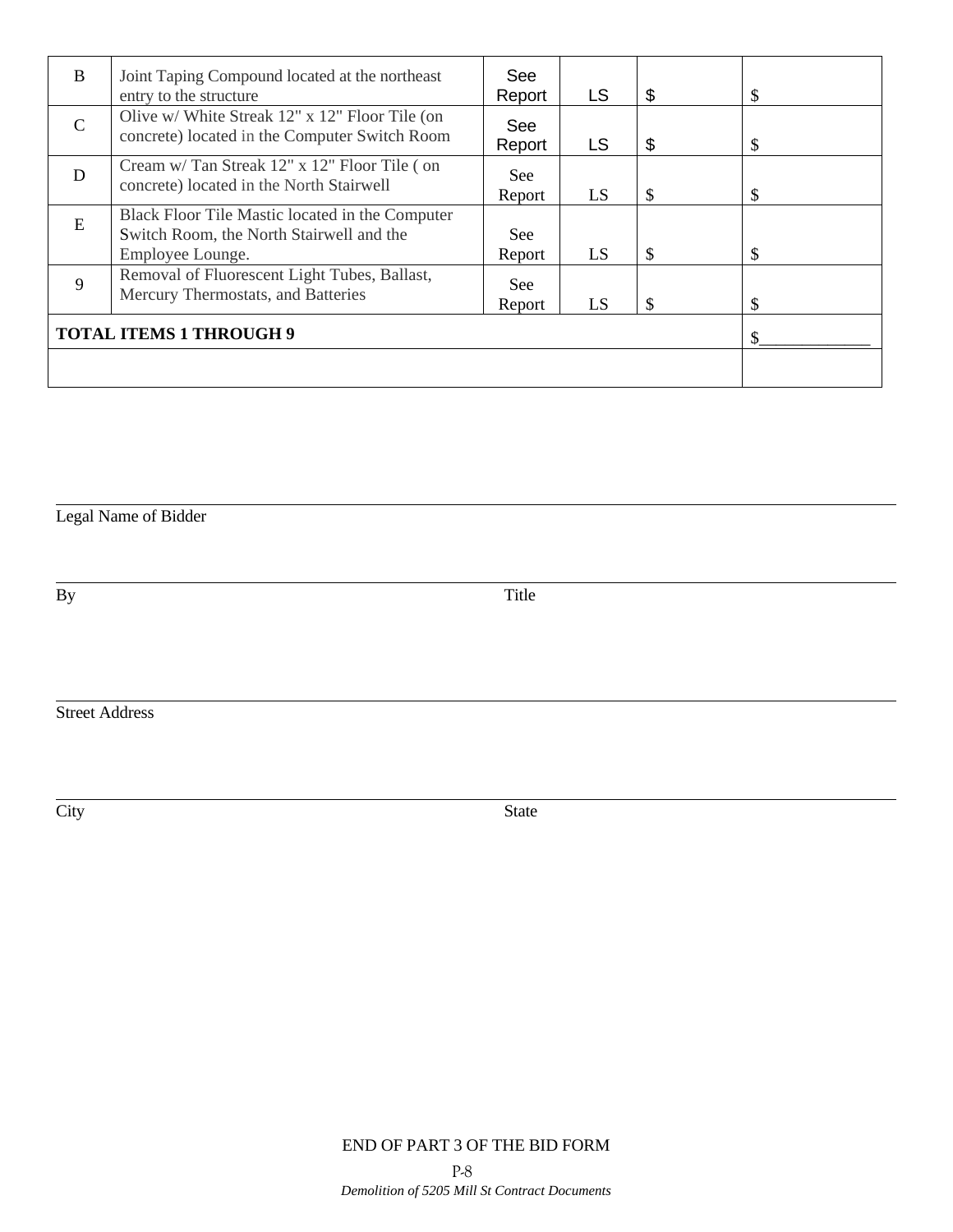| <sub>B</sub>                   | Joint Taping Compound located at the northeast                                                  | See    |           |    |    |
|--------------------------------|-------------------------------------------------------------------------------------------------|--------|-----------|----|----|
|                                | entry to the structure                                                                          | Report | LS        | \$ | \$ |
| $\mathcal{C}$                  | Olive w/ White Streak 12" x 12" Floor Tile (on<br>concrete) located in the Computer Switch Room | See    |           |    |    |
|                                |                                                                                                 | Report | <b>LS</b> | \$ | \$ |
| D                              | Cream w/ Tan Streak 12" x 12" Floor Tile (on<br>concrete) located in the North Stairwell        | See    |           |    |    |
|                                |                                                                                                 | Report | LS        | \$ | \$ |
|                                | Black Floor Tile Mastic located in the Computer                                                 |        |           |    |    |
| E                              | Switch Room, the North Stairwell and the                                                        | See:   |           |    |    |
|                                | Employee Lounge.                                                                                | Report | LS        | \$ | \$ |
| $\mathbf{Q}$                   | Removal of Fluorescent Light Tubes, Ballast,<br>Mercury Thermostats, and Batteries              | See    |           |    |    |
|                                |                                                                                                 | Report | LS        | \$ | \$ |
| <b>TOTAL ITEMS 1 THROUGH 9</b> |                                                                                                 |        |           |    |    |
|                                |                                                                                                 |        |           |    |    |

Legal Name of Bidder

l

l

By Title

Street Address

City State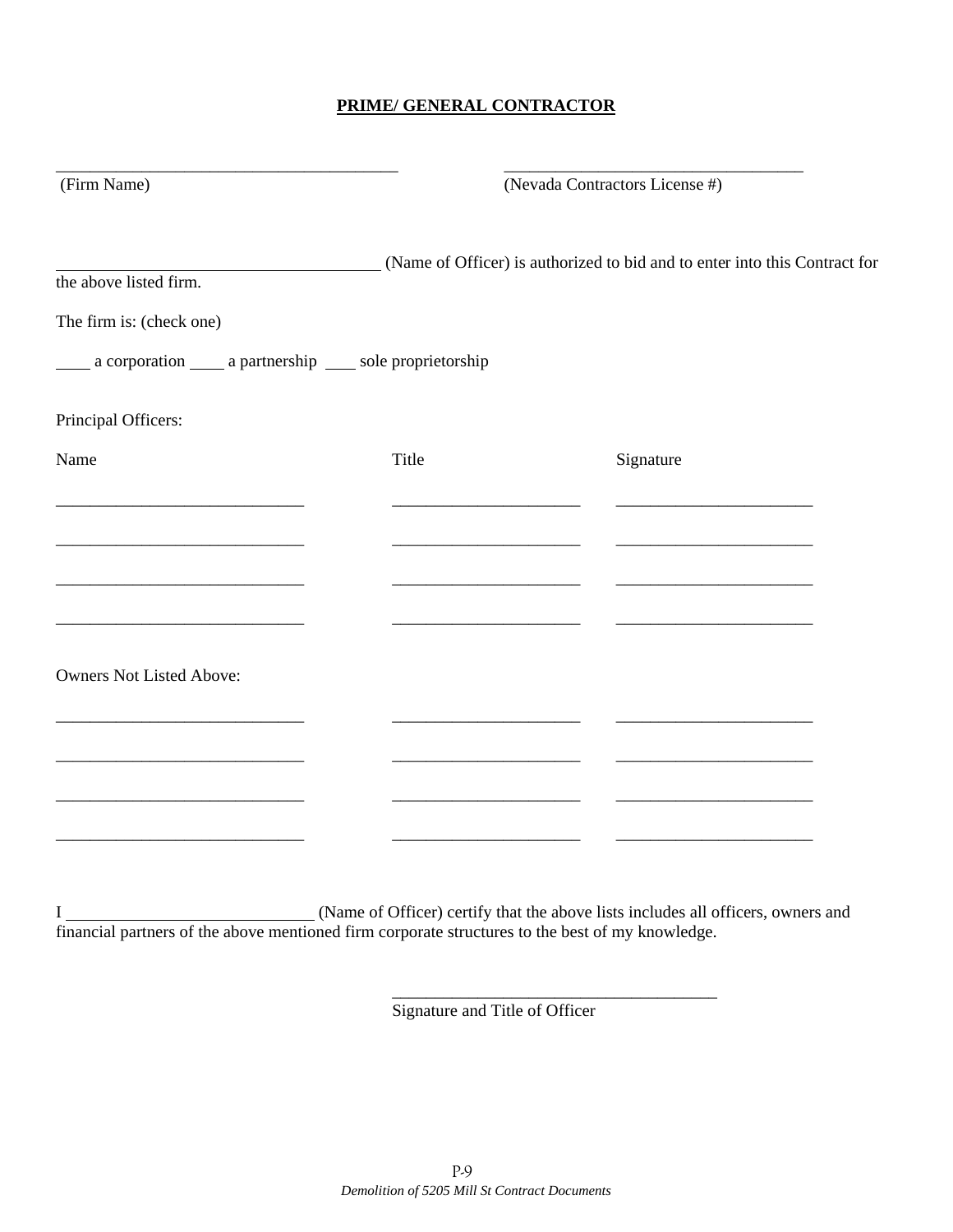# **PRIME/ GENERAL CONTRACTOR**

| (Firm Name)                                                       | (Nevada Contractors License #)                         |                                                                            |  |
|-------------------------------------------------------------------|--------------------------------------------------------|----------------------------------------------------------------------------|--|
| the above listed firm.                                            |                                                        | (Name of Officer) is authorized to bid and to enter into this Contract for |  |
| The firm is: (check one)                                          |                                                        |                                                                            |  |
| _____ a corporation _____ a partnership _____ sole proprietorship |                                                        |                                                                            |  |
| Principal Officers:                                               |                                                        |                                                                            |  |
| Name                                                              | Title                                                  | Signature                                                                  |  |
|                                                                   |                                                        |                                                                            |  |
|                                                                   |                                                        |                                                                            |  |
|                                                                   | <u> 1989 - Andrea Barbara, Amerikaansk politiker (</u> |                                                                            |  |
| <b>Owners Not Listed Above:</b>                                   |                                                        |                                                                            |  |
|                                                                   |                                                        |                                                                            |  |
|                                                                   |                                                        |                                                                            |  |
|                                                                   |                                                        |                                                                            |  |
|                                                                   |                                                        |                                                                            |  |

I (Name of Officer) certify that the above lists includes all officers, owners and financial partners of the above mentioned firm corporate structures to the best of my knowledge.

 $\overline{\phantom{a}}$  , and the contract of the contract of the contract of the contract of the contract of the contract of the contract of the contract of the contract of the contract of the contract of the contract of the contrac

Signature and Title of Officer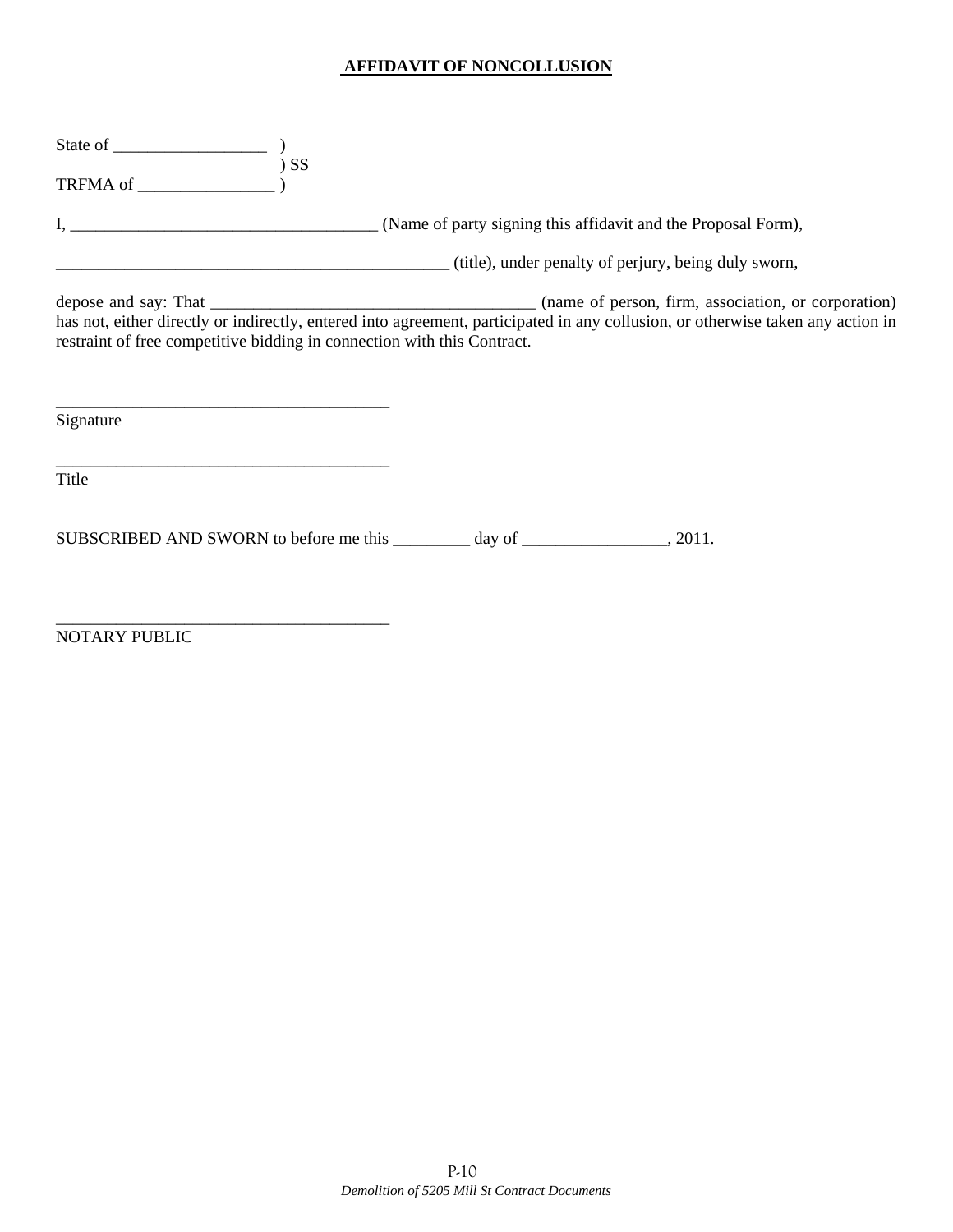## **AFFIDAVIT OF NONCOLLUSION**

|           | (title), under penalty of perjury, being duly sworn,                                                                                                                                                       |  |
|-----------|------------------------------------------------------------------------------------------------------------------------------------------------------------------------------------------------------------|--|
|           | has not, either directly or indirectly, entered into agreement, participated in any collusion, or otherwise taken any action in<br>restraint of free competitive bidding in connection with this Contract. |  |
| Signature |                                                                                                                                                                                                            |  |
| Title     |                                                                                                                                                                                                            |  |
|           |                                                                                                                                                                                                            |  |

NOTARY PUBLIC

\_\_\_\_\_\_\_\_\_\_\_\_\_\_\_\_\_\_\_\_\_\_\_\_\_\_\_\_\_\_\_\_\_\_\_\_\_\_\_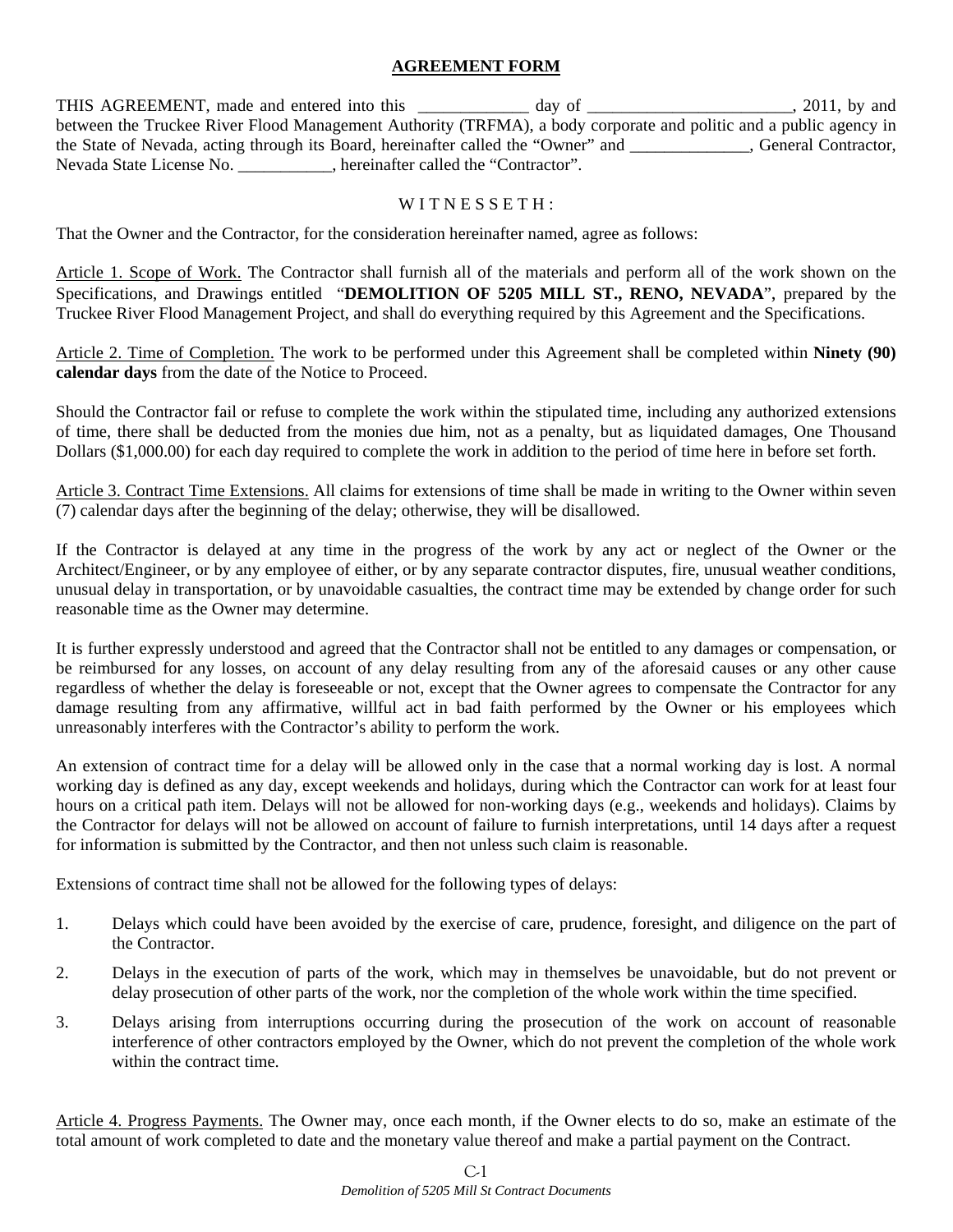## **AGREEMENT FORM**

THIS AGREEMENT, made and entered into this \_\_\_\_\_\_\_\_\_\_\_\_ day of \_\_\_\_\_\_\_\_\_\_\_\_\_\_\_\_\_\_\_, 2011, by and between the Truckee River Flood Management Authority (TRFMA), a body corporate and politic and a public agency in the State of Nevada, acting through its Board, hereinafter called the "Owner" and \_\_\_\_\_\_\_\_\_\_\_\_\_\_, General Contractor, Nevada State License No. \_\_\_\_\_\_\_\_\_\_\_, hereinafter called the "Contractor".

## WITNESSETH:

That the Owner and the Contractor, for the consideration hereinafter named, agree as follows:

Article 1. Scope of Work. The Contractor shall furnish all of the materials and perform all of the work shown on the Specifications, and Drawings entitled "**DEMOLITION OF 5205 MILL ST., RENO, NEVADA**", prepared by the Truckee River Flood Management Project, and shall do everything required by this Agreement and the Specifications.

Article 2. Time of Completion. The work to be performed under this Agreement shall be completed within **Ninety (90) calendar days** from the date of the Notice to Proceed.

Should the Contractor fail or refuse to complete the work within the stipulated time, including any authorized extensions of time, there shall be deducted from the monies due him, not as a penalty, but as liquidated damages, One Thousand Dollars (\$1,000.00) for each day required to complete the work in addition to the period of time here in before set forth.

Article 3. Contract Time Extensions. All claims for extensions of time shall be made in writing to the Owner within seven (7) calendar days after the beginning of the delay; otherwise, they will be disallowed.

If the Contractor is delayed at any time in the progress of the work by any act or neglect of the Owner or the Architect/Engineer, or by any employee of either, or by any separate contractor disputes, fire, unusual weather conditions, unusual delay in transportation, or by unavoidable casualties, the contract time may be extended by change order for such reasonable time as the Owner may determine.

It is further expressly understood and agreed that the Contractor shall not be entitled to any damages or compensation, or be reimbursed for any losses, on account of any delay resulting from any of the aforesaid causes or any other cause regardless of whether the delay is foreseeable or not, except that the Owner agrees to compensate the Contractor for any damage resulting from any affirmative, willful act in bad faith performed by the Owner or his employees which unreasonably interferes with the Contractor's ability to perform the work.

An extension of contract time for a delay will be allowed only in the case that a normal working day is lost. A normal working day is defined as any day, except weekends and holidays, during which the Contractor can work for at least four hours on a critical path item. Delays will not be allowed for non-working days (e.g., weekends and holidays). Claims by the Contractor for delays will not be allowed on account of failure to furnish interpretations, until 14 days after a request for information is submitted by the Contractor, and then not unless such claim is reasonable.

Extensions of contract time shall not be allowed for the following types of delays:

- 1. Delays which could have been avoided by the exercise of care, prudence, foresight, and diligence on the part of the Contractor.
- 2. Delays in the execution of parts of the work, which may in themselves be unavoidable, but do not prevent or delay prosecution of other parts of the work, nor the completion of the whole work within the time specified.
- 3. Delays arising from interruptions occurring during the prosecution of the work on account of reasonable interference of other contractors employed by the Owner, which do not prevent the completion of the whole work within the contract time.

Article 4. Progress Payments. The Owner may, once each month, if the Owner elects to do so, make an estimate of the total amount of work completed to date and the monetary value thereof and make a partial payment on the Contract.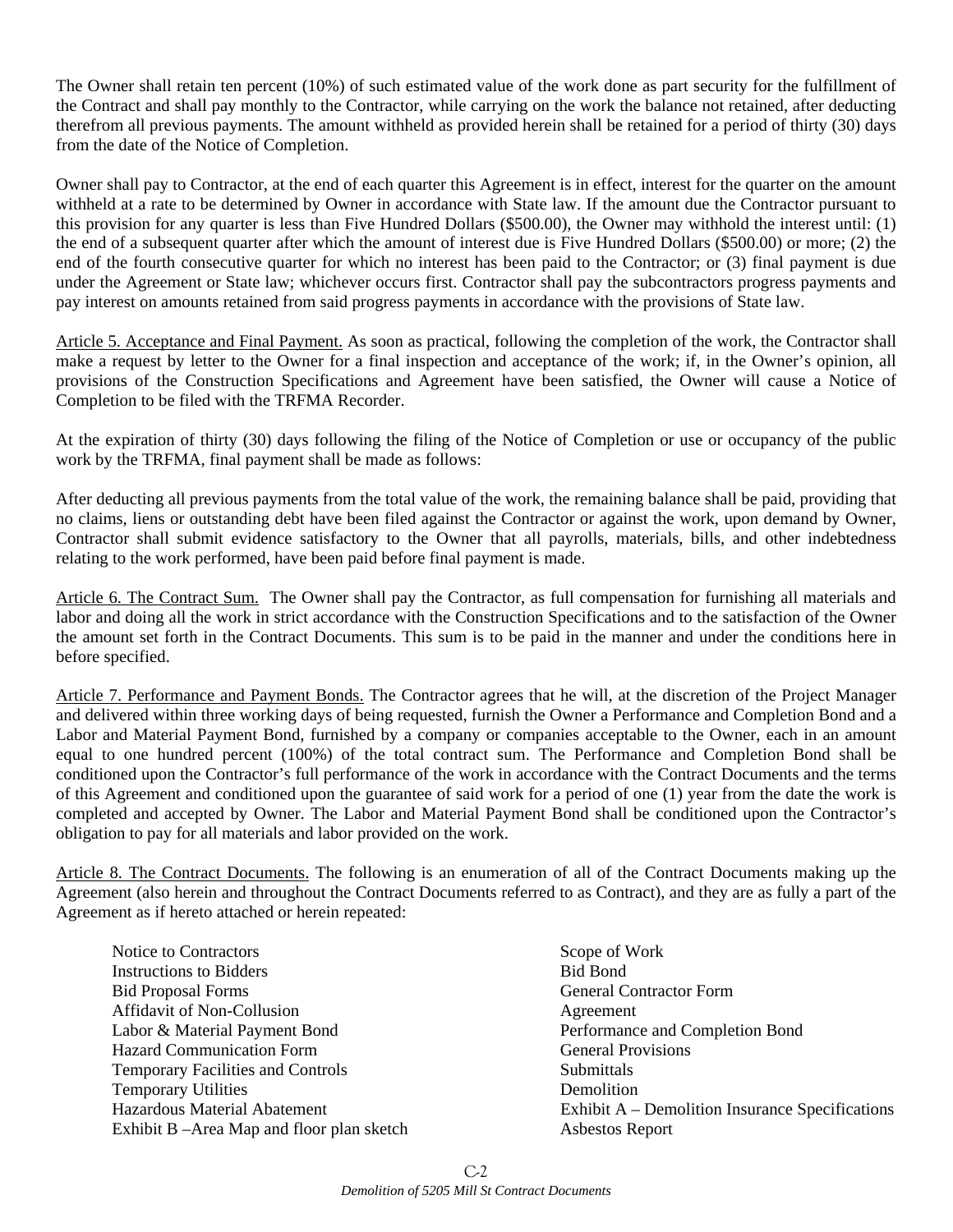The Owner shall retain ten percent (10%) of such estimated value of the work done as part security for the fulfillment of the Contract and shall pay monthly to the Contractor, while carrying on the work the balance not retained, after deducting therefrom all previous payments. The amount withheld as provided herein shall be retained for a period of thirty (30) days from the date of the Notice of Completion.

Owner shall pay to Contractor, at the end of each quarter this Agreement is in effect, interest for the quarter on the amount withheld at a rate to be determined by Owner in accordance with State law. If the amount due the Contractor pursuant to this provision for any quarter is less than Five Hundred Dollars (\$500.00), the Owner may withhold the interest until: (1) the end of a subsequent quarter after which the amount of interest due is Five Hundred Dollars (\$500.00) or more; (2) the end of the fourth consecutive quarter for which no interest has been paid to the Contractor; or (3) final payment is due under the Agreement or State law; whichever occurs first. Contractor shall pay the subcontractors progress payments and pay interest on amounts retained from said progress payments in accordance with the provisions of State law.

Article 5. Acceptance and Final Payment. As soon as practical, following the completion of the work, the Contractor shall make a request by letter to the Owner for a final inspection and acceptance of the work; if, in the Owner's opinion, all provisions of the Construction Specifications and Agreement have been satisfied, the Owner will cause a Notice of Completion to be filed with the TRFMA Recorder.

At the expiration of thirty (30) days following the filing of the Notice of Completion or use or occupancy of the public work by the TRFMA, final payment shall be made as follows:

After deducting all previous payments from the total value of the work, the remaining balance shall be paid, providing that no claims, liens or outstanding debt have been filed against the Contractor or against the work, upon demand by Owner, Contractor shall submit evidence satisfactory to the Owner that all payrolls, materials, bills, and other indebtedness relating to the work performed, have been paid before final payment is made.

Article 6. The Contract Sum. The Owner shall pay the Contractor, as full compensation for furnishing all materials and labor and doing all the work in strict accordance with the Construction Specifications and to the satisfaction of the Owner the amount set forth in the Contract Documents. This sum is to be paid in the manner and under the conditions here in before specified.

Article 7. Performance and Payment Bonds. The Contractor agrees that he will, at the discretion of the Project Manager and delivered within three working days of being requested, furnish the Owner a Performance and Completion Bond and a Labor and Material Payment Bond, furnished by a company or companies acceptable to the Owner, each in an amount equal to one hundred percent (100%) of the total contract sum. The Performance and Completion Bond shall be conditioned upon the Contractor's full performance of the work in accordance with the Contract Documents and the terms of this Agreement and conditioned upon the guarantee of said work for a period of one (1) year from the date the work is completed and accepted by Owner. The Labor and Material Payment Bond shall be conditioned upon the Contractor's obligation to pay for all materials and labor provided on the work.

Article 8. The Contract Documents. The following is an enumeration of all of the Contract Documents making up the Agreement (also herein and throughout the Contract Documents referred to as Contract), and they are as fully a part of the Agreement as if hereto attached or herein repeated:

- Notice to Contractors Scope of Work Instructions to Bidders Bid Bond Bid Proposal Forms General Contractor Form Affidavit of Non-Collusion Agreement Labor & Material Payment Bond Performance and Completion Bond Hazard Communication Form General Provisions Temporary Facilities and Controls Submittals Temporary Utilities Demolition Exhibit B –Area Map and floor plan sketch Asbestos Report
- Hazardous Material Abatement Exhibit A Demolition Insurance Specifications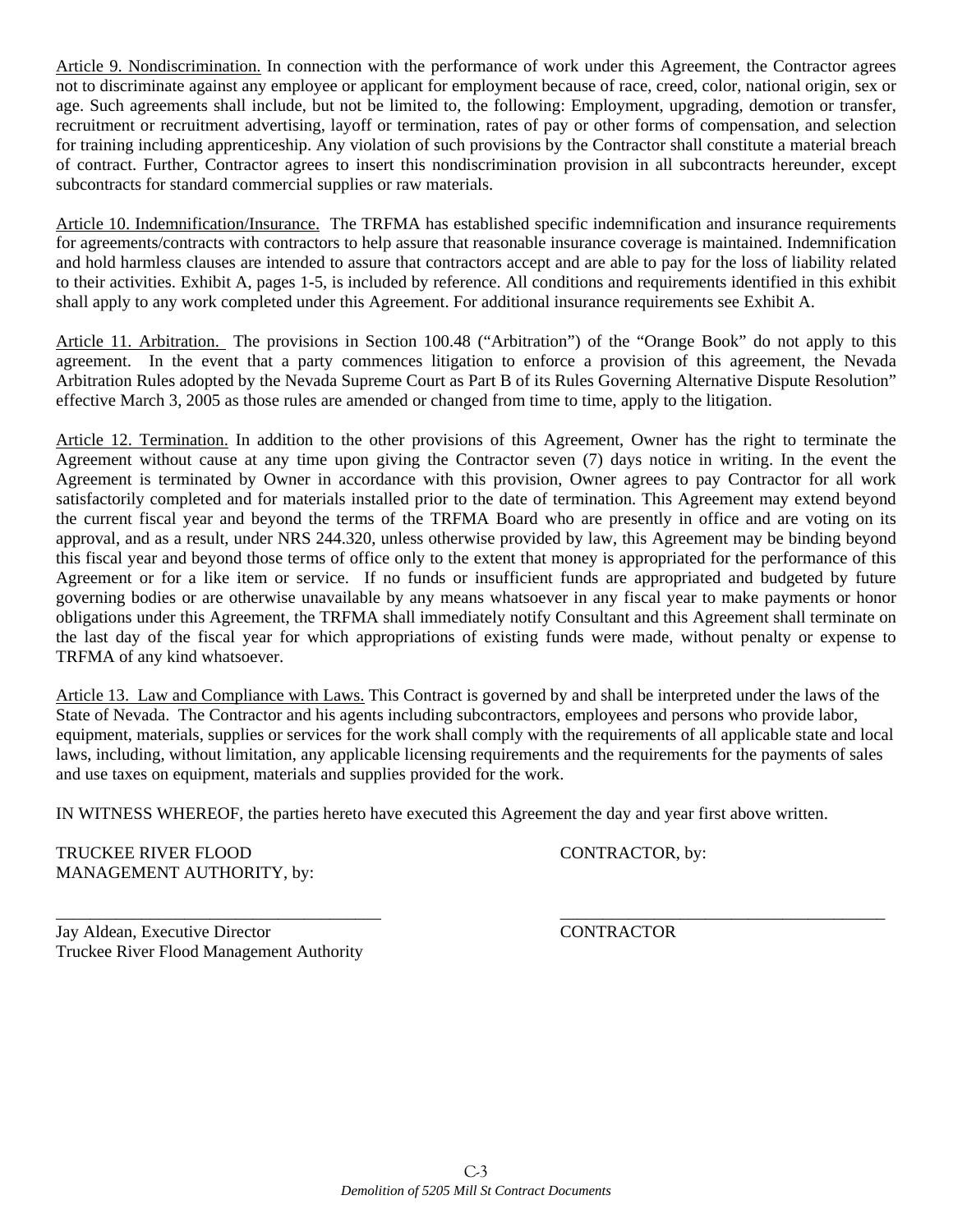Article 9. Nondiscrimination. In connection with the performance of work under this Agreement, the Contractor agrees not to discriminate against any employee or applicant for employment because of race, creed, color, national origin, sex or age. Such agreements shall include, but not be limited to, the following: Employment, upgrading, demotion or transfer, recruitment or recruitment advertising, layoff or termination, rates of pay or other forms of compensation, and selection for training including apprenticeship. Any violation of such provisions by the Contractor shall constitute a material breach of contract. Further, Contractor agrees to insert this nondiscrimination provision in all subcontracts hereunder, except subcontracts for standard commercial supplies or raw materials.

Article 10. Indemnification/Insurance. The TRFMA has established specific indemnification and insurance requirements for agreements/contracts with contractors to help assure that reasonable insurance coverage is maintained. Indemnification and hold harmless clauses are intended to assure that contractors accept and are able to pay for the loss of liability related to their activities. Exhibit A, pages 1-5, is included by reference. All conditions and requirements identified in this exhibit shall apply to any work completed under this Agreement. For additional insurance requirements see Exhibit A.

Article 11. Arbitration. The provisions in Section 100.48 ("Arbitration") of the "Orange Book" do not apply to this agreement. In the event that a party commences litigation to enforce a provision of this agreement, the Nevada Arbitration Rules adopted by the Nevada Supreme Court as Part B of its Rules Governing Alternative Dispute Resolution" effective March 3, 2005 as those rules are amended or changed from time to time, apply to the litigation.

Article 12. Termination. In addition to the other provisions of this Agreement, Owner has the right to terminate the Agreement without cause at any time upon giving the Contractor seven (7) days notice in writing. In the event the Agreement is terminated by Owner in accordance with this provision, Owner agrees to pay Contractor for all work satisfactorily completed and for materials installed prior to the date of termination. This Agreement may extend beyond the current fiscal year and beyond the terms of the TRFMA Board who are presently in office and are voting on its approval, and as a result, under NRS 244.320, unless otherwise provided by law, this Agreement may be binding beyond this fiscal year and beyond those terms of office only to the extent that money is appropriated for the performance of this Agreement or for a like item or service. If no funds or insufficient funds are appropriated and budgeted by future governing bodies or are otherwise unavailable by any means whatsoever in any fiscal year to make payments or honor obligations under this Agreement, the TRFMA shall immediately notify Consultant and this Agreement shall terminate on the last day of the fiscal year for which appropriations of existing funds were made, without penalty or expense to TRFMA of any kind whatsoever.

Article 13. Law and Compliance with Laws. This Contract is governed by and shall be interpreted under the laws of the State of Nevada. The Contractor and his agents including subcontractors, employees and persons who provide labor, equipment, materials, supplies or services for the work shall comply with the requirements of all applicable state and local laws, including, without limitation, any applicable licensing requirements and the requirements for the payments of sales and use taxes on equipment, materials and supplies provided for the work.

\_\_\_\_\_\_\_\_\_\_\_\_\_\_\_\_\_\_\_\_\_\_\_\_\_\_\_\_\_\_\_\_\_\_\_\_\_\_ \_\_\_\_\_\_\_\_\_\_\_\_\_\_\_\_\_\_\_\_\_\_\_\_\_\_\_\_\_\_\_\_\_\_\_\_\_\_

IN WITNESS WHEREOF, the parties hereto have executed this Agreement the day and year first above written.

TRUCKEE RIVER FLOOD CONTRACTOR, by: MANAGEMENT AUTHORITY, by:

Jay Aldean, Executive Director CONTRACTOR Truckee River Flood Management Authority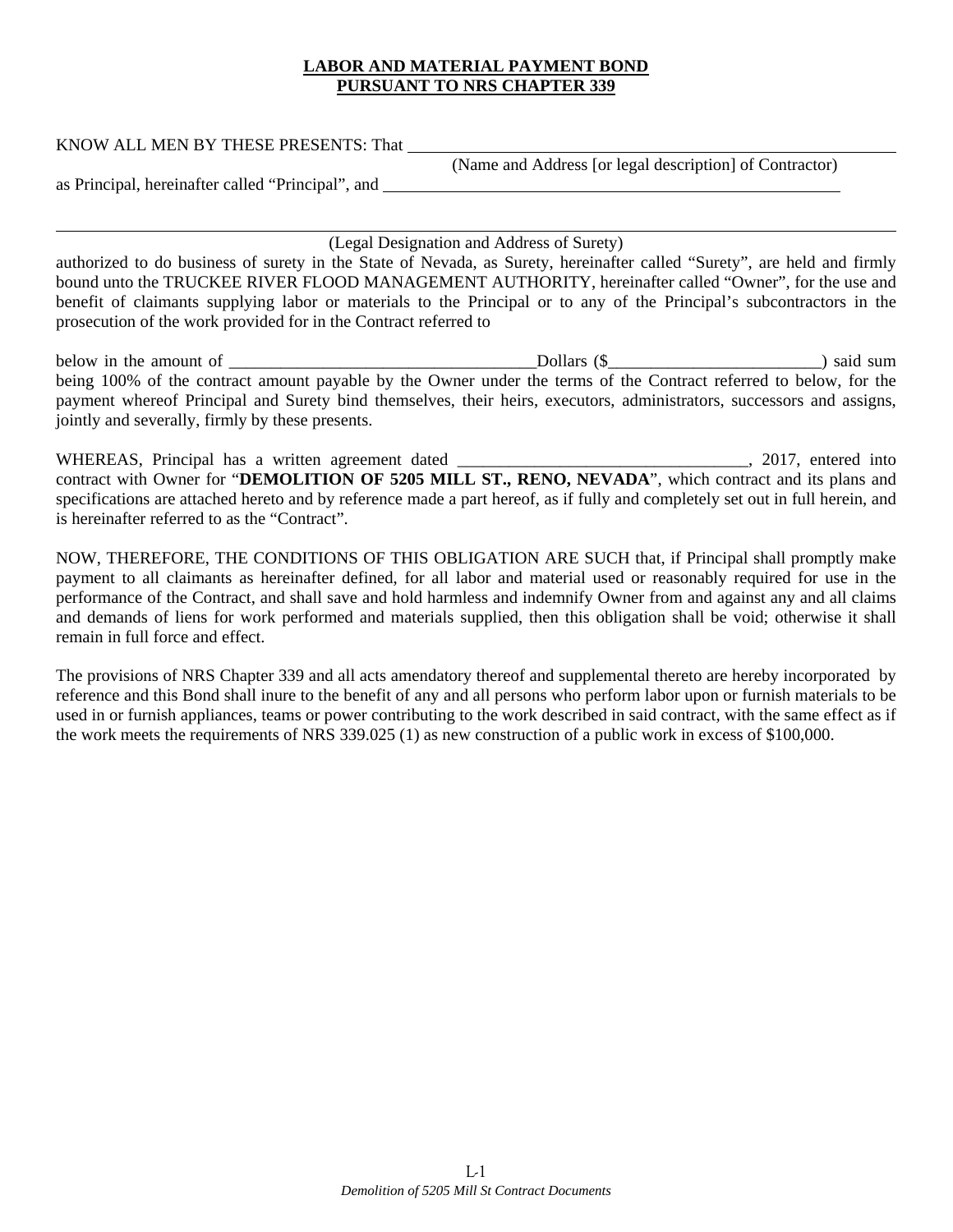## **LABOR AND MATERIAL PAYMENT BOND PURSUANT TO NRS CHAPTER 339**

| KNOW ALL MEN BY THESE PRESENTS: That |                                                         |
|--------------------------------------|---------------------------------------------------------|
|                                      | (Name and Address [or legal description] of Contractor) |

as Principal, hereinafter called "Principal", and

l

## (Legal Designation and Address of Surety)

authorized to do business of surety in the State of Nevada, as Surety, hereinafter called "Surety", are held and firmly bound unto the TRUCKEE RIVER FLOOD MANAGEMENT AUTHORITY, hereinafter called "Owner", for the use and benefit of claimants supplying labor or materials to the Principal or to any of the Principal's subcontractors in the prosecution of the work provided for in the Contract referred to

below in the amount of  $\Box$ being 100% of the contract amount payable by the Owner under the terms of the Contract referred to below, for the payment whereof Principal and Surety bind themselves, their heirs, executors, administrators, successors and assigns, jointly and severally, firmly by these presents.

WHEREAS, Principal has a written agreement dated \_\_\_\_\_\_\_\_\_\_\_\_\_\_\_\_\_\_\_\_\_\_\_\_\_\_\_\_\_\_\_, 2017, entered into contract with Owner for "**DEMOLITION OF 5205 MILL ST., RENO, NEVADA**", which contract and its plans and specifications are attached hereto and by reference made a part hereof, as if fully and completely set out in full herein, and is hereinafter referred to as the "Contract".

NOW, THEREFORE, THE CONDITIONS OF THIS OBLIGATION ARE SUCH that, if Principal shall promptly make payment to all claimants as hereinafter defined, for all labor and material used or reasonably required for use in the performance of the Contract, and shall save and hold harmless and indemnify Owner from and against any and all claims and demands of liens for work performed and materials supplied, then this obligation shall be void; otherwise it shall remain in full force and effect.

The provisions of NRS Chapter 339 and all acts amendatory thereof and supplemental thereto are hereby incorporated by reference and this Bond shall inure to the benefit of any and all persons who perform labor upon or furnish materials to be used in or furnish appliances, teams or power contributing to the work described in said contract, with the same effect as if the work meets the requirements of NRS 339.025 (1) as new construction of a public work in excess of \$100,000.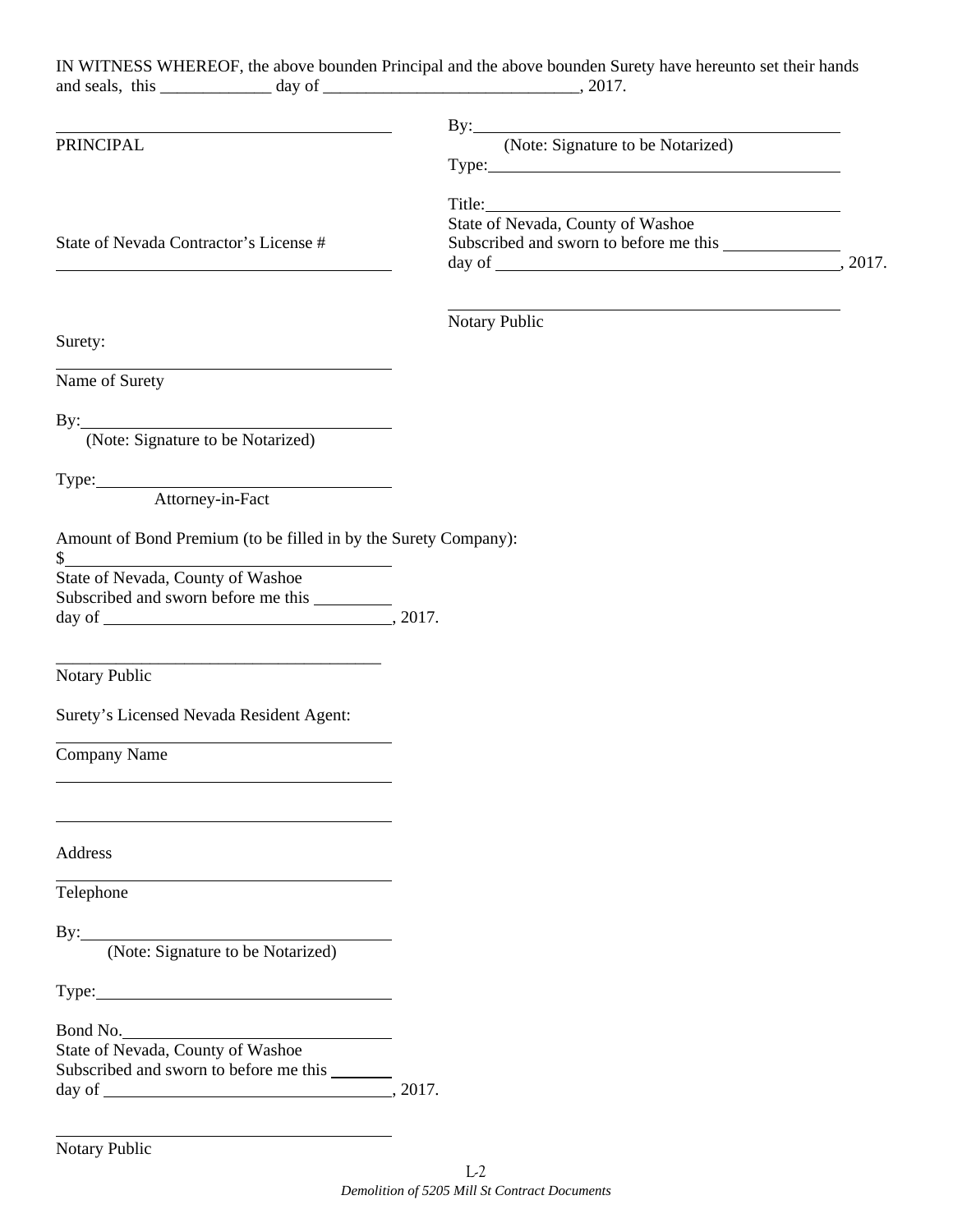|                                          |                                                                                                                       | IN WITNESS WHEREOF, the above bounden Principal and the above bounden Surety have hereunto set their hands<br>and seals, this $\frac{1}{2}$ day of $\frac{1}{2}$ day of $\frac{1}{2}$ , 2017. |  |
|------------------------------------------|-----------------------------------------------------------------------------------------------------------------------|-----------------------------------------------------------------------------------------------------------------------------------------------------------------------------------------------|--|
|                                          |                                                                                                                       |                                                                                                                                                                                               |  |
|                                          | <u> 1989 - Johann Barn, mars ann an t-Amhain Aonaich an t-Aonaich an t-Aonaich ann an t-Aonaich ann an t-Aonaich</u>  | By: (Note: Signature to be Notarized)                                                                                                                                                         |  |
| PRINCIPAL                                |                                                                                                                       |                                                                                                                                                                                               |  |
|                                          |                                                                                                                       |                                                                                                                                                                                               |  |
|                                          |                                                                                                                       | Title:<br>State of Nevada, County of Washoe                                                                                                                                                   |  |
|                                          |                                                                                                                       |                                                                                                                                                                                               |  |
| State of Nevada Contractor's License #   | <u> 1989 - Johann Barbara, martin amerikan basar dan berasal dan berasal dalam basar dalam basar dalam basar dala</u> |                                                                                                                                                                                               |  |
|                                          |                                                                                                                       |                                                                                                                                                                                               |  |
|                                          |                                                                                                                       | <u> 1980 - Andrea Brand, amerikansk politik (d. 1980)</u>                                                                                                                                     |  |
| Surety:                                  |                                                                                                                       | Notary Public                                                                                                                                                                                 |  |
|                                          |                                                                                                                       |                                                                                                                                                                                               |  |
| Name of Surety                           |                                                                                                                       |                                                                                                                                                                                               |  |
|                                          |                                                                                                                       |                                                                                                                                                                                               |  |
|                                          | By: (Note: Signature to be Notarized)                                                                                 |                                                                                                                                                                                               |  |
|                                          |                                                                                                                       |                                                                                                                                                                                               |  |
|                                          | Type: Attorney-in-Fact                                                                                                |                                                                                                                                                                                               |  |
|                                          |                                                                                                                       |                                                                                                                                                                                               |  |
|                                          | Amount of Bond Premium (to be filled in by the Surety Company):                                                       |                                                                                                                                                                                               |  |
|                                          |                                                                                                                       |                                                                                                                                                                                               |  |
|                                          | \$<br>State of Nevada, County of Washoe                                                                               |                                                                                                                                                                                               |  |
|                                          | Subscribed and sworn before me this                                                                                   |                                                                                                                                                                                               |  |
|                                          |                                                                                                                       |                                                                                                                                                                                               |  |
|                                          | <u> 2000 - 2000 - 2000 - 2000 - 2000 - 2000 - 2000 - 2000 - 2000 - 2000 - 2000 - 2000 - 2000 - 2000 - 2000 - 200</u>  |                                                                                                                                                                                               |  |
| <b>Notary Public</b>                     |                                                                                                                       |                                                                                                                                                                                               |  |
| Surety's Licensed Nevada Resident Agent: |                                                                                                                       |                                                                                                                                                                                               |  |
|                                          |                                                                                                                       |                                                                                                                                                                                               |  |
| <b>Company Name</b>                      |                                                                                                                       |                                                                                                                                                                                               |  |
|                                          |                                                                                                                       |                                                                                                                                                                                               |  |
|                                          |                                                                                                                       |                                                                                                                                                                                               |  |
|                                          |                                                                                                                       |                                                                                                                                                                                               |  |
| Address                                  |                                                                                                                       |                                                                                                                                                                                               |  |
| Telephone                                |                                                                                                                       |                                                                                                                                                                                               |  |
|                                          |                                                                                                                       |                                                                                                                                                                                               |  |
|                                          | By: (Note: Signature to be Notarized)                                                                                 |                                                                                                                                                                                               |  |
|                                          |                                                                                                                       |                                                                                                                                                                                               |  |
|                                          | Type:                                                                                                                 |                                                                                                                                                                                               |  |
|                                          |                                                                                                                       |                                                                                                                                                                                               |  |
| State of Nevada, County of Washoe        | Bond No.                                                                                                              |                                                                                                                                                                                               |  |
|                                          | Subscribed and sworn to before me this _______                                                                        |                                                                                                                                                                                               |  |
|                                          |                                                                                                                       |                                                                                                                                                                                               |  |
|                                          |                                                                                                                       |                                                                                                                                                                                               |  |
|                                          | <u> 1980 - Johann Barn, amerikansk politiker (d. 1980)</u>                                                            |                                                                                                                                                                                               |  |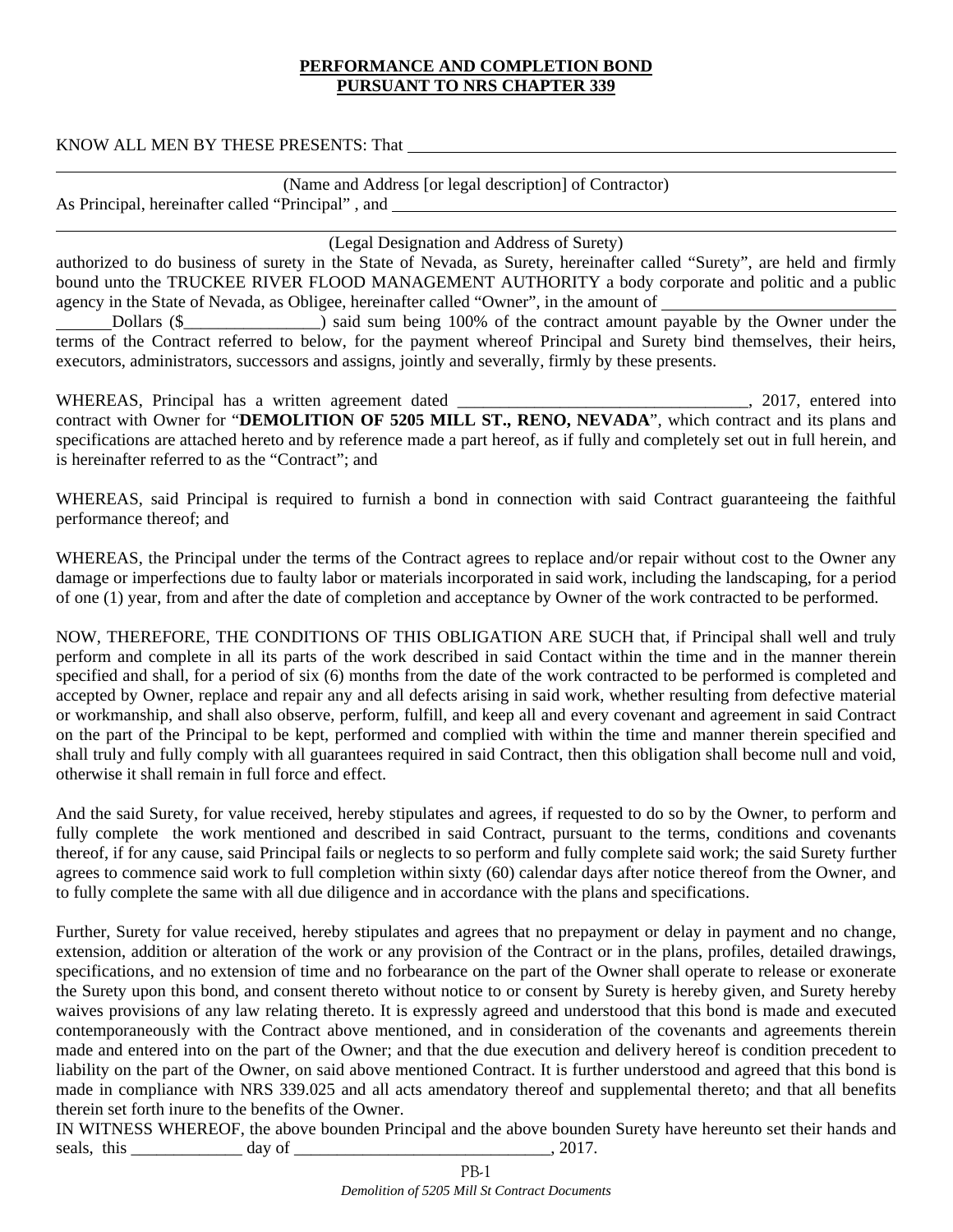## **PERFORMANCE AND COMPLETION BOND PURSUANT TO NRS CHAPTER 339**

KNOW ALL MEN BY THESE PRESENTS: That

|                                                   | (Name and Address [or legal description] of Contractor) |
|---------------------------------------------------|---------------------------------------------------------|
| As Principal, hereinafter called "Principal", and |                                                         |

(Legal Designation and Address of Surety)

authorized to do business of surety in the State of Nevada, as Surety, hereinafter called "Surety", are held and firmly bound unto the TRUCKEE RIVER FLOOD MANAGEMENT AUTHORITY a body corporate and politic and a public agency in the State of Nevada, as Obligee, hereinafter called "Owner", in the amount of

Dollars (\$ terms of the Contract referred to below, for the payment whereof Principal and Surety bind themselves, their heirs, executors, administrators, successors and assigns, jointly and severally, firmly by these presents.

WHEREAS, Principal has a written agreement dated \_\_\_\_\_\_\_\_\_\_\_\_\_\_\_\_\_\_\_\_\_\_\_\_\_\_\_\_\_\_\_, 2017, entered into contract with Owner for "**DEMOLITION OF 5205 MILL ST., RENO, NEVADA**", which contract and its plans and specifications are attached hereto and by reference made a part hereof, as if fully and completely set out in full herein, and is hereinafter referred to as the "Contract"; and

WHEREAS, said Principal is required to furnish a bond in connection with said Contract guaranteeing the faithful performance thereof; and

WHEREAS, the Principal under the terms of the Contract agrees to replace and/or repair without cost to the Owner any damage or imperfections due to faulty labor or materials incorporated in said work, including the landscaping, for a period of one (1) year, from and after the date of completion and acceptance by Owner of the work contracted to be performed.

NOW, THEREFORE, THE CONDITIONS OF THIS OBLIGATION ARE SUCH that, if Principal shall well and truly perform and complete in all its parts of the work described in said Contact within the time and in the manner therein specified and shall, for a period of six (6) months from the date of the work contracted to be performed is completed and accepted by Owner, replace and repair any and all defects arising in said work, whether resulting from defective material or workmanship, and shall also observe, perform, fulfill, and keep all and every covenant and agreement in said Contract on the part of the Principal to be kept, performed and complied with within the time and manner therein specified and shall truly and fully comply with all guarantees required in said Contract, then this obligation shall become null and void, otherwise it shall remain in full force and effect.

And the said Surety, for value received, hereby stipulates and agrees, if requested to do so by the Owner, to perform and fully complete the work mentioned and described in said Contract, pursuant to the terms, conditions and covenants thereof, if for any cause, said Principal fails or neglects to so perform and fully complete said work; the said Surety further agrees to commence said work to full completion within sixty (60) calendar days after notice thereof from the Owner, and to fully complete the same with all due diligence and in accordance with the plans and specifications.

Further, Surety for value received, hereby stipulates and agrees that no prepayment or delay in payment and no change, extension, addition or alteration of the work or any provision of the Contract or in the plans, profiles, detailed drawings, specifications, and no extension of time and no forbearance on the part of the Owner shall operate to release or exonerate the Surety upon this bond, and consent thereto without notice to or consent by Surety is hereby given, and Surety hereby waives provisions of any law relating thereto. It is expressly agreed and understood that this bond is made and executed contemporaneously with the Contract above mentioned, and in consideration of the covenants and agreements therein made and entered into on the part of the Owner; and that the due execution and delivery hereof is condition precedent to liability on the part of the Owner, on said above mentioned Contract. It is further understood and agreed that this bond is made in compliance with NRS 339.025 and all acts amendatory thereof and supplemental thereto; and that all benefits therein set forth inure to the benefits of the Owner.

IN WITNESS WHEREOF, the above bounden Principal and the above bounden Surety have hereunto set their hands and seals, this \_\_\_\_\_\_\_\_\_\_\_\_\_ day of \_\_\_\_\_\_\_\_\_\_\_\_\_\_\_\_\_\_\_\_\_\_\_\_\_\_\_\_\_\_, 2017.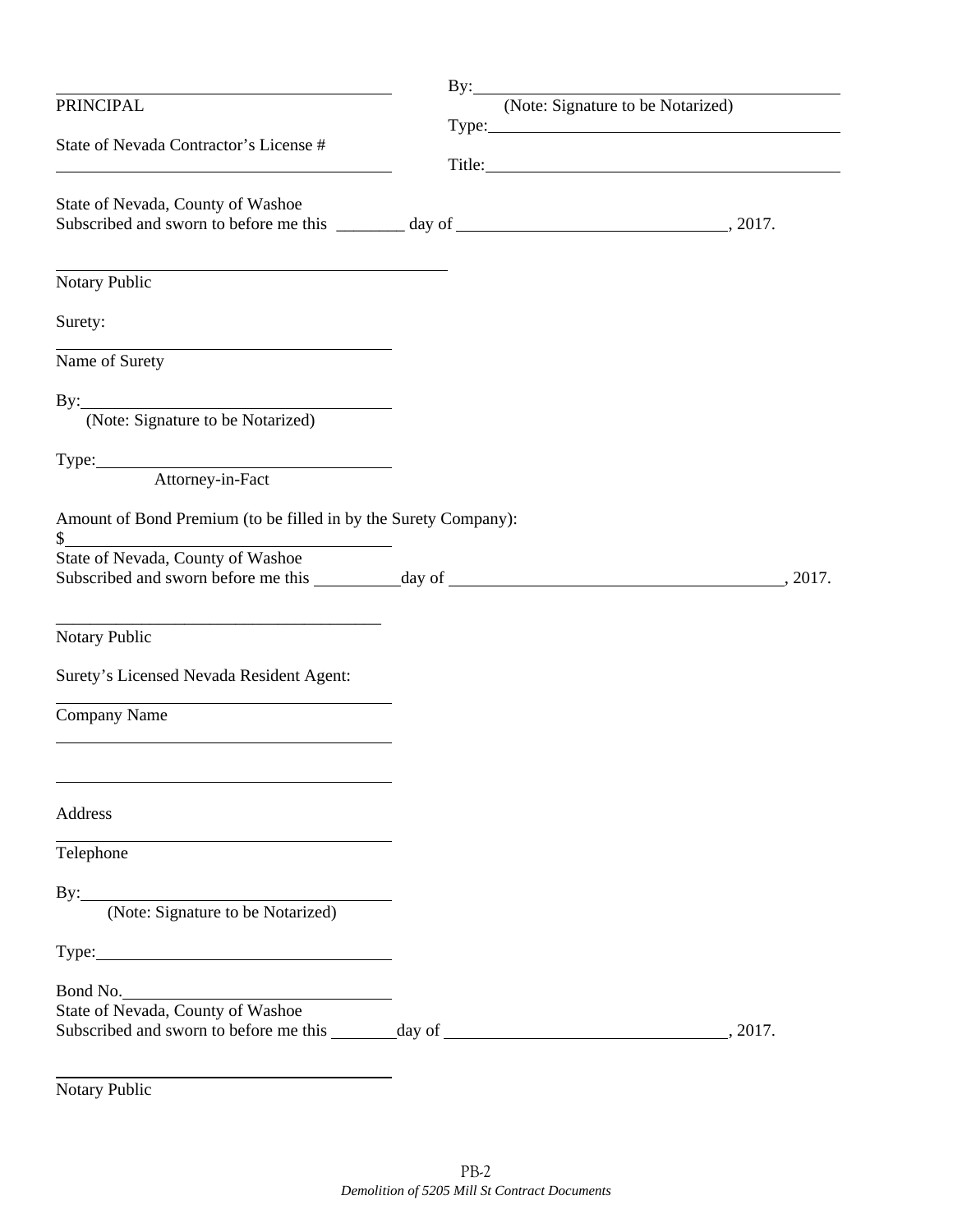| the control of the control of the control of the control of the control of                                                    |                                       |
|-------------------------------------------------------------------------------------------------------------------------------|---------------------------------------|
| PRINCIPAL                                                                                                                     | By: (Note: Signature to be Notarized) |
| State of Nevada Contractor's License #                                                                                        |                                       |
| State of Nevada, County of Washoe<br>Subscribed and sworn to before me this ________ day of __________________________, 2017. |                                       |
| Notary Public                                                                                                                 |                                       |
| Surety:                                                                                                                       |                                       |
| Name of Surety                                                                                                                |                                       |
| By: (Note: Signature to be Notarized)                                                                                         |                                       |
| Type: Attorney-in-Fact                                                                                                        |                                       |
| Amount of Bond Premium (to be filled in by the Surety Company):                                                               |                                       |
| State of Nevada, County of Washoe                                                                                             |                                       |
| Notary Public                                                                                                                 |                                       |
| Surety's Licensed Nevada Resident Agent:                                                                                      |                                       |
| Company Name                                                                                                                  |                                       |
| Address                                                                                                                       |                                       |
| Telephone                                                                                                                     |                                       |
| By: (Note: Signature to be Notarized)                                                                                         |                                       |
|                                                                                                                               |                                       |
| Bond No.                                                                                                                      |                                       |
| State of Nevada, County of Washoe<br>Subscribed and sworn to before me this _______ day of ___________________________        | 2017.                                 |
|                                                                                                                               |                                       |

Notary Public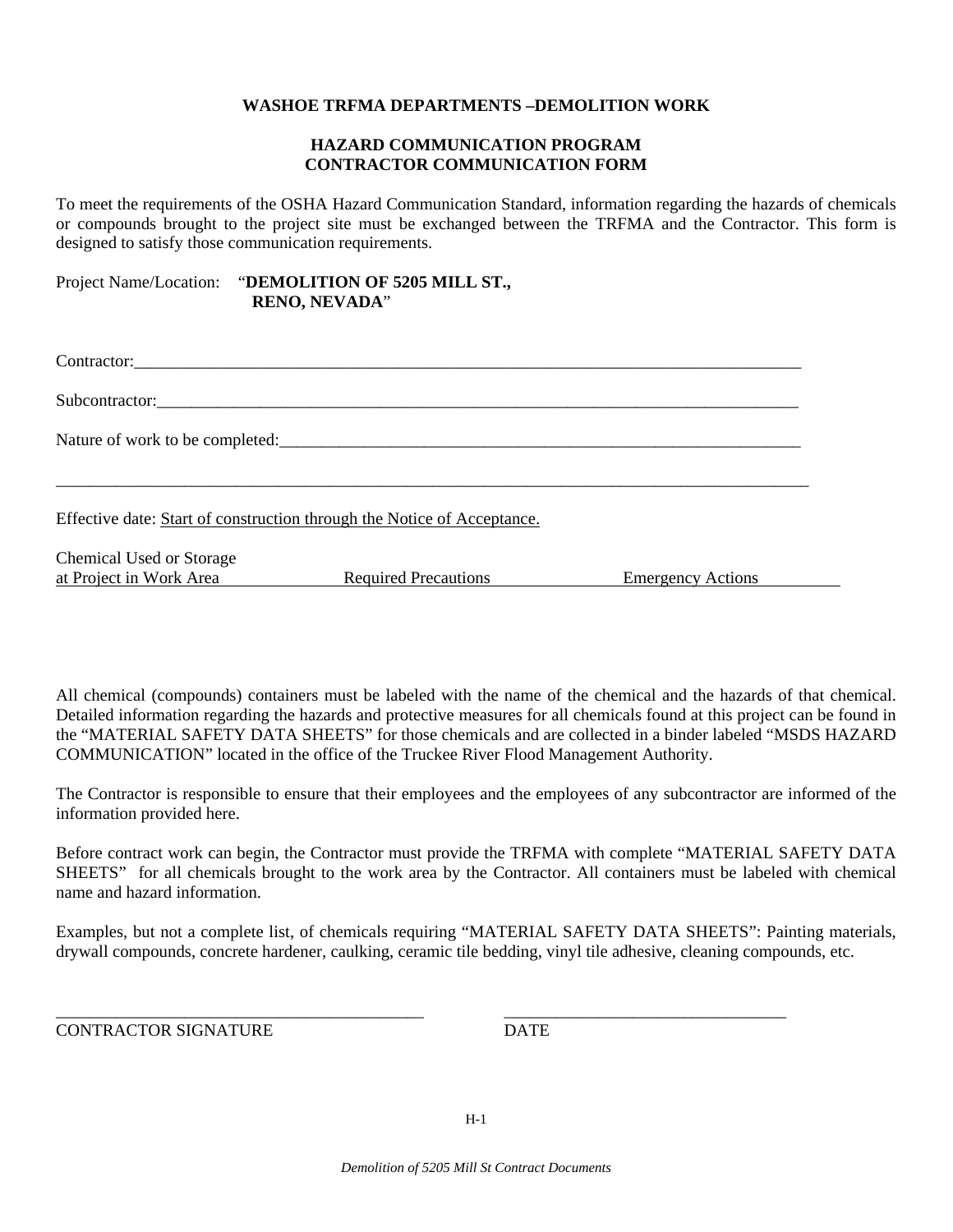#### **WASHOE TRFMA DEPARTMENTS –DEMOLITION WORK**

#### **HAZARD COMMUNICATION PROGRAM CONTRACTOR COMMUNICATION FORM**

To meet the requirements of the OSHA Hazard Communication Standard, information regarding the hazards of chemicals or compounds brought to the project site must be exchanged between the TRFMA and the Contractor. This form is designed to satisfy those communication requirements.

Project Name/Location: "**DEMOLITION OF 5205 MILL ST., RENO, NEVADA**"

| Subcontractor:                                      |                                                                         |                          |
|-----------------------------------------------------|-------------------------------------------------------------------------|--------------------------|
|                                                     | Nature of work to be completed:                                         |                          |
|                                                     | Effective date: Start of construction through the Notice of Acceptance. |                          |
| Chemical Used or Storage<br>at Project in Work Area | <b>Required Precautions</b>                                             | <b>Emergency Actions</b> |

All chemical (compounds) containers must be labeled with the name of the chemical and the hazards of that chemical. Detailed information regarding the hazards and protective measures for all chemicals found at this project can be found in the "MATERIAL SAFETY DATA SHEETS" for those chemicals and are collected in a binder labeled "MSDS HAZARD COMMUNICATION" located in the office of the Truckee River Flood Management Authority.

The Contractor is responsible to ensure that their employees and the employees of any subcontractor are informed of the information provided here.

Before contract work can begin, the Contractor must provide the TRFMA with complete "MATERIAL SAFETY DATA SHEETS" for all chemicals brought to the work area by the Contractor. All containers must be labeled with chemical name and hazard information.

Examples, but not a complete list, of chemicals requiring "MATERIAL SAFETY DATA SHEETS": Painting materials, drywall compounds, concrete hardener, caulking, ceramic tile bedding, vinyl tile adhesive, cleaning compounds, etc.

\_\_\_\_\_\_\_\_\_\_\_\_\_\_\_\_\_\_\_\_\_\_\_\_\_\_\_\_\_\_\_\_\_\_\_\_\_\_\_\_\_\_\_ \_\_\_\_\_\_\_\_\_\_\_\_\_\_\_\_\_\_\_\_\_\_\_\_\_\_\_\_\_\_\_\_\_

CONTRACTOR SIGNATURE DATE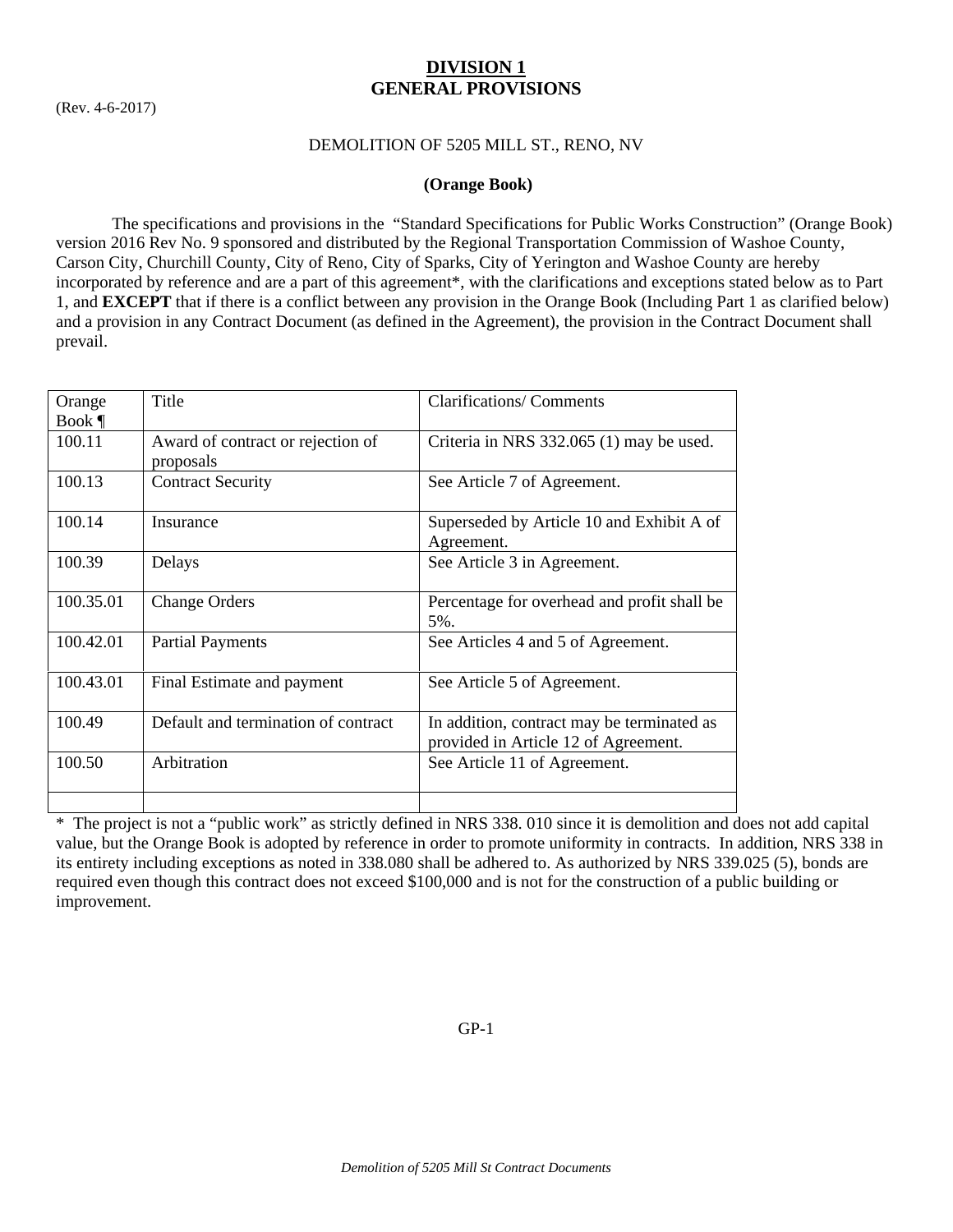## **DIVISION 1 GENERAL PROVISIONS**

(Rev. 4-6-2017)

## DEMOLITION OF 5205 MILL ST., RENO, NV

## **(Orange Book)**

 The specifications and provisions in the "Standard Specifications for Public Works Construction" (Orange Book) version 2016 Rev No. 9 sponsored and distributed by the Regional Transportation Commission of Washoe County, Carson City, Churchill County, City of Reno, City of Sparks, City of Yerington and Washoe County are hereby incorporated by reference and are a part of this agreement\*, with the clarifications and exceptions stated below as to Part 1, and **EXCEPT** that if there is a conflict between any provision in the Orange Book (Including Part 1 as clarified below) and a provision in any Contract Document (as defined in the Agreement), the provision in the Contract Document shall prevail.

| Orange    | Title                                          | <b>Clarifications/ Comments</b>                                                    |
|-----------|------------------------------------------------|------------------------------------------------------------------------------------|
| Book $\P$ |                                                |                                                                                    |
| 100.11    | Award of contract or rejection of<br>proposals | Criteria in NRS 332.065 (1) may be used.                                           |
| 100.13    | <b>Contract Security</b>                       | See Article 7 of Agreement.                                                        |
| 100.14    | Insurance                                      | Superseded by Article 10 and Exhibit A of<br>Agreement.                            |
| 100.39    | Delays                                         | See Article 3 in Agreement.                                                        |
| 100.35.01 | <b>Change Orders</b>                           | Percentage for overhead and profit shall be<br>5%.                                 |
| 100.42.01 | <b>Partial Payments</b>                        | See Articles 4 and 5 of Agreement.                                                 |
| 100.43.01 | Final Estimate and payment                     | See Article 5 of Agreement.                                                        |
| 100.49    | Default and termination of contract            | In addition, contract may be terminated as<br>provided in Article 12 of Agreement. |
| 100.50    | Arbitration                                    | See Article 11 of Agreement.                                                       |
|           |                                                |                                                                                    |

\* The project is not a "public work" as strictly defined in NRS 338. 010 since it is demolition and does not add capital value, but the Orange Book is adopted by reference in order to promote uniformity in contracts. In addition, NRS 338 in its entirety including exceptions as noted in 338.080 shall be adhered to. As authorized by NRS 339.025 (5), bonds are required even though this contract does not exceed \$100,000 and is not for the construction of a public building or improvement.

GP-1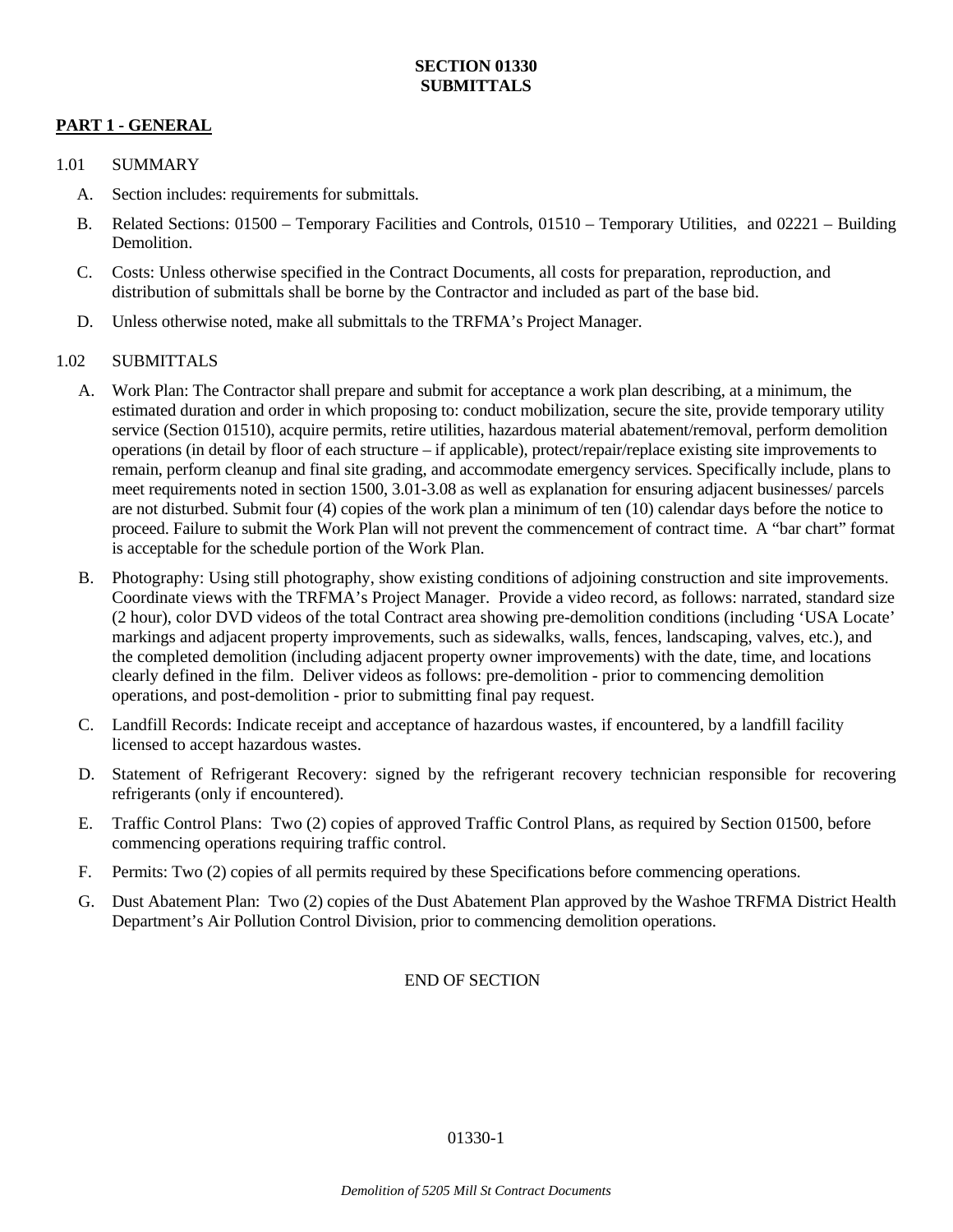## **PART 1 - GENERAL**

## 1.01 SUMMARY

- A. Section includes: requirements for submittals.
- B. Related Sections: 01500 Temporary Facilities and Controls, 01510 Temporary Utilities, and 02221 Building **Demolition**
- C. Costs: Unless otherwise specified in the Contract Documents, all costs for preparation, reproduction, and distribution of submittals shall be borne by the Contractor and included as part of the base bid.
- D. Unless otherwise noted, make all submittals to the TRFMA's Project Manager.

## 1.02 SUBMITTALS

- A. Work Plan: The Contractor shall prepare and submit for acceptance a work plan describing, at a minimum, the estimated duration and order in which proposing to: conduct mobilization, secure the site, provide temporary utility service (Section 01510), acquire permits, retire utilities, hazardous material abatement/removal, perform demolition operations (in detail by floor of each structure – if applicable), protect/repair/replace existing site improvements to remain, perform cleanup and final site grading, and accommodate emergency services. Specifically include, plans to meet requirements noted in section 1500, 3.01-3.08 as well as explanation for ensuring adjacent businesses/ parcels are not disturbed. Submit four (4) copies of the work plan a minimum of ten (10) calendar days before the notice to proceed. Failure to submit the Work Plan will not prevent the commencement of contract time. A "bar chart" format is acceptable for the schedule portion of the Work Plan.
- B. Photography: Using still photography, show existing conditions of adjoining construction and site improvements. Coordinate views with the TRFMA's Project Manager. Provide a video record, as follows: narrated, standard size (2 hour), color DVD videos of the total Contract area showing pre-demolition conditions (including 'USA Locate' markings and adjacent property improvements, such as sidewalks, walls, fences, landscaping, valves, etc.), and the completed demolition (including adjacent property owner improvements) with the date, time, and locations clearly defined in the film. Deliver videos as follows: pre-demolition - prior to commencing demolition operations, and post-demolition - prior to submitting final pay request.
- C. Landfill Records: Indicate receipt and acceptance of hazardous wastes, if encountered, by a landfill facility licensed to accept hazardous wastes.
- D. Statement of Refrigerant Recovery: signed by the refrigerant recovery technician responsible for recovering refrigerants (only if encountered).
- E. Traffic Control Plans: Two (2) copies of approved Traffic Control Plans, as required by Section 01500, before commencing operations requiring traffic control.
- F. Permits: Two (2) copies of all permits required by these Specifications before commencing operations.
- G. Dust Abatement Plan: Two (2) copies of the Dust Abatement Plan approved by the Washoe TRFMA District Health Department's Air Pollution Control Division, prior to commencing demolition operations.

## END OF SECTION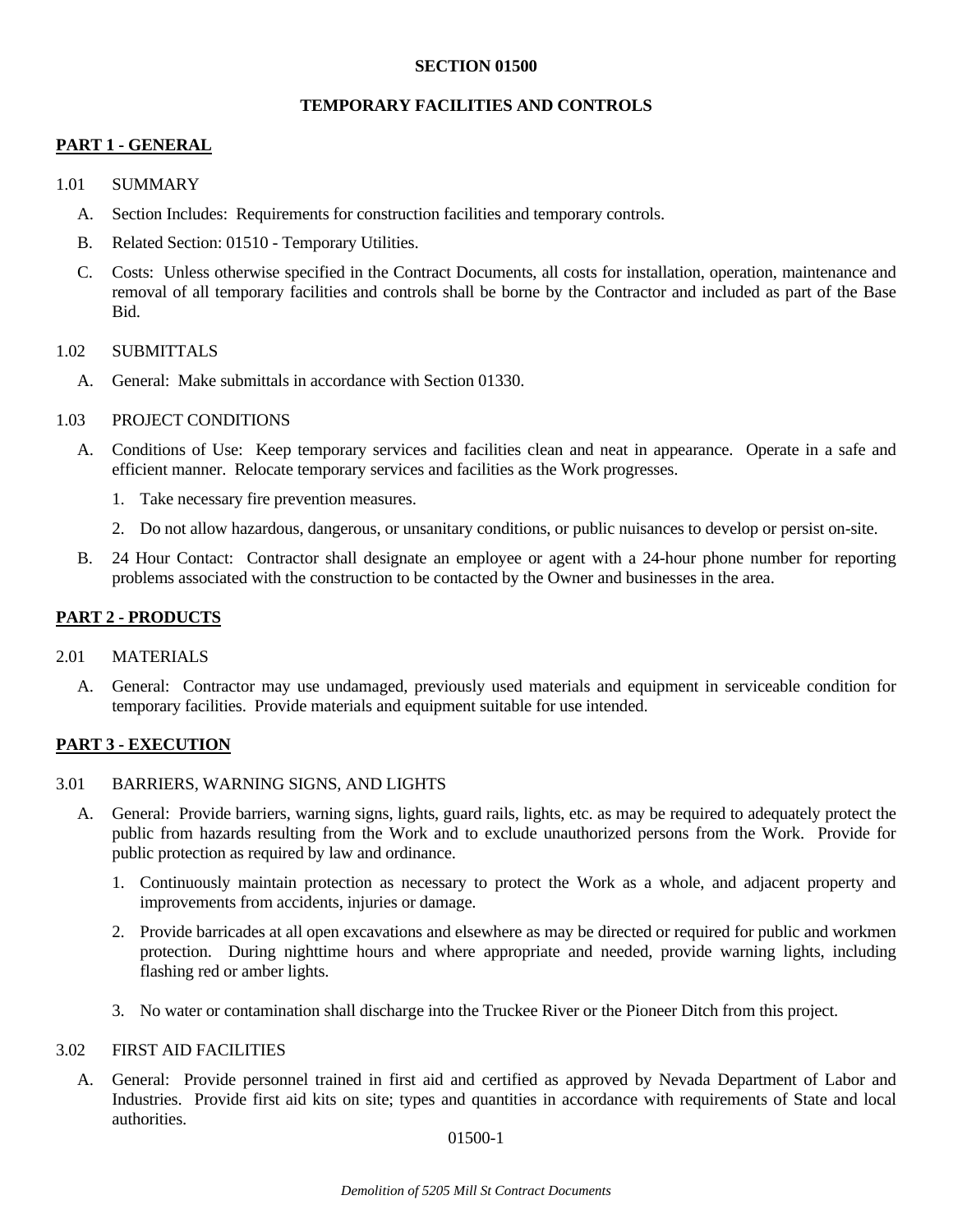#### **SECTION 01500**

#### **TEMPORARY FACILITIES AND CONTROLS**

## **PART 1 - GENERAL**

- 1.01 SUMMARY
	- A. Section Includes: Requirements for construction facilities and temporary controls.
	- B. Related Section: 01510 Temporary Utilities.
	- C. Costs: Unless otherwise specified in the Contract Documents, all costs for installation, operation, maintenance and removal of all temporary facilities and controls shall be borne by the Contractor and included as part of the Base **Bid.**

#### 1.02 SUBMITTALS

A. General: Make submittals in accordance with Section 01330.

#### 1.03 PROJECT CONDITIONS

- A. Conditions of Use: Keep temporary services and facilities clean and neat in appearance. Operate in a safe and efficient manner. Relocate temporary services and facilities as the Work progresses.
	- 1. Take necessary fire prevention measures.
	- 2. Do not allow hazardous, dangerous, or unsanitary conditions, or public nuisances to develop or persist on-site.
- B. 24 Hour Contact: Contractor shall designate an employee or agent with a 24-hour phone number for reporting problems associated with the construction to be contacted by the Owner and businesses in the area.

## **PART 2 - PRODUCTS**

#### 2.01 MATERIALS

 A. General: Contractor may use undamaged, previously used materials and equipment in serviceable condition for temporary facilities. Provide materials and equipment suitable for use intended.

## **PART 3 - EXECUTION**

#### 3.01 BARRIERS, WARNING SIGNS, AND LIGHTS

- A. General: Provide barriers, warning signs, lights, guard rails, lights, etc. as may be required to adequately protect the public from hazards resulting from the Work and to exclude unauthorized persons from the Work. Provide for public protection as required by law and ordinance.
	- 1. Continuously maintain protection as necessary to protect the Work as a whole, and adjacent property and improvements from accidents, injuries or damage.
	- 2. Provide barricades at all open excavations and elsewhere as may be directed or required for public and workmen protection. During nighttime hours and where appropriate and needed, provide warning lights, including flashing red or amber lights.
	- 3. No water or contamination shall discharge into the Truckee River or the Pioneer Ditch from this project.

#### 3.02 FIRST AID FACILITIES

 A. General: Provide personnel trained in first aid and certified as approved by Nevada Department of Labor and Industries. Provide first aid kits on site; types and quantities in accordance with requirements of State and local authorities.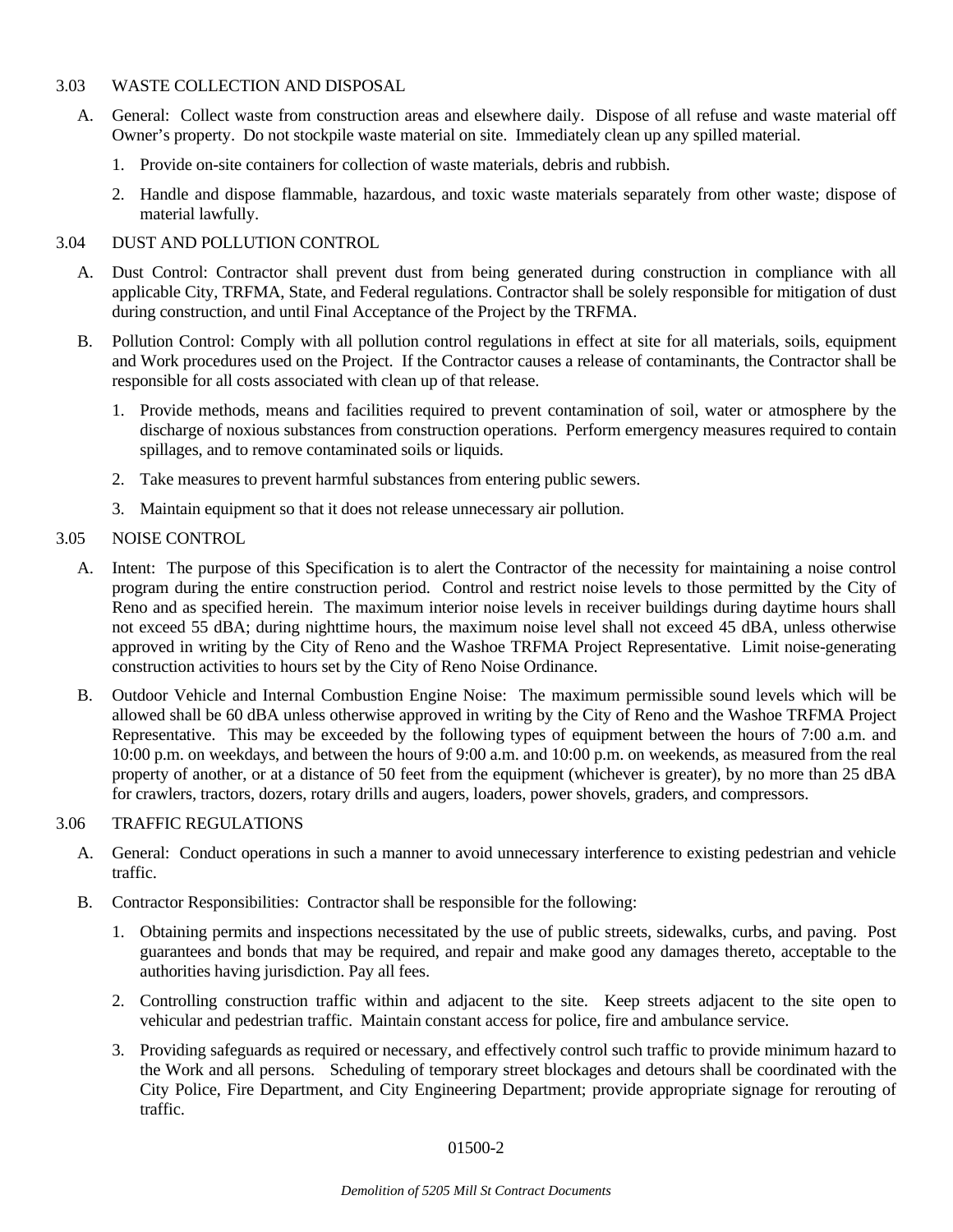## 3.03 WASTE COLLECTION AND DISPOSAL

- A. General: Collect waste from construction areas and elsewhere daily. Dispose of all refuse and waste material off Owner's property. Do not stockpile waste material on site. Immediately clean up any spilled material.
	- 1. Provide on-site containers for collection of waste materials, debris and rubbish.
	- 2. Handle and dispose flammable, hazardous, and toxic waste materials separately from other waste; dispose of material lawfully.

#### 3.04 DUST AND POLLUTION CONTROL

- A. Dust Control: Contractor shall prevent dust from being generated during construction in compliance with all applicable City, TRFMA, State, and Federal regulations. Contractor shall be solely responsible for mitigation of dust during construction, and until Final Acceptance of the Project by the TRFMA.
- B. Pollution Control: Comply with all pollution control regulations in effect at site for all materials, soils, equipment and Work procedures used on the Project. If the Contractor causes a release of contaminants, the Contractor shall be responsible for all costs associated with clean up of that release.
	- 1. Provide methods, means and facilities required to prevent contamination of soil, water or atmosphere by the discharge of noxious substances from construction operations. Perform emergency measures required to contain spillages, and to remove contaminated soils or liquids.
	- 2. Take measures to prevent harmful substances from entering public sewers.
	- 3. Maintain equipment so that it does not release unnecessary air pollution.

#### 3.05 NOISE CONTROL

- A. Intent: The purpose of this Specification is to alert the Contractor of the necessity for maintaining a noise control program during the entire construction period. Control and restrict noise levels to those permitted by the City of Reno and as specified herein. The maximum interior noise levels in receiver buildings during daytime hours shall not exceed 55 dBA; during nighttime hours, the maximum noise level shall not exceed 45 dBA, unless otherwise approved in writing by the City of Reno and the Washoe TRFMA Project Representative. Limit noise-generating construction activities to hours set by the City of Reno Noise Ordinance.
- B. Outdoor Vehicle and Internal Combustion Engine Noise: The maximum permissible sound levels which will be allowed shall be 60 dBA unless otherwise approved in writing by the City of Reno and the Washoe TRFMA Project Representative. This may be exceeded by the following types of equipment between the hours of 7:00 a.m. and 10:00 p.m. on weekdays, and between the hours of 9:00 a.m. and 10:00 p.m. on weekends, as measured from the real property of another, or at a distance of 50 feet from the equipment (whichever is greater), by no more than 25 dBA for crawlers, tractors, dozers, rotary drills and augers, loaders, power shovels, graders, and compressors.

## 3.06 TRAFFIC REGULATIONS

- A. General: Conduct operations in such a manner to avoid unnecessary interference to existing pedestrian and vehicle traffic.
- B. Contractor Responsibilities: Contractor shall be responsible for the following:
	- 1. Obtaining permits and inspections necessitated by the use of public streets, sidewalks, curbs, and paving. Post guarantees and bonds that may be required, and repair and make good any damages thereto, acceptable to the authorities having jurisdiction. Pay all fees.
	- 2. Controlling construction traffic within and adjacent to the site. Keep streets adjacent to the site open to vehicular and pedestrian traffic. Maintain constant access for police, fire and ambulance service.
	- 3. Providing safeguards as required or necessary, and effectively control such traffic to provide minimum hazard to the Work and all persons. Scheduling of temporary street blockages and detours shall be coordinated with the City Police, Fire Department, and City Engineering Department; provide appropriate signage for rerouting of traffic.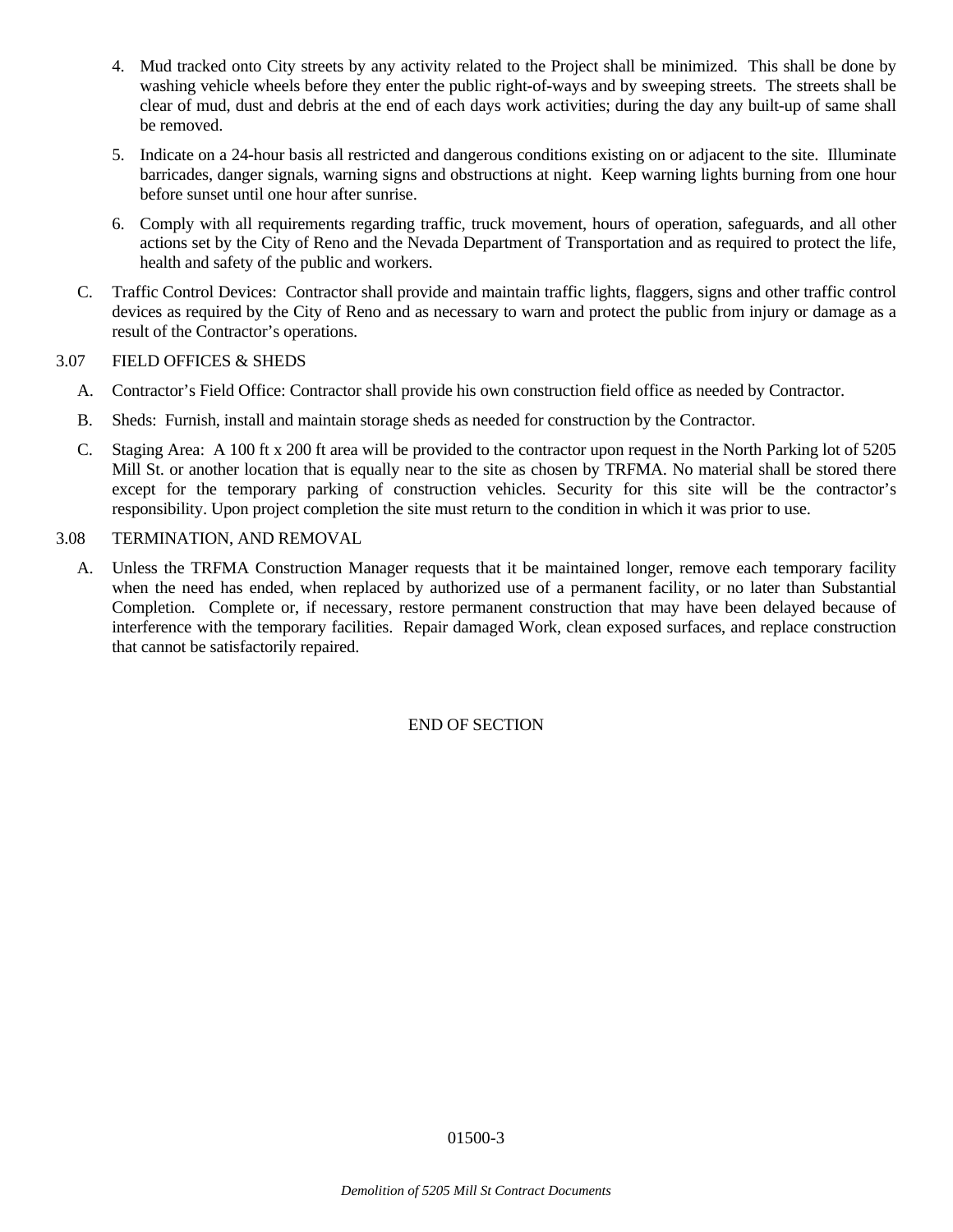- 4. Mud tracked onto City streets by any activity related to the Project shall be minimized. This shall be done by washing vehicle wheels before they enter the public right-of-ways and by sweeping streets. The streets shall be clear of mud, dust and debris at the end of each days work activities; during the day any built-up of same shall be removed.
- 5. Indicate on a 24-hour basis all restricted and dangerous conditions existing on or adjacent to the site. Illuminate barricades, danger signals, warning signs and obstructions at night. Keep warning lights burning from one hour before sunset until one hour after sunrise.
- 6. Comply with all requirements regarding traffic, truck movement, hours of operation, safeguards, and all other actions set by the City of Reno and the Nevada Department of Transportation and as required to protect the life, health and safety of the public and workers.
- C. Traffic Control Devices: Contractor shall provide and maintain traffic lights, flaggers, signs and other traffic control devices as required by the City of Reno and as necessary to warn and protect the public from injury or damage as a result of the Contractor's operations.

## 3.07 FIELD OFFICES & SHEDS

- A. Contractor's Field Office: Contractor shall provide his own construction field office as needed by Contractor.
- B. Sheds: Furnish, install and maintain storage sheds as needed for construction by the Contractor.
- C. Staging Area: A 100 ft x 200 ft area will be provided to the contractor upon request in the North Parking lot of 5205 Mill St. or another location that is equally near to the site as chosen by TRFMA. No material shall be stored there except for the temporary parking of construction vehicles. Security for this site will be the contractor's responsibility. Upon project completion the site must return to the condition in which it was prior to use.

## 3.08 TERMINATION, AND REMOVAL

A. Unless the TRFMA Construction Manager requests that it be maintained longer, remove each temporary facility when the need has ended, when replaced by authorized use of a permanent facility, or no later than Substantial Completion. Complete or, if necessary, restore permanent construction that may have been delayed because of interference with the temporary facilities. Repair damaged Work, clean exposed surfaces, and replace construction that cannot be satisfactorily repaired.

END OF SECTION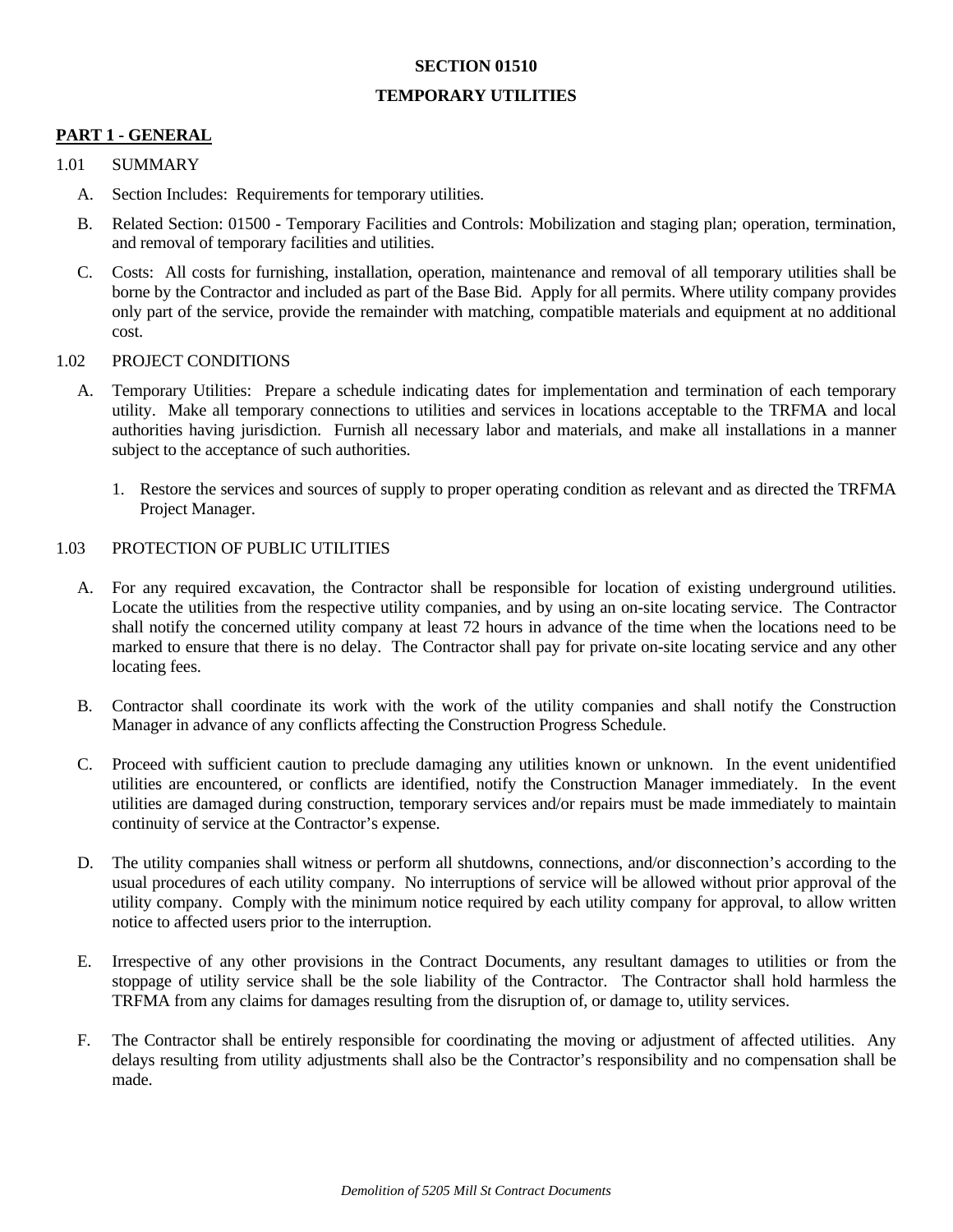#### **SECTION 01510**

## **TEMPORARY UTILITIES**

## **PART 1 - GENERAL**

#### 1.01 SUMMARY

- A. Section Includes: Requirements for temporary utilities.
- B. Related Section: 01500 Temporary Facilities and Controls: Mobilization and staging plan; operation, termination, and removal of temporary facilities and utilities.
- C. Costs: All costs for furnishing, installation, operation, maintenance and removal of all temporary utilities shall be borne by the Contractor and included as part of the Base Bid. Apply for all permits. Where utility company provides only part of the service, provide the remainder with matching, compatible materials and equipment at no additional cost.

#### 1.02 PROJECT CONDITIONS

- A. Temporary Utilities: Prepare a schedule indicating dates for implementation and termination of each temporary utility. Make all temporary connections to utilities and services in locations acceptable to the TRFMA and local authorities having jurisdiction. Furnish all necessary labor and materials, and make all installations in a manner subject to the acceptance of such authorities.
	- 1. Restore the services and sources of supply to proper operating condition as relevant and as directed the TRFMA Project Manager.

## 1.03 PROTECTION OF PUBLIC UTILITIES

- A. For any required excavation, the Contractor shall be responsible for location of existing underground utilities. Locate the utilities from the respective utility companies, and by using an on-site locating service. The Contractor shall notify the concerned utility company at least 72 hours in advance of the time when the locations need to be marked to ensure that there is no delay. The Contractor shall pay for private on-site locating service and any other locating fees.
- B. Contractor shall coordinate its work with the work of the utility companies and shall notify the Construction Manager in advance of any conflicts affecting the Construction Progress Schedule.
- C. Proceed with sufficient caution to preclude damaging any utilities known or unknown. In the event unidentified utilities are encountered, or conflicts are identified, notify the Construction Manager immediately. In the event utilities are damaged during construction, temporary services and/or repairs must be made immediately to maintain continuity of service at the Contractor's expense.
- D. The utility companies shall witness or perform all shutdowns, connections, and/or disconnection's according to the usual procedures of each utility company. No interruptions of service will be allowed without prior approval of the utility company. Comply with the minimum notice required by each utility company for approval, to allow written notice to affected users prior to the interruption.
- E. Irrespective of any other provisions in the Contract Documents, any resultant damages to utilities or from the stoppage of utility service shall be the sole liability of the Contractor. The Contractor shall hold harmless the TRFMA from any claims for damages resulting from the disruption of, or damage to, utility services.
- F. The Contractor shall be entirely responsible for coordinating the moving or adjustment of affected utilities. Any delays resulting from utility adjustments shall also be the Contractor's responsibility and no compensation shall be made.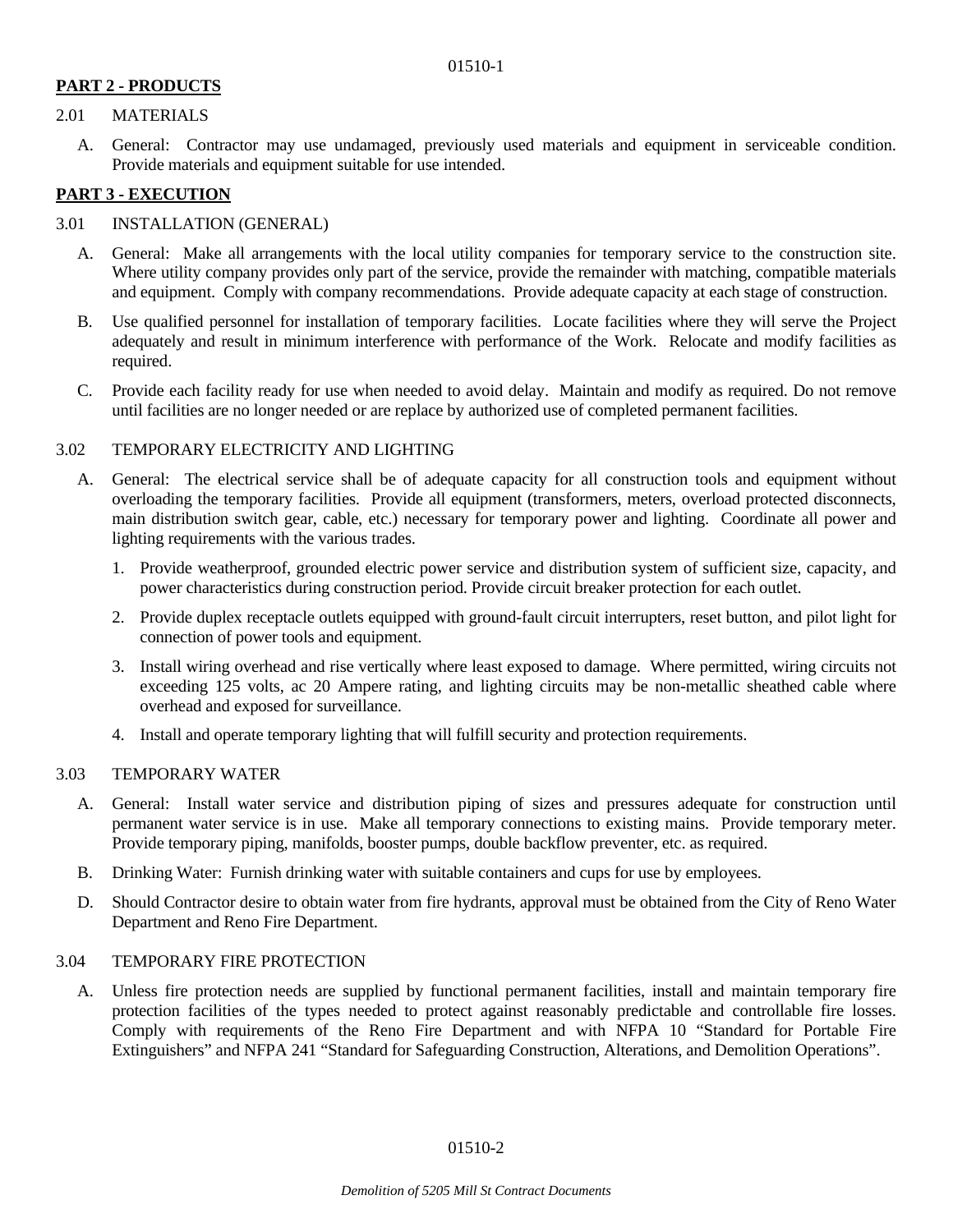# **PART 2 - PRODUCTS**

## 2.01 MATERIALS

 A. General: Contractor may use undamaged, previously used materials and equipment in serviceable condition. Provide materials and equipment suitable for use intended.

## **PART 3 - EXECUTION**

## 3.01 INSTALLATION (GENERAL)

- A. General: Make all arrangements with the local utility companies for temporary service to the construction site. Where utility company provides only part of the service, provide the remainder with matching, compatible materials and equipment. Comply with company recommendations. Provide adequate capacity at each stage of construction.
- B. Use qualified personnel for installation of temporary facilities. Locate facilities where they will serve the Project adequately and result in minimum interference with performance of the Work. Relocate and modify facilities as required.
- C. Provide each facility ready for use when needed to avoid delay. Maintain and modify as required. Do not remove until facilities are no longer needed or are replace by authorized use of completed permanent facilities.

#### 3.02 TEMPORARY ELECTRICITY AND LIGHTING

- A. General: The electrical service shall be of adequate capacity for all construction tools and equipment without overloading the temporary facilities. Provide all equipment (transformers, meters, overload protected disconnects, main distribution switch gear, cable, etc.) necessary for temporary power and lighting. Coordinate all power and lighting requirements with the various trades.
	- 1. Provide weatherproof, grounded electric power service and distribution system of sufficient size, capacity, and power characteristics during construction period. Provide circuit breaker protection for each outlet.
	- 2. Provide duplex receptacle outlets equipped with ground-fault circuit interrupters, reset button, and pilot light for connection of power tools and equipment.
	- 3. Install wiring overhead and rise vertically where least exposed to damage. Where permitted, wiring circuits not exceeding 125 volts, ac 20 Ampere rating, and lighting circuits may be non-metallic sheathed cable where overhead and exposed for surveillance.
	- 4. Install and operate temporary lighting that will fulfill security and protection requirements.

## 3.03 TEMPORARY WATER

- A. General: Install water service and distribution piping of sizes and pressures adequate for construction until permanent water service is in use. Make all temporary connections to existing mains. Provide temporary meter. Provide temporary piping, manifolds, booster pumps, double backflow preventer, etc. as required.
- B. Drinking Water: Furnish drinking water with suitable containers and cups for use by employees.
- D. Should Contractor desire to obtain water from fire hydrants, approval must be obtained from the City of Reno Water Department and Reno Fire Department.

#### 3.04 TEMPORARY FIRE PROTECTION

 A. Unless fire protection needs are supplied by functional permanent facilities, install and maintain temporary fire protection facilities of the types needed to protect against reasonably predictable and controllable fire losses. Comply with requirements of the Reno Fire Department and with NFPA 10 "Standard for Portable Fire Extinguishers" and NFPA 241 "Standard for Safeguarding Construction, Alterations, and Demolition Operations".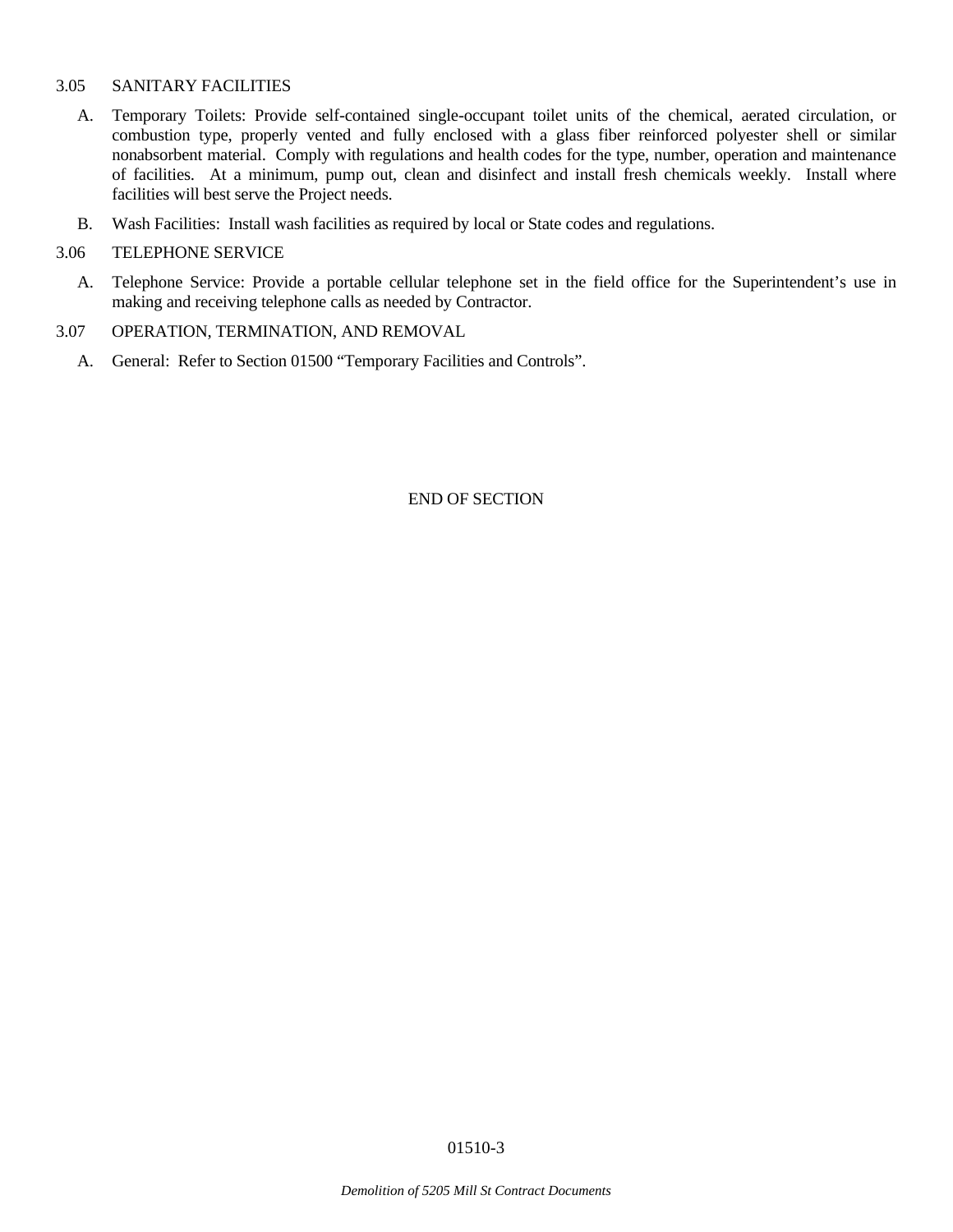## 3.05 SANITARY FACILITIES

- A. Temporary Toilets: Provide self-contained single-occupant toilet units of the chemical, aerated circulation, or combustion type, properly vented and fully enclosed with a glass fiber reinforced polyester shell or similar nonabsorbent material. Comply with regulations and health codes for the type, number, operation and maintenance of facilities. At a minimum, pump out, clean and disinfect and install fresh chemicals weekly. Install where facilities will best serve the Project needs.
- B. Wash Facilities: Install wash facilities as required by local or State codes and regulations.

#### 3.06 TELEPHONE SERVICE

 A. Telephone Service: Provide a portable cellular telephone set in the field office for the Superintendent's use in making and receiving telephone calls as needed by Contractor.

#### 3.07 OPERATION, TERMINATION, AND REMOVAL

A. General: Refer to Section 01500 "Temporary Facilities and Controls".

END OF SECTION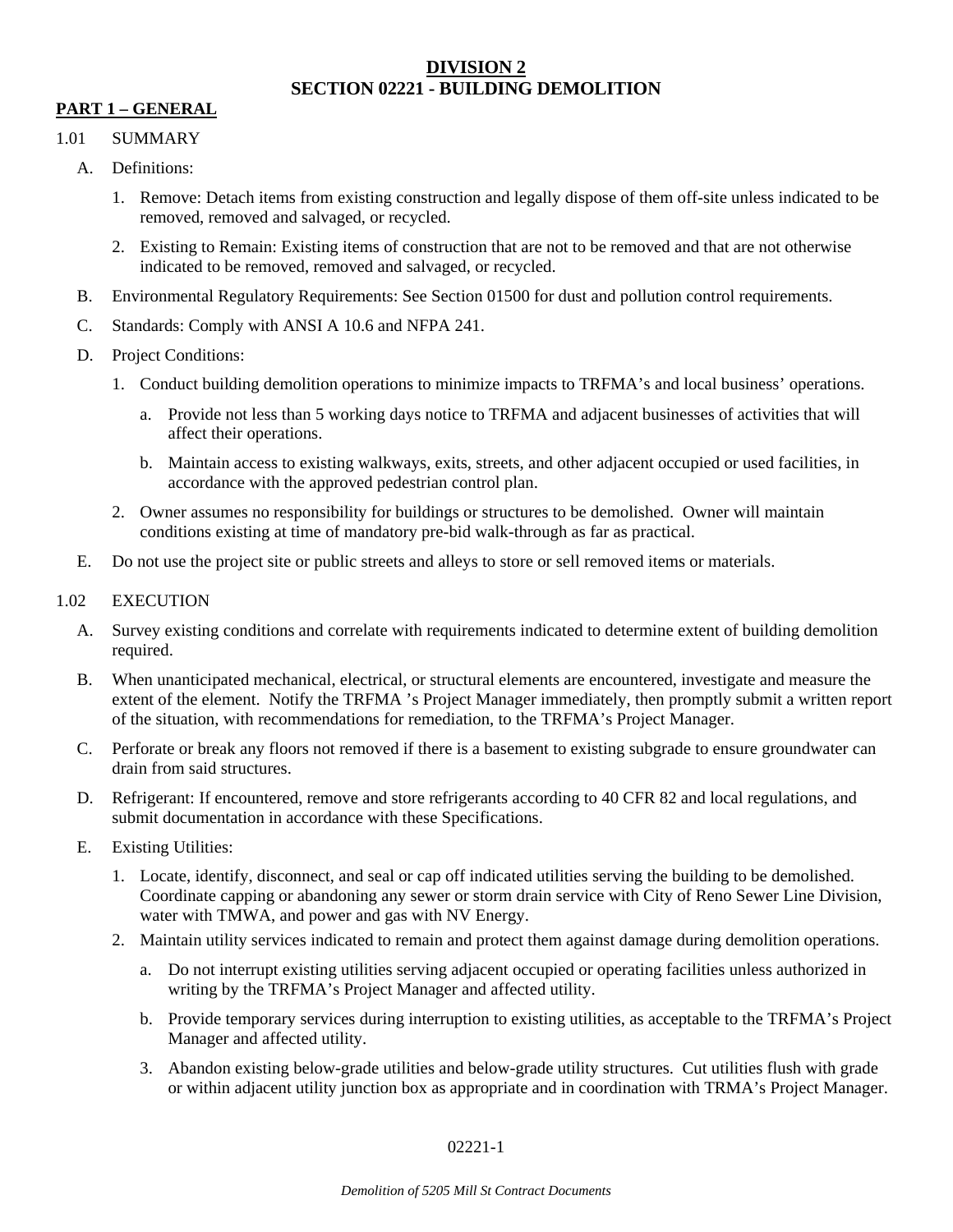# **DIVISION 2 SECTION 02221 - BUILDING DEMOLITION**

# **PART 1 – GENERAL**

## 1.01 SUMMARY

- A. Definitions:
	- 1. Remove: Detach items from existing construction and legally dispose of them off-site unless indicated to be removed, removed and salvaged, or recycled.
	- 2. Existing to Remain: Existing items of construction that are not to be removed and that are not otherwise indicated to be removed, removed and salvaged, or recycled.
- B. Environmental Regulatory Requirements: See Section 01500 for dust and pollution control requirements.
- C. Standards: Comply with ANSI A 10.6 and NFPA 241.
- D. Project Conditions:
	- 1. Conduct building demolition operations to minimize impacts to TRFMA's and local business' operations.
		- a. Provide not less than 5 working days notice to TRFMA and adjacent businesses of activities that will affect their operations.
		- b. Maintain access to existing walkways, exits, streets, and other adjacent occupied or used facilities, in accordance with the approved pedestrian control plan.
	- 2. Owner assumes no responsibility for buildings or structures to be demolished. Owner will maintain conditions existing at time of mandatory pre-bid walk-through as far as practical.
- E. Do not use the project site or public streets and alleys to store or sell removed items or materials.

## 1.02 EXECUTION

- A. Survey existing conditions and correlate with requirements indicated to determine extent of building demolition required.
- B. When unanticipated mechanical, electrical, or structural elements are encountered, investigate and measure the extent of the element. Notify the TRFMA 's Project Manager immediately, then promptly submit a written report of the situation, with recommendations for remediation, to the TRFMA's Project Manager.
- C. Perforate or break any floors not removed if there is a basement to existing subgrade to ensure groundwater can drain from said structures.
- D. Refrigerant: If encountered, remove and store refrigerants according to 40 CFR 82 and local regulations, and submit documentation in accordance with these Specifications.
- E. Existing Utilities:
	- 1. Locate, identify, disconnect, and seal or cap off indicated utilities serving the building to be demolished. Coordinate capping or abandoning any sewer or storm drain service with City of Reno Sewer Line Division, water with TMWA, and power and gas with NV Energy.
	- 2. Maintain utility services indicated to remain and protect them against damage during demolition operations.
		- a. Do not interrupt existing utilities serving adjacent occupied or operating facilities unless authorized in writing by the TRFMA's Project Manager and affected utility.
		- b. Provide temporary services during interruption to existing utilities, as acceptable to the TRFMA's Project Manager and affected utility.
		- 3. Abandon existing below-grade utilities and below-grade utility structures. Cut utilities flush with grade or within adjacent utility junction box as appropriate and in coordination with TRMA's Project Manager.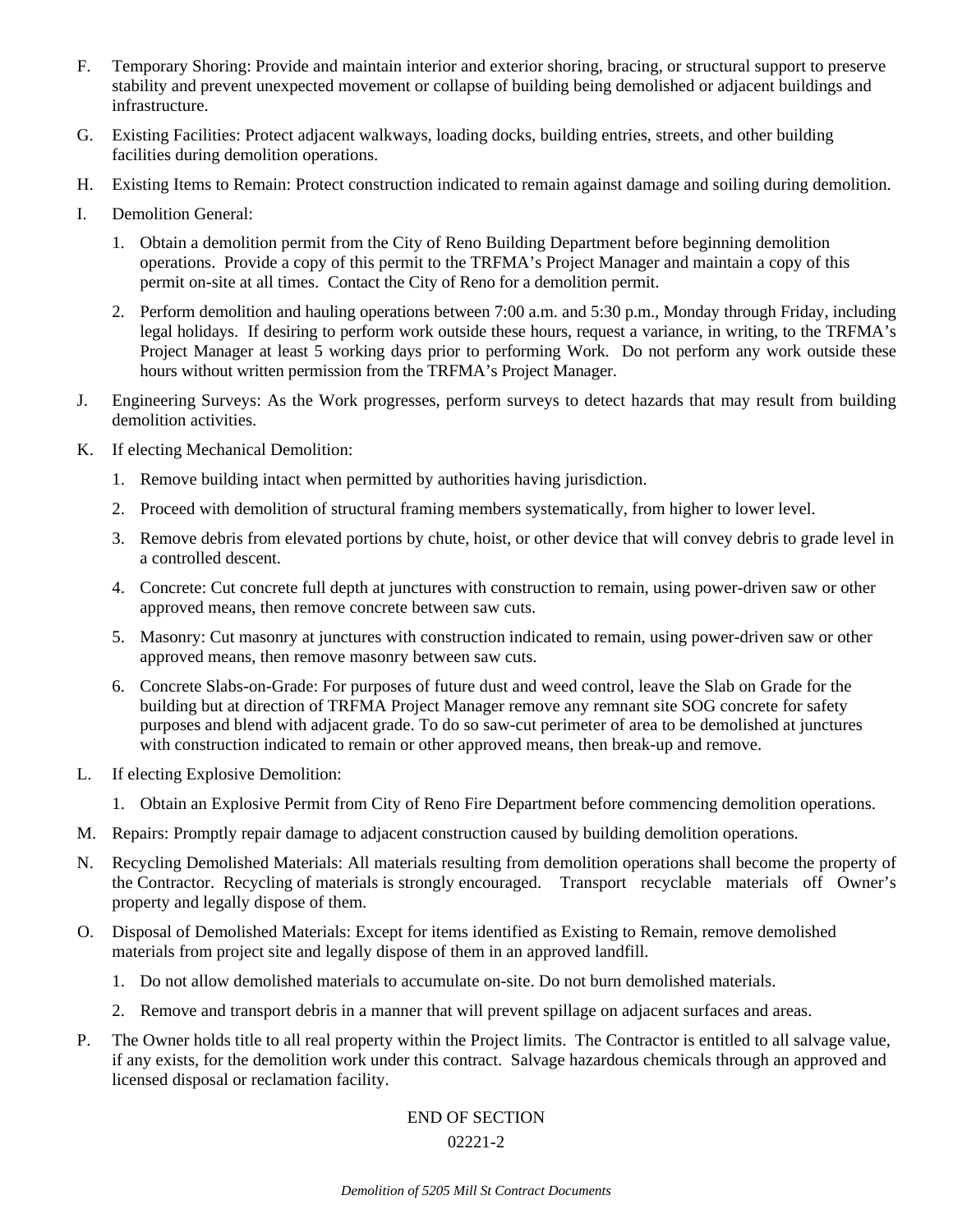- F. Temporary Shoring: Provide and maintain interior and exterior shoring, bracing, or structural support to preserve stability and prevent unexpected movement or collapse of building being demolished or adjacent buildings and infrastructure.
- G. Existing Facilities: Protect adjacent walkways, loading docks, building entries, streets, and other building facilities during demolition operations.
- H. Existing Items to Remain: Protect construction indicated to remain against damage and soiling during demolition.
- I. Demolition General:
	- 1. Obtain a demolition permit from the City of Reno Building Department before beginning demolition operations. Provide a copy of this permit to the TRFMA's Project Manager and maintain a copy of this permit on-site at all times. Contact the City of Reno for a demolition permit.
	- 2. Perform demolition and hauling operations between 7:00 a.m. and 5:30 p.m., Monday through Friday, including legal holidays. If desiring to perform work outside these hours, request a variance, in writing, to the TRFMA's Project Manager at least 5 working days prior to performing Work. Do not perform any work outside these hours without written permission from the TRFMA's Project Manager.
- J. Engineering Surveys: As the Work progresses, perform surveys to detect hazards that may result from building demolition activities.
- K. If electing Mechanical Demolition:
	- 1. Remove building intact when permitted by authorities having jurisdiction.
	- 2. Proceed with demolition of structural framing members systematically, from higher to lower level.
	- 3. Remove debris from elevated portions by chute, hoist, or other device that will convey debris to grade level in a controlled descent.
	- 4. Concrete: Cut concrete full depth at junctures with construction to remain, using power-driven saw or other approved means, then remove concrete between saw cuts.
	- 5. Masonry: Cut masonry at junctures with construction indicated to remain, using power-driven saw or other approved means, then remove masonry between saw cuts.
	- 6. Concrete Slabs-on-Grade: For purposes of future dust and weed control, leave the Slab on Grade for the building but at direction of TRFMA Project Manager remove any remnant site SOG concrete for safety purposes and blend with adjacent grade. To do so saw-cut perimeter of area to be demolished at junctures with construction indicated to remain or other approved means, then break-up and remove.
- L. If electing Explosive Demolition:
	- 1. Obtain an Explosive Permit from City of Reno Fire Department before commencing demolition operations.
- M. Repairs: Promptly repair damage to adjacent construction caused by building demolition operations.
- N. Recycling Demolished Materials: All materials resulting from demolition operations shall become the property of the Contractor. Recycling of materials is strongly encouraged. Transport recyclable materials off Owner's property and legally dispose of them.
- O. Disposal of Demolished Materials: Except for items identified as Existing to Remain, remove demolished materials from project site and legally dispose of them in an approved landfill.
	- 1. Do not allow demolished materials to accumulate on-site. Do not burn demolished materials.
	- 2. Remove and transport debris in a manner that will prevent spillage on adjacent surfaces and areas.
- P. The Owner holds title to all real property within the Project limits. The Contractor is entitled to all salvage value, if any exists, for the demolition work under this contract. Salvage hazardous chemicals through an approved and licensed disposal or reclamation facility.

## END OF SECTION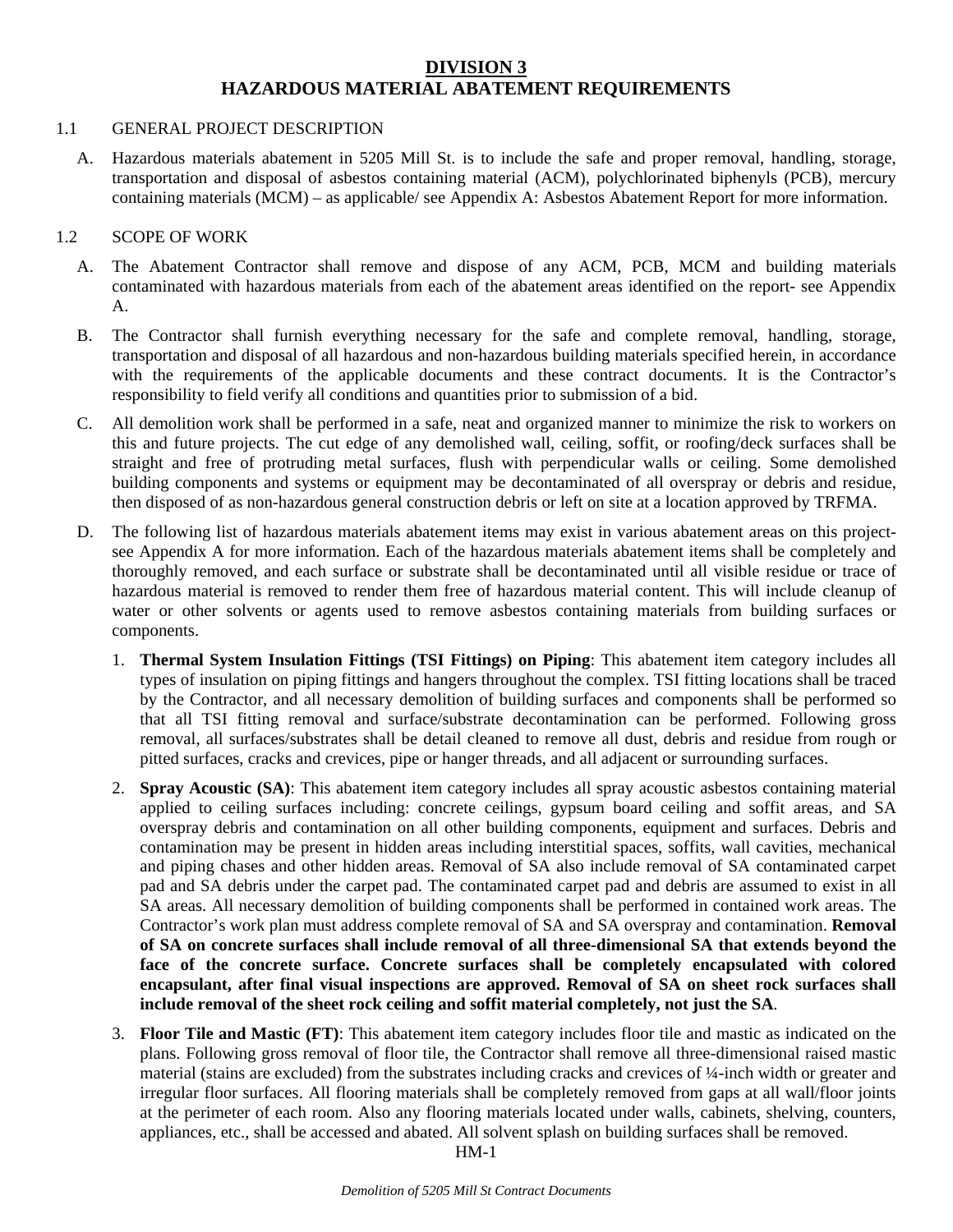## **DIVISION 3 HAZARDOUS MATERIAL ABATEMENT REQUIREMENTS**

#### 1.1 GENERAL PROJECT DESCRIPTION

A. Hazardous materials abatement in 5205 Mill St. is to include the safe and proper removal, handling, storage, transportation and disposal of asbestos containing material (ACM), polychlorinated biphenyls (PCB), mercury containing materials (MCM) – as applicable/ see Appendix A: Asbestos Abatement Report for more information.

#### 1.2 SCOPE OF WORK

- A. The Abatement Contractor shall remove and dispose of any ACM, PCB, MCM and building materials contaminated with hazardous materials from each of the abatement areas identified on the report- see Appendix A.
- B. The Contractor shall furnish everything necessary for the safe and complete removal, handling, storage, transportation and disposal of all hazardous and non-hazardous building materials specified herein, in accordance with the requirements of the applicable documents and these contract documents. It is the Contractor's responsibility to field verify all conditions and quantities prior to submission of a bid.
- C. All demolition work shall be performed in a safe, neat and organized manner to minimize the risk to workers on this and future projects. The cut edge of any demolished wall, ceiling, soffit, or roofing/deck surfaces shall be straight and free of protruding metal surfaces, flush with perpendicular walls or ceiling. Some demolished building components and systems or equipment may be decontaminated of all overspray or debris and residue, then disposed of as non-hazardous general construction debris or left on site at a location approved by TRFMA.
- D. The following list of hazardous materials abatement items may exist in various abatement areas on this projectsee Appendix A for more information. Each of the hazardous materials abatement items shall be completely and thoroughly removed, and each surface or substrate shall be decontaminated until all visible residue or trace of hazardous material is removed to render them free of hazardous material content. This will include cleanup of water or other solvents or agents used to remove asbestos containing materials from building surfaces or components.
	- 1. **Thermal System Insulation Fittings (TSI Fittings) on Piping**: This abatement item category includes all types of insulation on piping fittings and hangers throughout the complex. TSI fitting locations shall be traced by the Contractor, and all necessary demolition of building surfaces and components shall be performed so that all TSI fitting removal and surface/substrate decontamination can be performed. Following gross removal, all surfaces/substrates shall be detail cleaned to remove all dust, debris and residue from rough or pitted surfaces, cracks and crevices, pipe or hanger threads, and all adjacent or surrounding surfaces.
	- 2. **Spray Acoustic (SA)**: This abatement item category includes all spray acoustic asbestos containing material applied to ceiling surfaces including: concrete ceilings, gypsum board ceiling and soffit areas, and SA overspray debris and contamination on all other building components, equipment and surfaces. Debris and contamination may be present in hidden areas including interstitial spaces, soffits, wall cavities, mechanical and piping chases and other hidden areas. Removal of SA also include removal of SA contaminated carpet pad and SA debris under the carpet pad. The contaminated carpet pad and debris are assumed to exist in all SA areas. All necessary demolition of building components shall be performed in contained work areas. The Contractor's work plan must address complete removal of SA and SA overspray and contamination. **Removal of SA on concrete surfaces shall include removal of all three-dimensional SA that extends beyond the face of the concrete surface. Concrete surfaces shall be completely encapsulated with colored encapsulant, after final visual inspections are approved. Removal of SA on sheet rock surfaces shall include removal of the sheet rock ceiling and soffit material completely, not just the SA**.
	- 3. **Floor Tile and Mastic (FT)**: This abatement item category includes floor tile and mastic as indicated on the plans. Following gross removal of floor tile, the Contractor shall remove all three-dimensional raised mastic material (stains are excluded) from the substrates including cracks and crevices of ¼-inch width or greater and irregular floor surfaces. All flooring materials shall be completely removed from gaps at all wall/floor joints at the perimeter of each room. Also any flooring materials located under walls, cabinets, shelving, counters, appliances, etc., shall be accessed and abated. All solvent splash on building surfaces shall be removed.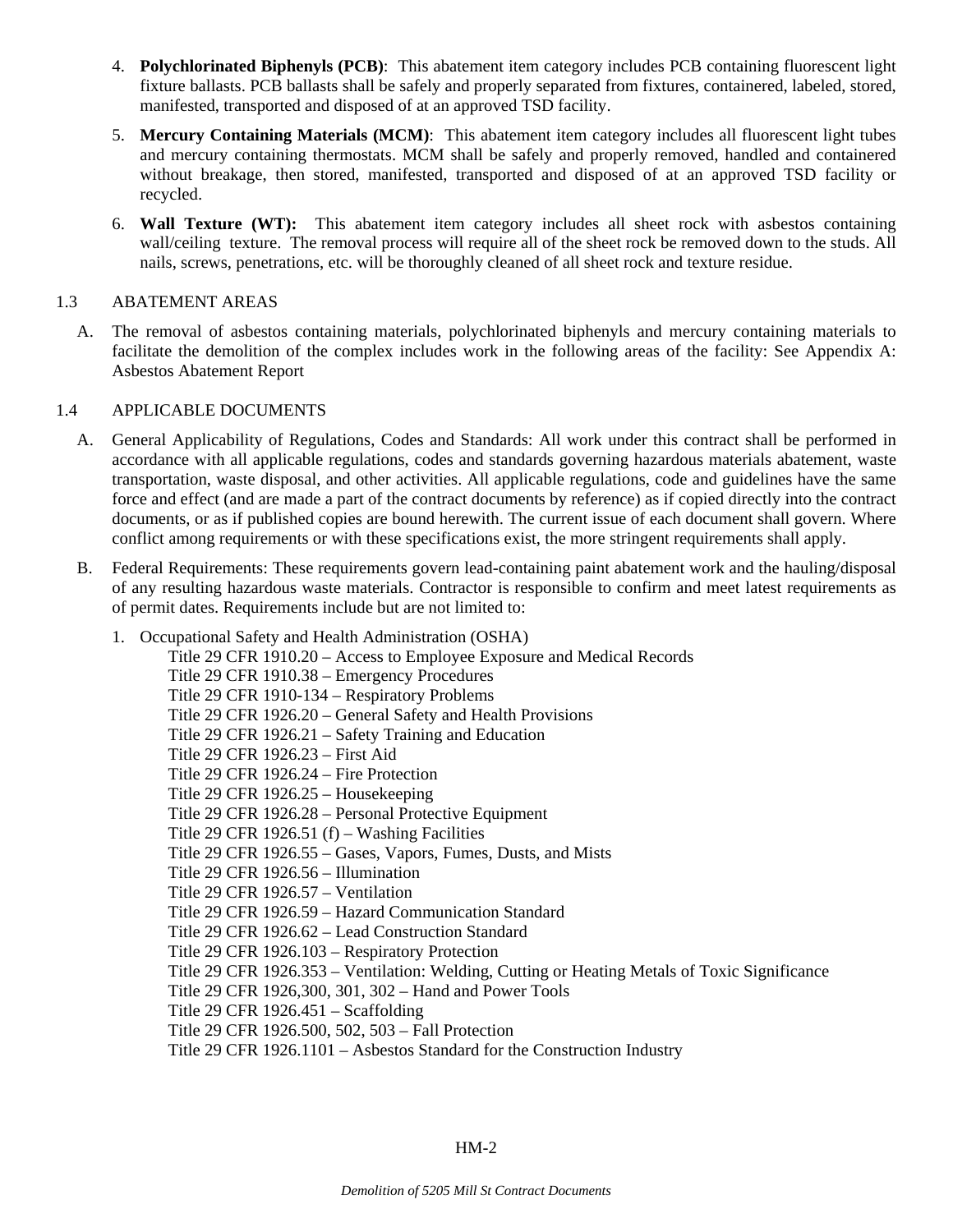- 4. **Polychlorinated Biphenyls (PCB)**: This abatement item category includes PCB containing fluorescent light fixture ballasts. PCB ballasts shall be safely and properly separated from fixtures, containered, labeled, stored, manifested, transported and disposed of at an approved TSD facility.
- 5. **Mercury Containing Materials (MCM)**: This abatement item category includes all fluorescent light tubes and mercury containing thermostats. MCM shall be safely and properly removed, handled and containered without breakage, then stored, manifested, transported and disposed of at an approved TSD facility or recycled.
- 6. **Wall Texture (WT):** This abatement item category includes all sheet rock with asbestos containing wall/ceiling texture. The removal process will require all of the sheet rock be removed down to the studs. All nails, screws, penetrations, etc. will be thoroughly cleaned of all sheet rock and texture residue.

## 1.3 ABATEMENT AREAS

A. The removal of asbestos containing materials, polychlorinated biphenyls and mercury containing materials to facilitate the demolition of the complex includes work in the following areas of the facility: See Appendix A: Asbestos Abatement Report

#### 1.4 APPLICABLE DOCUMENTS

- A. General Applicability of Regulations, Codes and Standards: All work under this contract shall be performed in accordance with all applicable regulations, codes and standards governing hazardous materials abatement, waste transportation, waste disposal, and other activities. All applicable regulations, code and guidelines have the same force and effect (and are made a part of the contract documents by reference) as if copied directly into the contract documents, or as if published copies are bound herewith. The current issue of each document shall govern. Where conflict among requirements or with these specifications exist, the more stringent requirements shall apply.
- B. Federal Requirements: These requirements govern lead-containing paint abatement work and the hauling/disposal of any resulting hazardous waste materials. Contractor is responsible to confirm and meet latest requirements as of permit dates. Requirements include but are not limited to:
	- 1. Occupational Safety and Health Administration (OSHA)

Title 29 CFR 1910.20 – Access to Employee Exposure and Medical Records Title 29 CFR 1910.38 – Emergency Procedures Title 29 CFR 1910-134 – Respiratory Problems Title 29 CFR 1926.20 – General Safety and Health Provisions Title 29 CFR 1926.21 – Safety Training and Education Title 29 CFR 1926.23 – First Aid Title 29 CFR 1926.24 – Fire Protection Title 29 CFR 1926.25 – Housekeeping Title 29 CFR 1926.28 – Personal Protective Equipment Title 29 CFR 1926.51 (f) – Washing Facilities Title 29 CFR 1926.55 – Gases, Vapors, Fumes, Dusts, and Mists Title 29 CFR 1926.56 – Illumination Title 29 CFR 1926.57 – Ventilation Title 29 CFR 1926.59 – Hazard Communication Standard Title 29 CFR 1926.62 – Lead Construction Standard Title 29 CFR 1926.103 – Respiratory Protection Title 29 CFR 1926.353 – Ventilation: Welding, Cutting or Heating Metals of Toxic Significance Title 29 CFR 1926,300, 301, 302 – Hand and Power Tools Title 29 CFR 1926.451 – Scaffolding Title 29 CFR 1926.500, 502, 503 – Fall Protection Title 29 CFR 1926.1101 – Asbestos Standard for the Construction Industry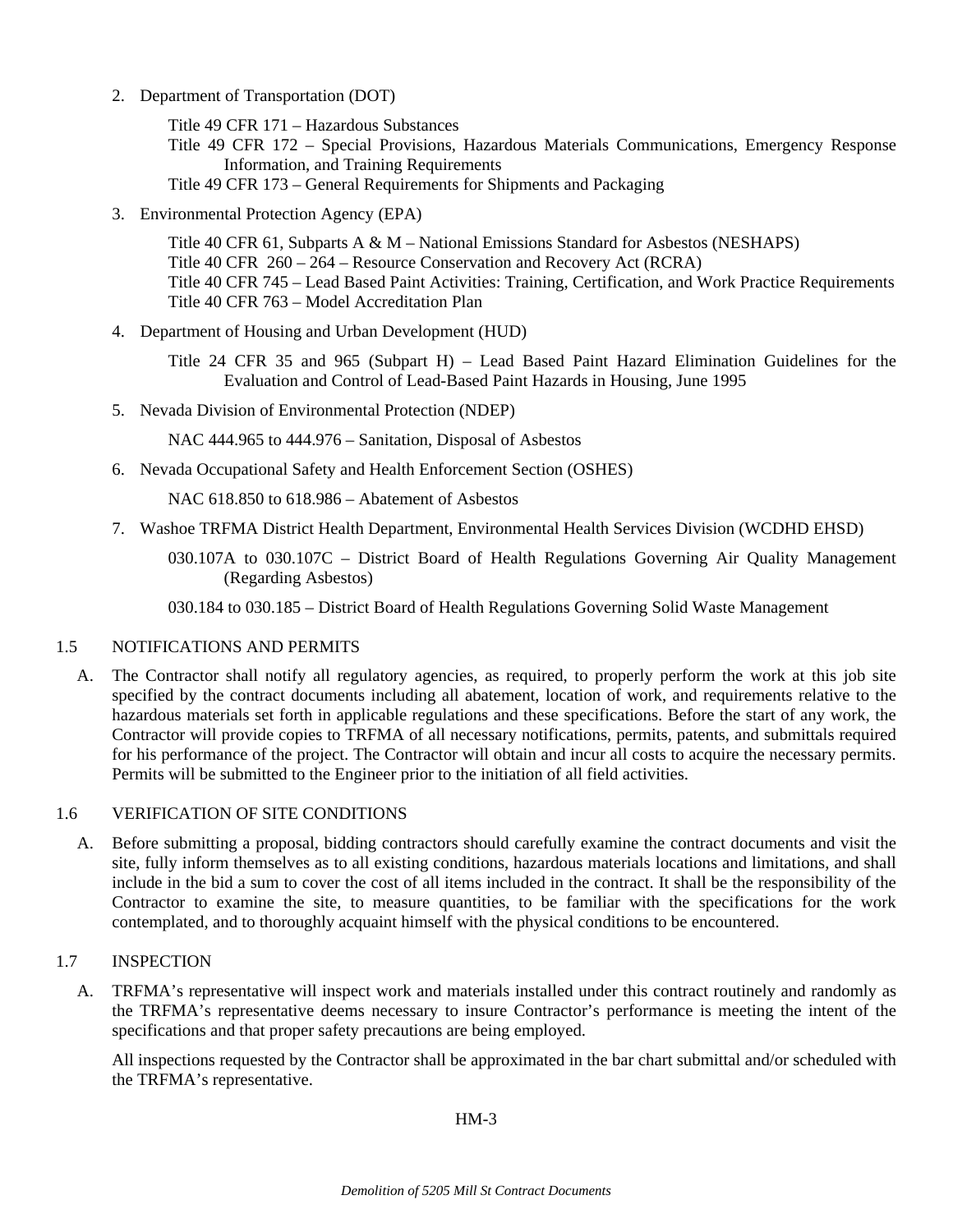2. Department of Transportation (DOT)

Title 49 CFR 171 – Hazardous Substances

Title 49 CFR 172 – Special Provisions, Hazardous Materials Communications, Emergency Response Information, and Training Requirements

Title 49 CFR 173 – General Requirements for Shipments and Packaging

3. Environmental Protection Agency (EPA)

Title 40 CFR 61, Subparts A & M – National Emissions Standard for Asbestos (NESHAPS) Title 40 CFR 260 – 264 – Resource Conservation and Recovery Act (RCRA) Title 40 CFR 745 – Lead Based Paint Activities: Training, Certification, and Work Practice Requirements Title 40 CFR 763 – Model Accreditation Plan

4. Department of Housing and Urban Development (HUD)

Title 24 CFR 35 and 965 (Subpart H) – Lead Based Paint Hazard Elimination Guidelines for the Evaluation and Control of Lead-Based Paint Hazards in Housing, June 1995

5. Nevada Division of Environmental Protection (NDEP)

NAC 444.965 to 444.976 – Sanitation, Disposal of Asbestos

6. Nevada Occupational Safety and Health Enforcement Section (OSHES)

NAC 618.850 to 618.986 – Abatement of Asbestos

- 7. Washoe TRFMA District Health Department, Environmental Health Services Division (WCDHD EHSD)
	- 030.107A to 030.107C District Board of Health Regulations Governing Air Quality Management (Regarding Asbestos)

030.184 to 030.185 – District Board of Health Regulations Governing Solid Waste Management

## 1.5 NOTIFICATIONS AND PERMITS

A. The Contractor shall notify all regulatory agencies, as required, to properly perform the work at this job site specified by the contract documents including all abatement, location of work, and requirements relative to the hazardous materials set forth in applicable regulations and these specifications. Before the start of any work, the Contractor will provide copies to TRFMA of all necessary notifications, permits, patents, and submittals required for his performance of the project. The Contractor will obtain and incur all costs to acquire the necessary permits. Permits will be submitted to the Engineer prior to the initiation of all field activities.

## 1.6 VERIFICATION OF SITE CONDITIONS

A. Before submitting a proposal, bidding contractors should carefully examine the contract documents and visit the site, fully inform themselves as to all existing conditions, hazardous materials locations and limitations, and shall include in the bid a sum to cover the cost of all items included in the contract. It shall be the responsibility of the Contractor to examine the site, to measure quantities, to be familiar with the specifications for the work contemplated, and to thoroughly acquaint himself with the physical conditions to be encountered.

## 1.7 INSPECTION

A. TRFMA's representative will inspect work and materials installed under this contract routinely and randomly as the TRFMA's representative deems necessary to insure Contractor's performance is meeting the intent of the specifications and that proper safety precautions are being employed.

 All inspections requested by the Contractor shall be approximated in the bar chart submittal and/or scheduled with the TRFMA's representative.

#### HM-3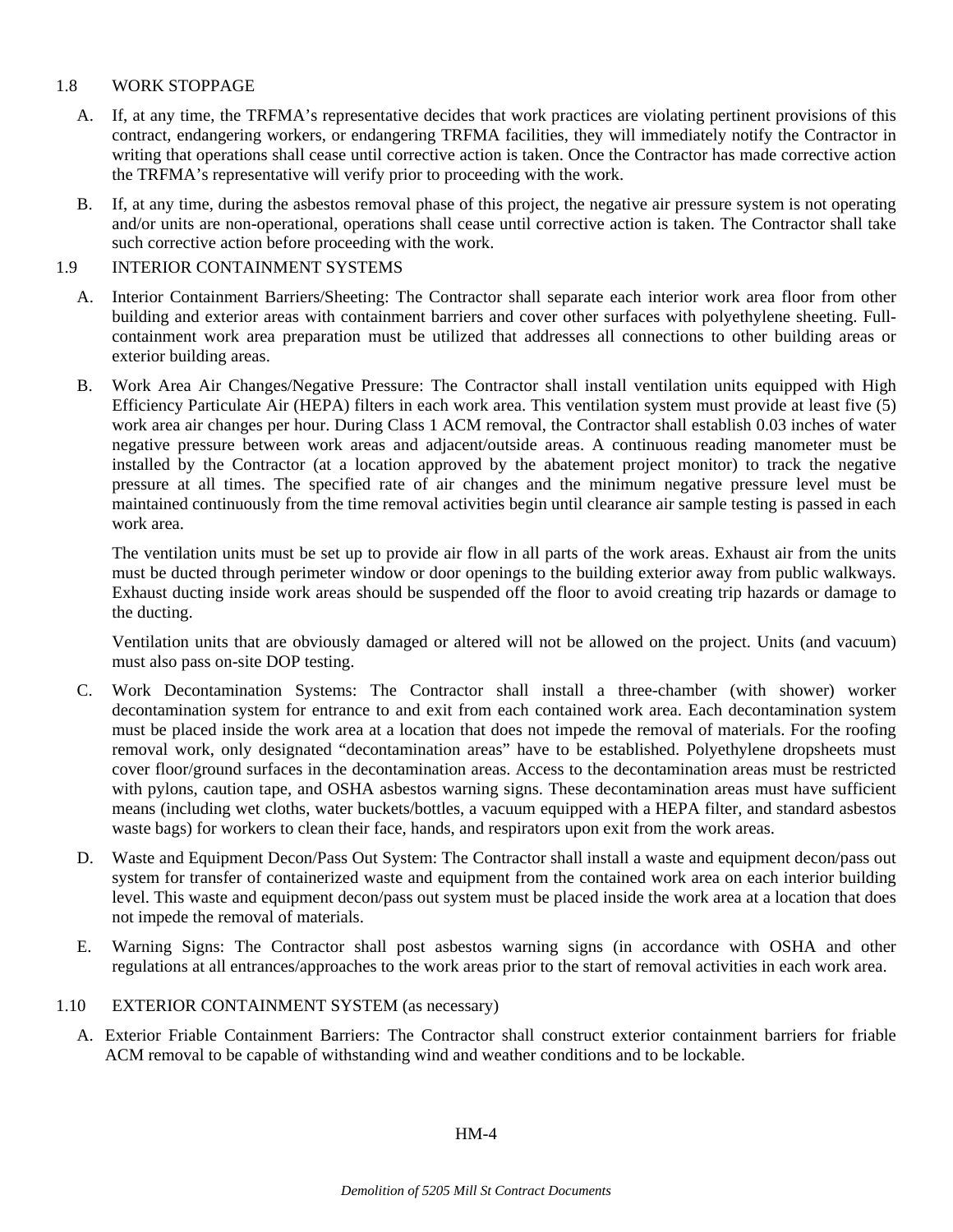## 1.8 WORK STOPPAGE

- A. If, at any time, the TRFMA's representative decides that work practices are violating pertinent provisions of this contract, endangering workers, or endangering TRFMA facilities, they will immediately notify the Contractor in writing that operations shall cease until corrective action is taken. Once the Contractor has made corrective action the TRFMA's representative will verify prior to proceeding with the work.
- B. If, at any time, during the asbestos removal phase of this project, the negative air pressure system is not operating and/or units are non-operational, operations shall cease until corrective action is taken. The Contractor shall take such corrective action before proceeding with the work.

## 1.9 INTERIOR CONTAINMENT SYSTEMS

- A. Interior Containment Barriers/Sheeting: The Contractor shall separate each interior work area floor from other building and exterior areas with containment barriers and cover other surfaces with polyethylene sheeting. Fullcontainment work area preparation must be utilized that addresses all connections to other building areas or exterior building areas.
- B. Work Area Air Changes/Negative Pressure: The Contractor shall install ventilation units equipped with High Efficiency Particulate Air (HEPA) filters in each work area. This ventilation system must provide at least five (5) work area air changes per hour. During Class 1 ACM removal, the Contractor shall establish 0.03 inches of water negative pressure between work areas and adjacent/outside areas. A continuous reading manometer must be installed by the Contractor (at a location approved by the abatement project monitor) to track the negative pressure at all times. The specified rate of air changes and the minimum negative pressure level must be maintained continuously from the time removal activities begin until clearance air sample testing is passed in each work area.

 The ventilation units must be set up to provide air flow in all parts of the work areas. Exhaust air from the units must be ducted through perimeter window or door openings to the building exterior away from public walkways. Exhaust ducting inside work areas should be suspended off the floor to avoid creating trip hazards or damage to the ducting.

 Ventilation units that are obviously damaged or altered will not be allowed on the project. Units (and vacuum) must also pass on-site DOP testing.

- C. Work Decontamination Systems: The Contractor shall install a three-chamber (with shower) worker decontamination system for entrance to and exit from each contained work area. Each decontamination system must be placed inside the work area at a location that does not impede the removal of materials. For the roofing removal work, only designated "decontamination areas" have to be established. Polyethylene dropsheets must cover floor/ground surfaces in the decontamination areas. Access to the decontamination areas must be restricted with pylons, caution tape, and OSHA asbestos warning signs. These decontamination areas must have sufficient means (including wet cloths, water buckets/bottles, a vacuum equipped with a HEPA filter, and standard asbestos waste bags) for workers to clean their face, hands, and respirators upon exit from the work areas.
- D. Waste and Equipment Decon/Pass Out System: The Contractor shall install a waste and equipment decon/pass out system for transfer of containerized waste and equipment from the contained work area on each interior building level. This waste and equipment decon/pass out system must be placed inside the work area at a location that does not impede the removal of materials.
- E. Warning Signs: The Contractor shall post asbestos warning signs (in accordance with OSHA and other regulations at all entrances/approaches to the work areas prior to the start of removal activities in each work area.
- 1.10 EXTERIOR CONTAINMENT SYSTEM (as necessary)
	- A. Exterior Friable Containment Barriers: The Contractor shall construct exterior containment barriers for friable ACM removal to be capable of withstanding wind and weather conditions and to be lockable.

 $HM-4$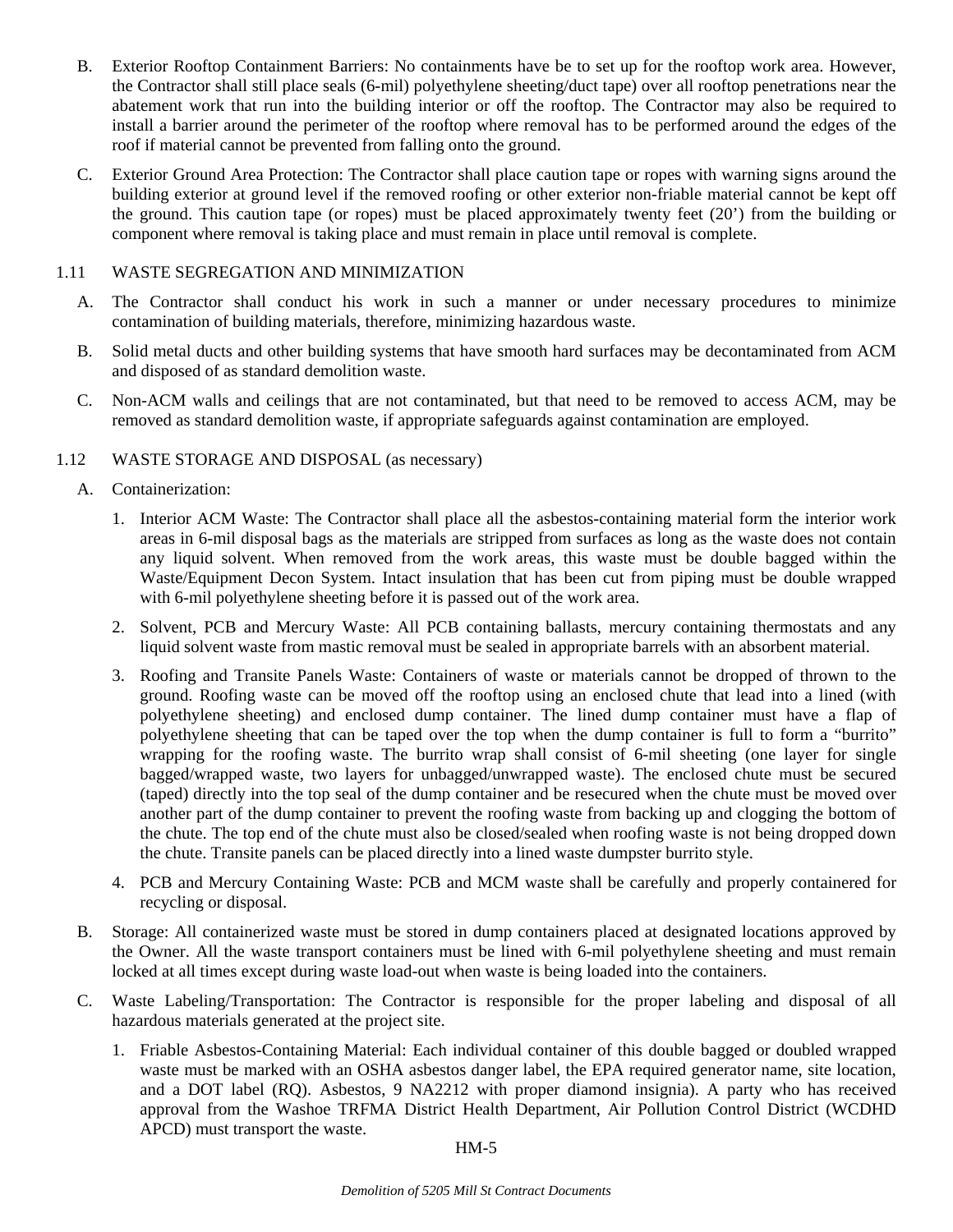- B. Exterior Rooftop Containment Barriers: No containments have be to set up for the rooftop work area. However, the Contractor shall still place seals (6-mil) polyethylene sheeting/duct tape) over all rooftop penetrations near the abatement work that run into the building interior or off the rooftop. The Contractor may also be required to install a barrier around the perimeter of the rooftop where removal has to be performed around the edges of the roof if material cannot be prevented from falling onto the ground.
- C. Exterior Ground Area Protection: The Contractor shall place caution tape or ropes with warning signs around the building exterior at ground level if the removed roofing or other exterior non-friable material cannot be kept off the ground. This caution tape (or ropes) must be placed approximately twenty feet (20') from the building or component where removal is taking place and must remain in place until removal is complete.

## 1.11 WASTE SEGREGATION AND MINIMIZATION

- A. The Contractor shall conduct his work in such a manner or under necessary procedures to minimize contamination of building materials, therefore, minimizing hazardous waste.
- B. Solid metal ducts and other building systems that have smooth hard surfaces may be decontaminated from ACM and disposed of as standard demolition waste.
- C. Non-ACM walls and ceilings that are not contaminated, but that need to be removed to access ACM, may be removed as standard demolition waste, if appropriate safeguards against contamination are employed.

## 1.12 WASTE STORAGE AND DISPOSAL (as necessary)

- A. Containerization:
	- 1. Interior ACM Waste: The Contractor shall place all the asbestos-containing material form the interior work areas in 6-mil disposal bags as the materials are stripped from surfaces as long as the waste does not contain any liquid solvent. When removed from the work areas, this waste must be double bagged within the Waste/Equipment Decon System. Intact insulation that has been cut from piping must be double wrapped with 6-mil polyethylene sheeting before it is passed out of the work area.
	- 2. Solvent, PCB and Mercury Waste: All PCB containing ballasts, mercury containing thermostats and any liquid solvent waste from mastic removal must be sealed in appropriate barrels with an absorbent material.
	- 3. Roofing and Transite Panels Waste: Containers of waste or materials cannot be dropped of thrown to the ground. Roofing waste can be moved off the rooftop using an enclosed chute that lead into a lined (with polyethylene sheeting) and enclosed dump container. The lined dump container must have a flap of polyethylene sheeting that can be taped over the top when the dump container is full to form a "burrito" wrapping for the roofing waste. The burrito wrap shall consist of 6-mil sheeting (one layer for single bagged/wrapped waste, two layers for unbagged/unwrapped waste). The enclosed chute must be secured (taped) directly into the top seal of the dump container and be resecured when the chute must be moved over another part of the dump container to prevent the roofing waste from backing up and clogging the bottom of the chute. The top end of the chute must also be closed/sealed when roofing waste is not being dropped down the chute. Transite panels can be placed directly into a lined waste dumpster burrito style.
	- 4. PCB and Mercury Containing Waste: PCB and MCM waste shall be carefully and properly containered for recycling or disposal.
- B. Storage: All containerized waste must be stored in dump containers placed at designated locations approved by the Owner. All the waste transport containers must be lined with 6-mil polyethylene sheeting and must remain locked at all times except during waste load-out when waste is being loaded into the containers.
- C. Waste Labeling/Transportation: The Contractor is responsible for the proper labeling and disposal of all hazardous materials generated at the project site.
	- 1. Friable Asbestos-Containing Material: Each individual container of this double bagged or doubled wrapped waste must be marked with an OSHA asbestos danger label, the EPA required generator name, site location, and a DOT label (RQ). Asbestos, 9 NA2212 with proper diamond insignia). A party who has received approval from the Washoe TRFMA District Health Department, Air Pollution Control District (WCDHD APCD) must transport the waste.

#### HM-5